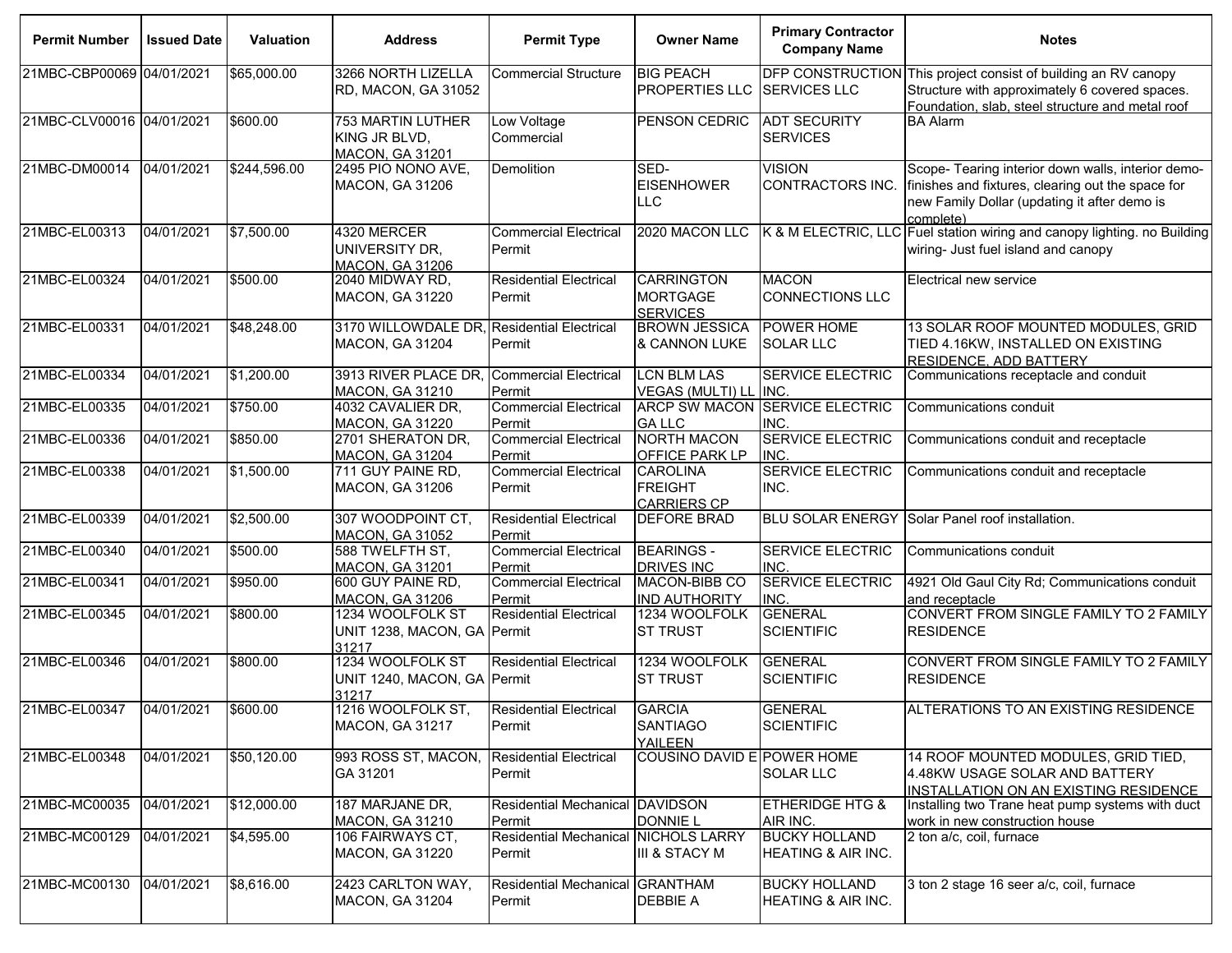| <b>Permit Number</b>      | <b>Issued Date</b> | <b>Valuation</b> | <b>Address</b>                                               | <b>Permit Type</b>                             | <b>Owner Name</b>                                       | <b>Primary Contractor</b><br><b>Company Name</b> | <b>Notes</b>                                                                                                                                                         |
|---------------------------|--------------------|------------------|--------------------------------------------------------------|------------------------------------------------|---------------------------------------------------------|--------------------------------------------------|----------------------------------------------------------------------------------------------------------------------------------------------------------------------|
| 21MBC-CBP00069 04/01/2021 |                    | \$65,000.00      | 3266 NORTH LIZELLA<br>RD, MACON, GA 31052                    | <b>Commercial Structure</b>                    | <b>BIG PEACH</b><br>PROPERTIES LLC                      | <b>SERVICES LLC</b>                              | DFP CONSTRUCTION This project consist of building an RV canopy<br>Structure with approximately 6 covered spaces.<br>Foundation, slab, steel structure and metal roof |
| 21MBC-CLV00016 04/01/2021 |                    | \$600.00         | 753 MARTIN LUTHER<br>KING JR BLVD,<br><b>MACON, GA 31201</b> | Low Voltage<br>Commercial                      | PENSON CEDRIC                                           | <b>ADT SECURITY</b><br><b>SERVICES</b>           | <b>BA Alarm</b>                                                                                                                                                      |
| 21MBC-DM00014             | 04/01/2021         | \$244,596.00     | 2495 PIO NONO AVE,<br>MACON, GA 31206                        | Demolition                                     | SED-<br><b>EISENHOWER</b><br><b>LLC</b>                 | <b>VISION</b><br>CONTRACTORS INC.                | Scope- Tearing interior down walls, interior demo-<br>finishes and fixtures, clearing out the space for<br>new Family Dollar (updating it after demo is<br>complete) |
| 21MBC-EL00313             | 04/01/2021         | \$7,500.00       | 4320 MERCER<br>UNIVERSITY DR,<br><b>MACON, GA 31206</b>      | <b>Commercial Electrical</b><br>Permit         | 2020 MACON LLC                                          |                                                  | K & M ELECTRIC, LLC Fuel station wiring and canopy lighting. no Building<br>wiring- Just fuel island and canopy                                                      |
| 21MBC-EL00324             | 04/01/2021         | \$500.00         | 2040 MIDWAY RD,<br>MACON, GA 31220                           | <b>Residential Electrical</b><br>Permit        | <b>CARRINGTON</b><br><b>MORTGAGE</b><br><b>SERVICES</b> | <b>MACON</b><br><b>CONNECTIONS LLC</b>           | Electrical new service                                                                                                                                               |
| 21MBC-EL00331             | 04/01/2021         | \$48,248.00      | 3170 WILLOWDALE DR,<br><b>MACON, GA 31204</b>                | <b>Residential Electrical</b><br>Permit        | <b>BROWN JESSICA</b><br>& CANNON LUKE                   | POWER HOME<br><b>SOLAR LLC</b>                   | 13 SOLAR ROOF MOUNTED MODULES, GRID<br>TIED 4.16KW, INSTALLED ON EXISTING<br><b>RESIDENCE, ADD BATTERY</b>                                                           |
| 21MBC-EL00334             | 04/01/2021         | \$1,200.00       | 3913 RIVER PLACE DR<br><b>MACON, GA 31210</b>                | <b>Commercial Electrical</b><br>Permit         | <b>LCN BLM LAS</b><br>VEGAS (MULTI) LL INC.             | <b>SERVICE ELECTRIC</b>                          | Communications receptacle and conduit                                                                                                                                |
| 21MBC-EL00335             | 04/01/2021         | \$750.00         | 4032 CAVALIER DR,<br>MACON, GA 31220                         | <b>Commercial Electrical</b><br>Permit         | <b>GALLC</b>                                            | <b>ARCP SW MACON SERVICE ELECTRIC</b><br>INC.    | Communications conduit                                                                                                                                               |
| 21MBC-EL00336             | 04/01/2021         | \$850.00         | 2701 SHERATON DR,<br>MACON, GA 31204                         | <b>Commercial Electrical</b><br>Permit         | <b>NORTH MACON</b><br>OFFICE PARK LP                    | <b>SERVICE ELECTRIC</b><br>INC.                  | Communications conduit and receptacle                                                                                                                                |
| 21MBC-EL00338             | 04/01/2021         | \$1,500.00       | 711 GUY PAINE RD,<br>MACON, GA 31206                         | <b>Commercial Electrical</b><br>Permit         | <b>CAROLINA</b><br><b>FREIGHT</b><br><b>CARRIERS CP</b> | <b>SERVICE ELECTRIC</b><br>INC.                  | Communications conduit and receptacle                                                                                                                                |
| 21MBC-EL00339             | 04/01/2021         | \$2,500.00       | 307 WOODPOINT CT,<br><b>MACON, GA 31052</b>                  | <b>Residential Electrical</b><br>Permit        | <b>DEFORE BRAD</b>                                      | <b>BLU SOLAR ENERGY</b>                          | Solar Panel roof installation.                                                                                                                                       |
| 21MBC-EL00340             | 04/01/2021         | \$500.00         | 588 TWELFTH ST,<br><b>MACON, GA 31201</b>                    | <b>Commercial Electrical</b><br>Permit         | <b>BEARINGS -</b><br><b>DRIVES INC</b>                  | SERVICE ELECTRIC<br>INC.                         | Communications conduit                                                                                                                                               |
| 21MBC-EL00341             | 04/01/2021         | \$950.00         | 600 GUY PAINE RD,<br><b>MACON, GA 31206</b>                  | <b>Commercial Electrical</b><br>Permit         | MACON-BIBB CO<br><b>IND AUTHORITY</b>                   | <b>SERVICE ELECTRIC</b><br>INC.                  | 4921 Old Gaul City Rd; Communications conduit<br>and receptacle                                                                                                      |
| 21MBC-EL00345             | 04/01/2021         | \$800.00         | 1234 WOOLFOLK ST<br>UNIT 1238, MACON, GA Permit<br>31217     | <b>Residential Electrical</b>                  | 1234 WOOLFOLK<br><b>ST TRUST</b>                        | <b>GENERAL</b><br><b>SCIENTIFIC</b>              | CONVERT FROM SINGLE FAMILY TO 2 FAMILY<br><b>RESIDENCE</b>                                                                                                           |
| 21MBC-EL00346             | 04/01/2021         | \$800.00         | 1234 WOOLFOLK ST<br>UNIT 1240, MACON, GA Permit<br>31217     | <b>Residential Electrical</b>                  | 1234 WOOLFOLK<br><b>ST TRUST</b>                        | <b>GENERAL</b><br><b>SCIENTIFIC</b>              | CONVERT FROM SINGLE FAMILY TO 2 FAMILY<br><b>RESIDENCE</b>                                                                                                           |
| 21MBC-EL00347             | 04/01/2021         | \$600.00         | 1216 WOOLFOLK ST,<br><b>MACON, GA 31217</b>                  | <b>Residential Electrical</b><br>Permit        | <b>GARCIA</b><br><b>SANTIAGO</b><br><b>YAILEEN</b>      | <b>GENERAL</b><br><b>SCIENTIFIC</b>              | ALTERATIONS TO AN EXISTING RESIDENCE                                                                                                                                 |
| 21MBC-EL00348             | 04/01/2021         | \$50,120.00      | 993 ROSS ST, MACON,<br>GA 31201                              | <b>Residential Electrical</b><br>Permit        | COUSINO DAVID E POWER HOME                              | SOLAR LLC                                        | 14 ROOF MOUNTED MODULES, GRID TIED,<br>4.48KW USAGE SOLAR AND BATTERY<br>INSTALLATION ON AN EXISTING RESIDENCE                                                       |
| 21MBC-MC00035             | 04/01/2021         | \$12,000.00      | 187 MARJANE DR,<br>MACON, GA 31210                           | Residential Mechanical DAVIDSON<br>Permit      | <b>DONNIE L</b>                                         | <b>ETHERIDGE HTG &amp;</b><br>AIR INC.           | Installing two Trane heat pump systems with duct<br>work in new construction house                                                                                   |
| 21MBC-MC00129             | 04/01/2021         | \$4,595.00       | 106 FAIRWAYS CT,<br>MACON, GA 31220                          | Residential Mechanical NICHOLS LARRY<br>Permit | III & STACY M                                           | <b>BUCKY HOLLAND</b><br>HEATING & AIR INC.       | 2 ton a/c, coil, furnace                                                                                                                                             |
| 21MBC-MC00130             | 04/01/2021         | \$8,616.00       | 2423 CARLTON WAY,<br>MACON, GA 31204                         | <b>Residential Mechanical</b><br>Permit        | <b>GRANTHAM</b><br><b>DEBBIE A</b>                      | <b>BUCKY HOLLAND</b><br>HEATING & AIR INC.       | 3 ton 2 stage 16 seer a/c, coil, furnace                                                                                                                             |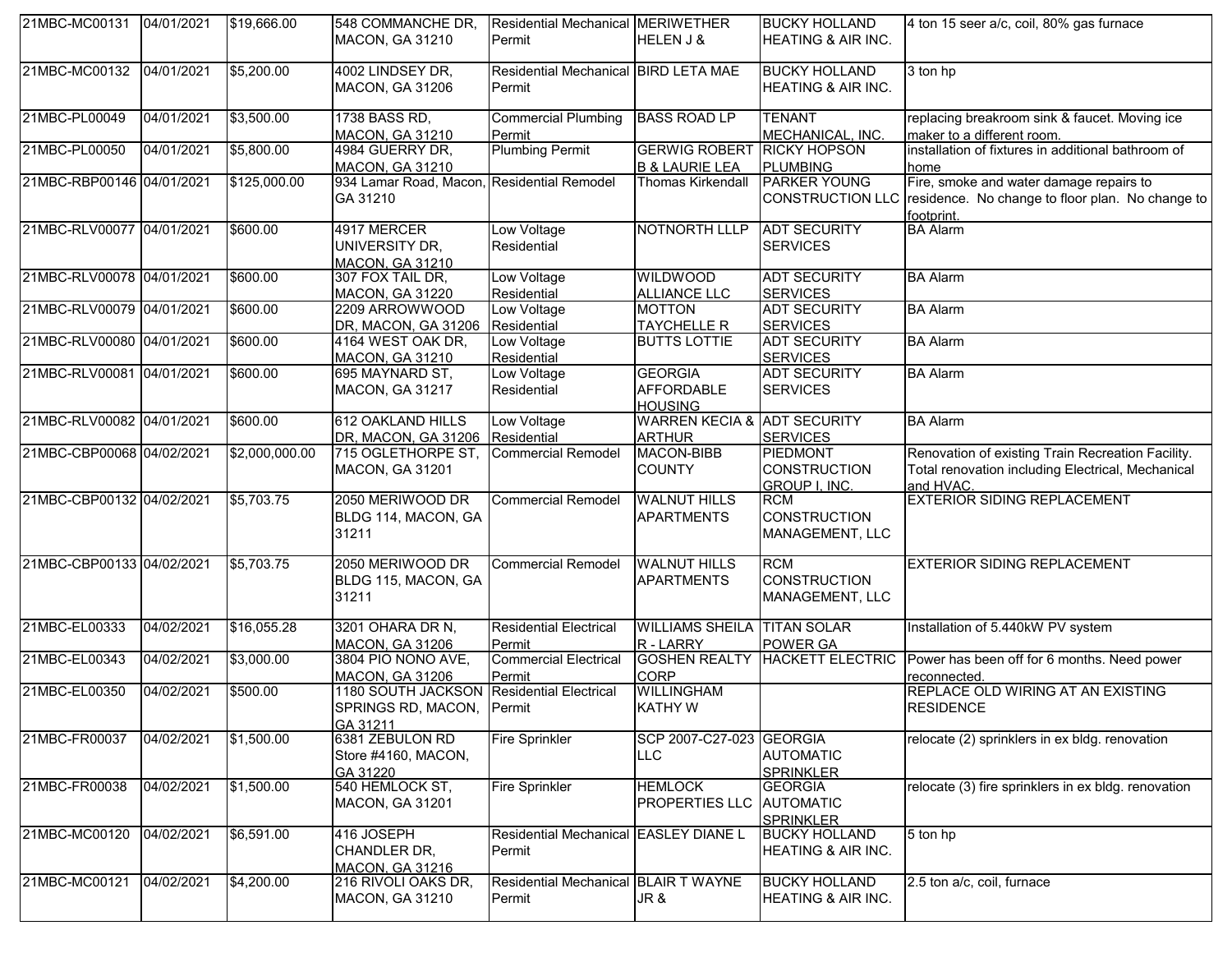| 21MBC-MC00131 04/01/2021  |            | \$19,666.00    | 548 COMMANCHE DR,<br>MACON, GA 31210                                               | Residential Mechanical MERIWETHER<br>Permit           | HELEN J &                                               | <b>BUCKY HOLLAND</b><br>HEATING & AIR INC.              | 4 ton 15 seer a/c, coil, 80% gas furnace                                                                                   |
|---------------------------|------------|----------------|------------------------------------------------------------------------------------|-------------------------------------------------------|---------------------------------------------------------|---------------------------------------------------------|----------------------------------------------------------------------------------------------------------------------------|
| 21MBC-MC00132             | 04/01/2021 | \$5,200.00     | 4002 LINDSEY DR.<br>MACON, GA 31206                                                | Residential Mechanical BIRD LETA MAE<br>Permit        |                                                         | <b>BUCKY HOLLAND</b><br>HEATING & AIR INC.              | 3 ton hp                                                                                                                   |
| 21MBC-PL00049             | 04/01/2021 | \$3,500.00     | 1738 BASS RD,<br><b>MACON, GA 31210</b>                                            | <b>Commercial Plumbing</b><br>Permit                  | <b>BASS ROAD LP</b>                                     | <b>TENANT</b><br>MECHANICAL, INC.                       | replacing breakroom sink & faucet. Moving ice<br>maker to a different room.                                                |
| 21MBC-PL00050             | 04/01/2021 | \$5,800.00     | 4984 GUERRY DR,<br><b>MACON, GA 31210</b>                                          | <b>Plumbing Permit</b>                                | <b>GERWIG ROBERT</b><br><b>B &amp; LAURIE LEA</b>       | <b>RICKY HOPSON</b><br><b>PLUMBING</b>                  | installation of fixtures in additional bathroom of<br>home                                                                 |
| 21MBC-RBP00146 04/01/2021 |            | \$125,000.00   | 934 Lamar Road, Macon, Residential Remodel<br>GA 31210                             |                                                       | Thomas Kirkendall                                       | <b>PARKER YOUNG</b>                                     | Fire, smoke and water damage repairs to<br>CONSTRUCTION LLC residence. No change to floor plan. No change to<br>footprint. |
| 21MBC-RLV00077 04/01/2021 |            | \$600.00       | 4917 MERCER<br>UNIVERSITY DR,<br><b>MACON, GA 31210</b>                            | Low Voltage<br>Residential                            | NOTNORTH LLLP                                           | <b>ADT SECURITY</b><br><b>SERVICES</b>                  | <b>BA Alarm</b>                                                                                                            |
| 21MBC-RLV00078 04/01/2021 |            | \$600.00       | 307 FOX TAIL DR,<br><b>MACON, GA 31220</b>                                         | Low Voltage<br>Residential                            | <b>WILDWOOD</b><br><b>ALLIANCE LLC</b>                  | <b>ADT SECURITY</b><br><b>SERVICES</b>                  | <b>BA Alarm</b>                                                                                                            |
| 21MBC-RLV00079 04/01/2021 |            | \$600.00       | 2209 ARROWWOOD<br>DR, MACON, GA 31206                                              | Low Voltage<br>Residential                            | <b>MOTTON</b><br><b>TAYCHELLE R</b>                     | <b>ADT SECURITY</b><br><b>SERVICES</b>                  | <b>BA Alarm</b>                                                                                                            |
| 21MBC-RLV00080 04/01/2021 |            | \$600.00       | 4164 WEST OAK DR,<br><b>MACON, GA 31210</b>                                        | Low Voltage<br>Residential                            | <b>BUTTS LOTTIE</b>                                     | <b>ADT SECURITY</b><br><b>SERVICES</b>                  | <b>BA Alarm</b>                                                                                                            |
| 21MBC-RLV00081 04/01/2021 |            | \$600.00       | 695 MAYNARD ST,<br><b>MACON, GA 31217</b>                                          | Low Voltage<br>Residential                            | <b>GEORGIA</b><br><b>AFFORDABLE</b><br><b>HOUSING</b>   | <b>ADT SECURITY</b><br><b>SERVICES</b>                  | <b>BA Alarm</b>                                                                                                            |
| 21MBC-RLV00082 04/01/2021 |            | \$600.00       | <b>612 OAKLAND HILLS</b><br>DR, MACON, GA 31206 Residential                        | Low Voltage                                           | <b>WARREN KECIA &amp; ADT SECURITY</b><br><b>ARTHUR</b> | <b>SERVICES</b>                                         | <b>BA Alarm</b>                                                                                                            |
| 21MBC-CBP00068 04/02/2021 |            | \$2,000,000.00 | 715 OGLETHORPE ST, Commercial Remodel<br><b>MACON, GA 31201</b>                    |                                                       | MACON-BIBB<br><b>COUNTY</b>                             | PIEDMONT<br><b>CONSTRUCTION</b><br><b>GROUP I, INC.</b> | Renovation of existing Train Recreation Facility.<br>Total renovation including Electrical, Mechanical<br>and HVAC.        |
| 21MBC-CBP00132 04/02/2021 |            | \$5,703.75     | 2050 MERIWOOD DR<br>BLDG 114, MACON, GA<br>31211                                   | <b>Commercial Remodel</b>                             | <b>WALNUT HILLS</b><br><b>APARTMENTS</b>                | <b>RCM</b><br><b>CONSTRUCTION</b><br>MANAGEMENT, LLC    | <b>EXTERIOR SIDING REPLACEMENT</b>                                                                                         |
| 21MBC-CBP00133 04/02/2021 |            | \$5,703.75     | 2050 MERIWOOD DR<br>BLDG 115, MACON, GA<br>31211                                   | <b>Commercial Remodel</b>                             | <b>WALNUT HILLS</b><br><b>APARTMENTS</b>                | <b>RCM</b><br><b>CONSTRUCTION</b><br>MANAGEMENT, LLC    | <b>EXTERIOR SIDING REPLACEMENT</b>                                                                                         |
| 21MBC-EL00333             | 04/02/2021 | \$16,055.28    | 3201 OHARA DR N,<br><b>MACON, GA 31206</b>                                         | <b>Residential Electrical</b><br>Permit               | <b>WILLIAMS SHEILA</b><br>R - LARRY                     | <b>TITAN SOLAR</b><br><b>POWER GA</b>                   | Installation of 5.440kW PV system                                                                                          |
| 21MBC-EL00343             | 04/02/2021 | \$3,000.00     | 3804 PIO NONO AVE,<br>MACON, GA 31206                                              | <b>Commercial Electrical</b><br>Permit                | <b>CORP</b>                                             |                                                         | GOSHEN REALTY HACKETT ELECTRIC Power has been off for 6 months. Need power<br>reconnected.                                 |
| 21MBC-EL00350             | 04/02/2021 | \$500.00       | 1180 SOUTH JACKSON Residential Electrical<br>SPRINGS RD, MACON, Permit<br>GA 31211 |                                                       | <b>WILLINGHAM</b><br><b>KATHY W</b>                     |                                                         | REPLACE OLD WIRING AT AN EXISTING<br><b>RESIDENCE</b>                                                                      |
| 21MBC-FR00037             | 04/02/2021 | \$1,500.00     | 6381 ZEBULON RD<br>Store #4160, MACON,<br>GA 31220                                 | <b>Fire Sprinkler</b>                                 | SCP 2007-C27-023 GEORGIA<br><b>LLC</b>                  | <b>AUTOMATIC</b><br><b>SPRINKLER</b>                    | relocate (2) sprinklers in ex bldg. renovation                                                                             |
| 21MBC-FR00038             | 04/02/2021 | \$1,500.00     | 540 HEMLOCK ST,<br><b>MACON, GA 31201</b>                                          | <b>Fire Sprinkler</b>                                 | <b>HEMLOCK</b><br>PROPERTIES LLC                        | <b>GEORGIA</b><br><b>AUTOMATIC</b><br><b>SPRINKLER</b>  | relocate (3) fire sprinklers in ex bldg. renovation                                                                        |
| 21MBC-MC00120             | 04/02/2021 | \$6,591.00     | 416 JOSEPH<br>CHANDLER DR,<br><b>MACON, GA 31216</b>                               | Residential Mechanical EASLEY DIANE L<br>Permit       |                                                         | <b>BUCKY HOLLAND</b><br>HEATING & AIR INC.              | 5 ton hp                                                                                                                   |
| 21MBC-MC00121             | 04/02/2021 | \$4,200.00     | 216 RIVOLI OAKS DR,<br>MACON, GA 31210                                             | <b>Residential Mechanical BLAIR T WAYNE</b><br>Permit | JR &                                                    | <b>BUCKY HOLLAND</b><br>HEATING & AIR INC.              | 2.5 ton a/c, coil, furnace                                                                                                 |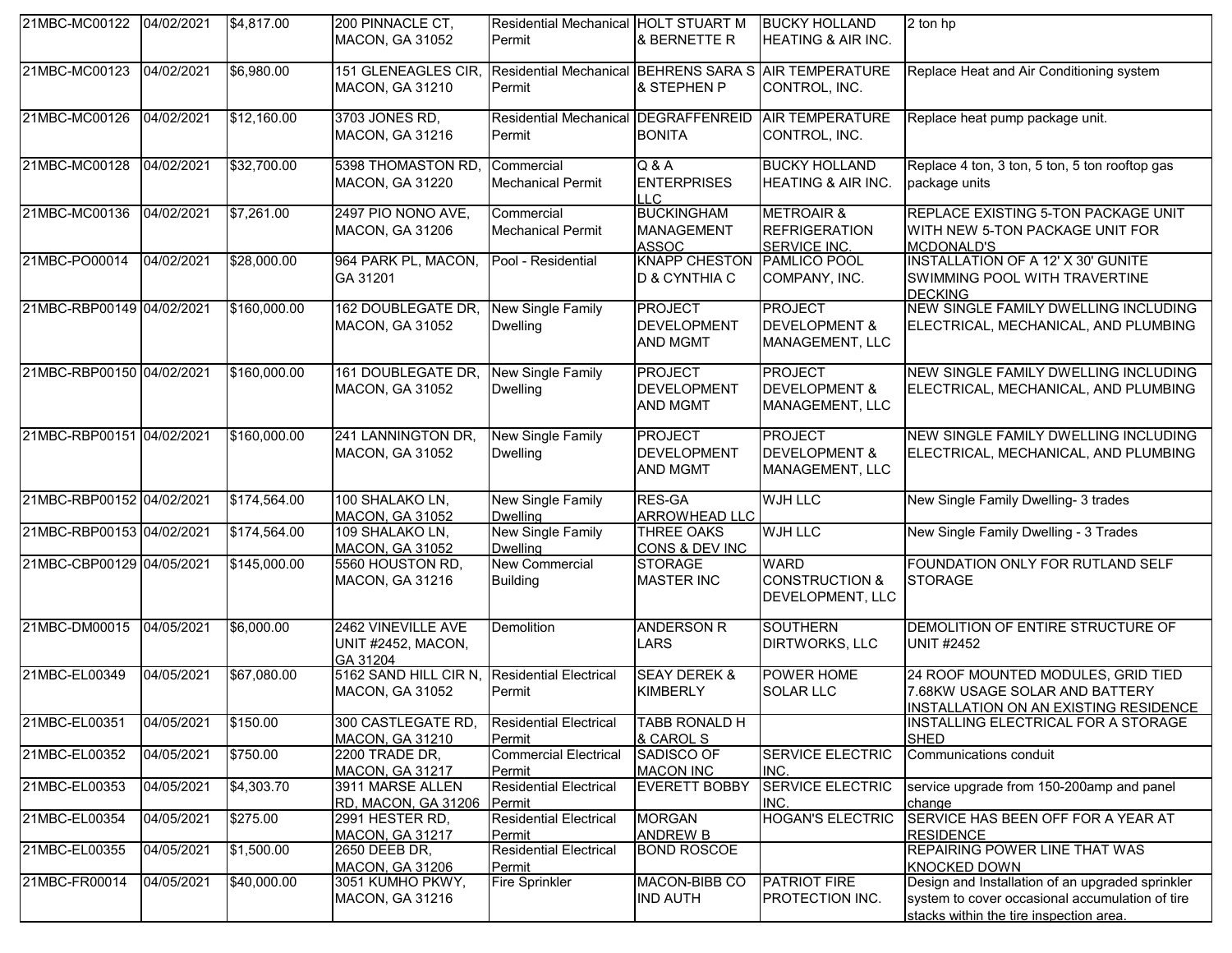| 21MBC-MC00122 04/02/2021  |            | \$4,817.00   | 200 PINNACLE CT,<br><b>MACON, GA 31052</b>           | Residential Mechanical HOLT STUART M<br>Permit                  | & BERNETTE R                                            | <b>BUCKY HOLLAND</b><br><b>HEATING &amp; AIR INC.</b>                | 2 ton hp                                                                                                                                       |
|---------------------------|------------|--------------|------------------------------------------------------|-----------------------------------------------------------------|---------------------------------------------------------|----------------------------------------------------------------------|------------------------------------------------------------------------------------------------------------------------------------------------|
| 21MBC-MC00123             | 04/02/2021 | \$6,980.00   | 151 GLENEAGLES CIR,<br><b>MACON, GA 31210</b>        | Residential Mechanical BEHRENS SARA S AIR TEMPERATURE<br>Permit | & STEPHEN P                                             | CONTROL, INC.                                                        | Replace Heat and Air Conditioning system                                                                                                       |
| 21MBC-MC00126             | 04/02/2021 | \$12,160.00  | 3703 JONES RD,<br><b>MACON, GA 31216</b>             | Residential Mechanical DEGRAFFENREID<br>Permit                  | <b>BONITA</b>                                           | <b>AIR TEMPERATURE</b><br>CONTROL, INC.                              | Replace heat pump package unit.                                                                                                                |
| 21MBC-MC00128             | 04/02/2021 | \$32,700.00  | 5398 THOMASTON RD,<br><b>MACON, GA 31220</b>         | Commercial<br><b>Mechanical Permit</b>                          | Q & A<br><b>ENTERPRISES</b><br>H C                      | <b>BUCKY HOLLAND</b><br><b>HEATING &amp; AIR INC.</b>                | Replace 4 ton, 3 ton, 5 ton, 5 ton rooftop gas<br>package units                                                                                |
| 21MBC-MC00136             | 04/02/2021 | \$7,261.00   | 2497 PIO NONO AVE,<br><b>MACON, GA 31206</b>         | Commercial<br><b>Mechanical Permit</b>                          | <b>BUCKINGHAM</b><br><b>MANAGEMENT</b><br><b>ASSOC</b>  | <b>METROAIR &amp;</b><br><b>REFRIGERATION</b><br><b>SERVICE INC.</b> | REPLACE EXISTING 5-TON PACKAGE UNIT<br>WITH NEW 5-TON PACKAGE UNIT FOR<br><b>MCDONALD'S</b>                                                    |
| 21MBC-PO00014             | 04/02/2021 | \$28,000.00  | 964 PARK PL, MACON,<br>GA 31201                      | Pool - Residential                                              | <b>KNAPP CHESTON</b><br><b>D &amp; CYNTHIA C</b>        | PAMLICO POOL<br>COMPANY, INC.                                        | <b>INSTALLATION OF A 12' X 30' GUNITE</b><br>SWIMMING POOL WITH TRAVERTINE<br><b>DECKING</b>                                                   |
| 21MBC-RBP00149 04/02/2021 |            | \$160,000.00 | 162 DOUBLEGATE DR,<br><b>MACON, GA 31052</b>         | <b>New Single Family</b><br><b>Dwelling</b>                     | <b>PROJECT</b><br><b>DEVELOPMENT</b><br><b>AND MGMT</b> | <b>PROJECT</b><br><b>DEVELOPMENT &amp;</b><br>MANAGEMENT, LLC        | NEW SINGLE FAMILY DWELLING INCLUDING<br>ELECTRICAL, MECHANICAL, AND PLUMBING                                                                   |
| 21MBC-RBP00150 04/02/2021 |            | \$160,000.00 | 161 DOUBLEGATE DR,<br><b>MACON, GA 31052</b>         | <b>New Single Family</b><br><b>Dwelling</b>                     | <b>PROJECT</b><br><b>DEVELOPMENT</b><br><b>AND MGMT</b> | <b>PROJECT</b><br><b>DEVELOPMENT &amp;</b><br>MANAGEMENT, LLC        | NEW SINGLE FAMILY DWELLING INCLUDING<br>ELECTRICAL, MECHANICAL, AND PLUMBING                                                                   |
| 21MBC-RBP00151 04/02/2021 |            | \$160,000.00 | 241 LANNINGTON DR,<br><b>MACON, GA 31052</b>         | New Single Family<br><b>Dwelling</b>                            | <b>PROJECT</b><br><b>DEVELOPMENT</b><br><b>AND MGMT</b> | PROJECT<br><b>DEVELOPMENT &amp;</b><br>MANAGEMENT, LLC               | NEW SINGLE FAMILY DWELLING INCLUDING<br>ELECTRICAL, MECHANICAL, AND PLUMBING                                                                   |
| 21MBC-RBP00152 04/02/2021 |            | \$174,564.00 | 100 SHALAKO LN,<br><b>MACON, GA 31052</b>            | New Single Family<br><b>Dwelling</b>                            | <b>RES-GA</b><br><b>ARROWHEAD LLC</b>                   | <b>WJH LLC</b>                                                       | New Single Family Dwelling- 3 trades                                                                                                           |
| 21MBC-RBP00153 04/02/2021 |            | \$174,564.00 | 109 SHALAKO LN,<br><b>MACON, GA 31052</b>            | <b>New Single Family</b><br><b>Dwelling</b>                     | <b>THREE OAKS</b><br><b>CONS &amp; DEV INC</b>          | <b>WJH LLC</b>                                                       | New Single Family Dwelling - 3 Trades                                                                                                          |
| 21MBC-CBP00129 04/05/2021 |            | \$145,000.00 | 5560 HOUSTON RD,<br>MACON, GA 31216                  | <b>New Commercial</b><br><b>Building</b>                        | <b>STORAGE</b><br><b>MASTER INC</b>                     | <b>WARD</b><br><b>CONSTRUCTION &amp;</b><br>DEVELOPMENT, LLC         | FOUNDATION ONLY FOR RUTLAND SELF<br><b>STORAGE</b>                                                                                             |
| 21MBC-DM00015             | 04/05/2021 | \$6,000.00   | 2462 VINEVILLE AVE<br>UNIT #2452, MACON,<br>GA 31204 | Demolition                                                      | <b>ANDERSON R</b><br><b>LARS</b>                        | <b>SOUTHERN</b><br><b>DIRTWORKS, LLC</b>                             | DEMOLITION OF ENTIRE STRUCTURE OF<br><b>UNIT #2452</b>                                                                                         |
| 21MBC-EL00349             | 04/05/2021 | \$67,080.00  | 5162 SAND HILL CIR N,<br><b>MACON, GA 31052</b>      | <b>Residential Electrical</b><br>Permit                         | <b>SEAY DEREK &amp;</b><br><b>KIMBERLY</b>              | POWER HOME<br><b>SOLAR LLC</b>                                       | 24 ROOF MOUNTED MODULES, GRID TIED<br>7.68KW USAGE SOLAR AND BATTERY<br>INSTALLATION ON AN EXISTING RESIDENCE                                  |
| 21MBC-EL00351             | 04/05/2021 | \$150.00     | 300 CASTLEGATE RD,<br><b>MACON, GA 31210</b>         | <b>Residential Electrical</b><br>Permit                         | TABB RONALD H<br>& CAROL S                              |                                                                      | INSTALLING ELECTRICAL FOR A STORAGE<br><b>SHED</b>                                                                                             |
| 21MBC-EL00352             | 04/05/2021 | \$750.00     | 2200 TRADE DR,<br><b>MACON, GA 31217</b>             | <b>Commercial Electrical</b><br>Permit                          | SADISCO OF<br><b>MACON INC</b>                          | <b>SERVICE ELECTRIC</b><br>INC.                                      | Communications conduit                                                                                                                         |
| 21MBC-EL00353             | 04/05/2021 | \$4,303.70   | 3911 MARSE ALLEN<br>RD, MACON, GA 31206              | <b>Residential Electrical</b><br>Permit                         | <b>EVERETT BOBBY</b>                                    | <b>SERVICE ELECTRIC</b><br>INC.                                      | service upgrade from 150-200amp and panel<br>change                                                                                            |
| 21MBC-EL00354             | 04/05/2021 | \$275.00     | 2991 HESTER RD,<br><b>MACON, GA 31217</b>            | <b>Residential Electrical</b><br>Permit                         | <b>MORGAN</b><br><b>ANDREW B</b>                        | <b>HOGAN'S ELECTRIC</b>                                              | SERVICE HAS BEEN OFF FOR A YEAR AT<br><b>RESIDENCE</b>                                                                                         |
| 21MBC-EL00355             | 04/05/2021 | \$1,500.00   | 2650 DEEB DR,<br><b>MACON, GA 31206</b>              | <b>Residential Electrical</b><br>Permit                         | <b>BOND ROSCOE</b>                                      |                                                                      | REPAIRING POWER LINE THAT WAS<br><b>KNOCKED DOWN</b>                                                                                           |
| 21MBC-FR00014             | 04/05/2021 | \$40,000.00  | 3051 KUMHO PKWY,<br>MACON, GA 31216                  | <b>Fire Sprinkler</b>                                           | MACON-BIBB CO<br><b>IND AUTH</b>                        | <b>PATRIOT FIRE</b><br>PROTECTION INC.                               | Design and Installation of an upgraded sprinkler<br>system to cover occasional accumulation of tire<br>stacks within the tire inspection area. |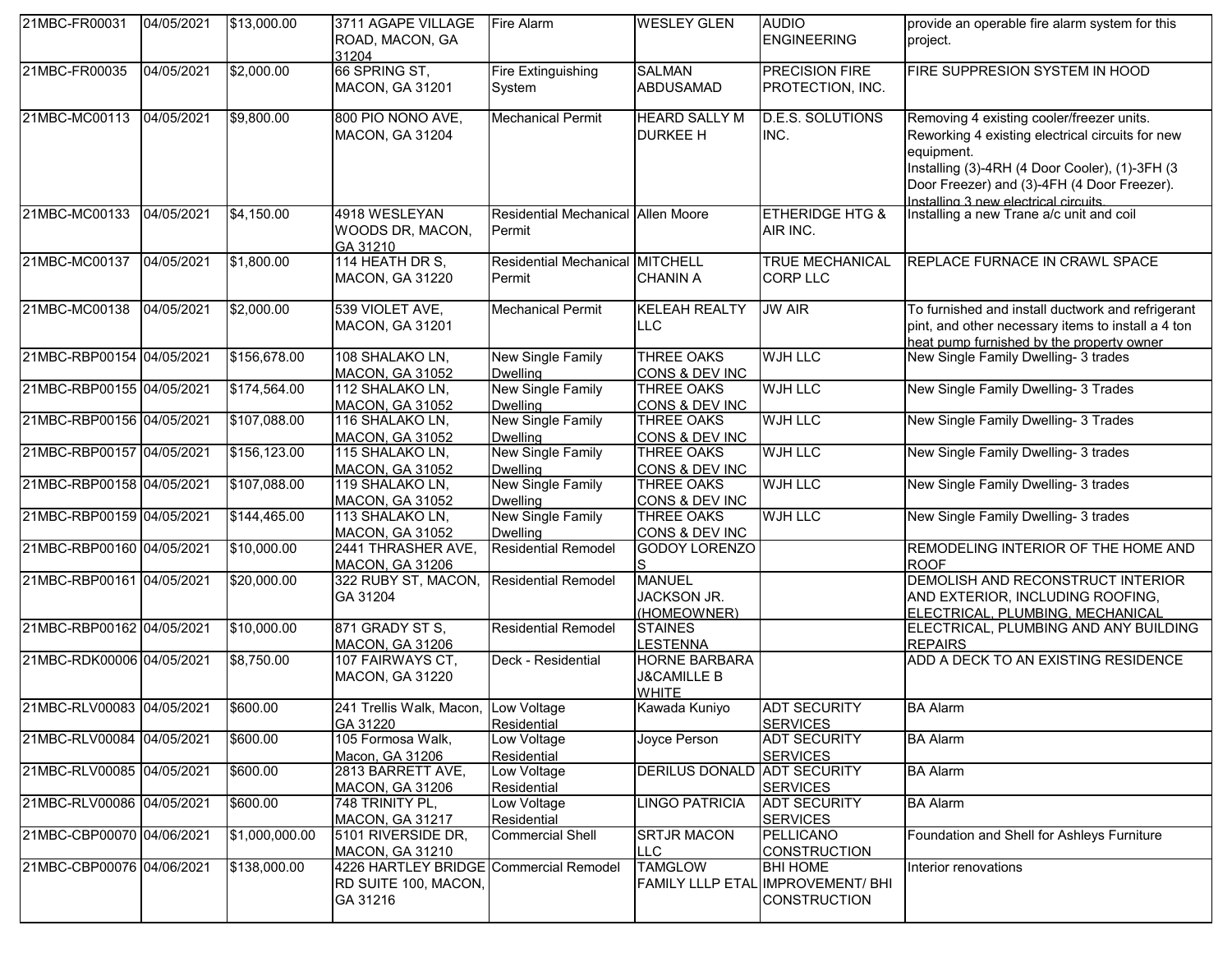| 21MBC-FR00031             | 04/05/2021 | \$13,000.00    | 3711 AGAPE VILLAGE<br>ROAD, MACON, GA<br>31204                             | Fire Alarm                                   | <b>WESLEY GLEN</b>                                             | <b>AUDIO</b><br><b>ENGINEERING</b>                                          | provide an operable fire alarm system for this<br>project.                                                                                                                                                                                           |
|---------------------------|------------|----------------|----------------------------------------------------------------------------|----------------------------------------------|----------------------------------------------------------------|-----------------------------------------------------------------------------|------------------------------------------------------------------------------------------------------------------------------------------------------------------------------------------------------------------------------------------------------|
| 21MBC-FR00035             | 04/05/2021 | \$2,000.00     | 66 SPRING ST,<br>MACON, GA 31201                                           | <b>Fire Extinguishing</b><br>System          | <b>SALMAN</b><br><b>ABDUSAMAD</b>                              | <b>PRECISION FIRE</b><br>PROTECTION, INC.                                   | FIRE SUPPRESION SYSTEM IN HOOD                                                                                                                                                                                                                       |
| 21MBC-MC00113             | 04/05/2021 | \$9,800.00     | 800 PIO NONO AVE,<br><b>MACON, GA 31204</b>                                | <b>Mechanical Permit</b>                     | <b>HEARD SALLY M</b><br><b>DURKEE H</b>                        | <b>D.E.S. SOLUTIONS</b><br>INC.                                             | Removing 4 existing cooler/freezer units.<br>Reworking 4 existing electrical circuits for new<br>equipment.<br>Installing (3)-4RH (4 Door Cooler), (1)-3FH (3<br>Door Freezer) and (3)-4FH (4 Door Freezer).<br>Installing 3 new electrical circuits |
| 21MBC-MC00133             | 04/05/2021 | \$4,150.00     | 4918 WESLEYAN<br>WOODS DR, MACON,<br>GA 31210                              | Residential Mechanical Allen Moore<br>Permit |                                                                | <b>ETHERIDGE HTG &amp;</b><br>AIR INC.                                      | Installing a new Trane a/c unit and coil                                                                                                                                                                                                             |
| 21MBC-MC00137             | 04/05/2021 | \$1,800.00     | 114 HEATH DR S,<br><b>MACON, GA 31220</b>                                  | Residential Mechanical MITCHELL<br>Permit    | <b>CHANIN A</b>                                                | <b>TRUE MECHANICAL</b><br><b>CORP LLC</b>                                   | REPLACE FURNACE IN CRAWL SPACE                                                                                                                                                                                                                       |
| 21MBC-MC00138             | 04/05/2021 | \$2,000.00     | 539 VIOLET AVE,<br>MACON, GA 31201                                         | <b>Mechanical Permit</b>                     | <b>KELEAH REALTY</b><br><b>LLC</b>                             | <b>JW AIR</b>                                                               | To furnished and install ductwork and refrigerant<br>pint, and other necessary items to install a 4 ton<br>heat pump furnished by the property owner                                                                                                 |
| 21MBC-RBP00154 04/05/2021 |            | \$156,678.00   | 108 SHALAKO LN,<br><b>MACON, GA 31052</b>                                  | <b>New Single Family</b><br><b>Dwelling</b>  | <b>THREE OAKS</b><br>CONS & DEV INC                            | <b>WJH LLC</b>                                                              | New Single Family Dwelling- 3 trades                                                                                                                                                                                                                 |
| 21MBC-RBP00155 04/05/2021 |            | \$174,564.00   | 112 SHALAKO LN,<br><b>MACON, GA 31052</b>                                  | New Single Family<br><b>Dwelling</b>         | <b>THREE OAKS</b><br>CONS & DEV INC                            | <b>WJH LLC</b>                                                              | New Single Family Dwelling- 3 Trades                                                                                                                                                                                                                 |
| 21MBC-RBP00156 04/05/2021 |            | \$107,088.00   | 116 SHALAKO LN,<br><b>MACON, GA 31052</b>                                  | New Single Family<br><b>Dwelling</b>         | <b>THREE OAKS</b><br>CONS & DEV INC                            | <b>WJH LLC</b>                                                              | New Single Family Dwelling- 3 Trades                                                                                                                                                                                                                 |
| 21MBC-RBP00157 04/05/2021 |            | \$156,123.00   | 115 SHALAKO LN,<br><b>MACON, GA 31052</b>                                  | New Single Family<br><b>Dwelling</b>         | <b>THREE OAKS</b><br>CONS & DEV INC                            | <b>WJH LLC</b>                                                              | New Single Family Dwelling- 3 trades                                                                                                                                                                                                                 |
| 21MBC-RBP00158 04/05/2021 |            | \$107,088.00   | 119 SHALAKO LN,<br><b>MACON, GA 31052</b>                                  | New Single Family<br><b>Dwelling</b>         | <b>THREE OAKS</b><br>CONS & DEV INC                            | <b>WJH LLC</b>                                                              | New Single Family Dwelling- 3 trades                                                                                                                                                                                                                 |
| 21MBC-RBP00159 04/05/2021 |            | \$144,465.00   | 113 SHALAKO LN,<br><b>MACON, GA 31052</b>                                  | New Single Family<br><b>Dwelling</b>         | <b>THREE OAKS</b><br>CONS & DEV INC                            | <b>WJH LLC</b>                                                              | New Single Family Dwelling- 3 trades                                                                                                                                                                                                                 |
| 21MBC-RBP00160 04/05/2021 |            | \$10,000.00    | 2441 THRASHER AVE,<br><b>MACON, GA 31206</b>                               | <b>Residential Remodel</b>                   | <b>GODOY LORENZO</b>                                           |                                                                             | REMODELING INTERIOR OF THE HOME AND<br><b>ROOF</b>                                                                                                                                                                                                   |
| 21MBC-RBP00161 04/05/2021 |            | \$20,000.00    | 322 RUBY ST, MACON,<br>GA 31204                                            | <b>Residential Remodel</b>                   | <b>MANUEL</b><br>JACKSON JR.<br>(HOMEOWNER)                    |                                                                             | DEMOLISH AND RECONSTRUCT INTERIOR<br>AND EXTERIOR, INCLUDING ROOFING,<br>ELECTRICAL, PLUMBING, MECHANICAL                                                                                                                                            |
| 21MBC-RBP00162 04/05/2021 |            | \$10,000.00    | 871 GRADY ST S,<br><b>MACON, GA 31206</b>                                  | <b>Residential Remodel</b>                   | <b>STAINES</b><br><b>LESTENNA</b>                              |                                                                             | ELECTRICAL, PLUMBING AND ANY BUILDING<br><b>REPAIRS</b>                                                                                                                                                                                              |
| 21MBC-RDK00006 04/05/2021 |            | \$8,750.00     | 107 FAIRWAYS CT,<br><b>MACON, GA 31220</b>                                 | Deck - Residential                           | <b>HORNE BARBARA</b><br><b>J&amp;CAMILLE B</b><br><b>WHITE</b> |                                                                             | ADD A DECK TO AN EXISTING RESIDENCE                                                                                                                                                                                                                  |
| 21MBC-RLV00083 04/05/2021 |            | \$600.00       | 241 Trellis Walk, Macon, Low Voltage<br>GA 31220                           | Residential                                  | Kawada Kuniyo                                                  | <b>ADT SECURITY</b><br><b>SERVICES</b>                                      | <b>BA</b> Alarm                                                                                                                                                                                                                                      |
| 21MBC-RLV00084 04/05/2021 |            | \$600.00       | 105 Formosa Walk,<br>Macon, GA 31206                                       | Low Voltage<br>Residential                   | Joyce Person                                                   | <b>ADT SECURITY</b><br><b>SERVICES</b>                                      | <b>BA Alarm</b>                                                                                                                                                                                                                                      |
| 21MBC-RLV00085 04/05/2021 |            | \$600.00       | 2813 BARRETT AVE,<br><b>MACON, GA 31206</b>                                | Low Voltage<br>Residential                   | DERILUS DONALD ADT SECURITY                                    | <b>SERVICES</b>                                                             | <b>BA Alarm</b>                                                                                                                                                                                                                                      |
| 21MBC-RLV00086 04/05/2021 |            | \$600.00       | 748 TRINITY PL,<br><b>MACON, GA 31217</b>                                  | Low Voltage<br>Residential                   | <b>LINGO PATRICIA</b>                                          | <b>ADT SECURITY</b><br><b>SERVICES</b>                                      | <b>BA Alarm</b>                                                                                                                                                                                                                                      |
| 21MBC-CBP00070 04/06/2021 |            | \$1,000,000.00 | 5101 RIVERSIDE DR,<br>MACON, GA 31210                                      | <b>Commercial Shell</b>                      | <b>SRTJR MACON</b><br><b>LLC</b>                               | PELLICANO<br><b>CONSTRUCTION</b>                                            | Foundation and Shell for Ashleys Furniture                                                                                                                                                                                                           |
| 21MBC-CBP00076 04/06/2021 |            | \$138,000.00   | 4226 HARTLEY BRIDGE Commercial Remodel<br>RD SUITE 100, MACON,<br>GA 31216 |                                              | <b>TAMGLOW</b>                                                 | <b>BHI HOME</b><br>FAMILY LLLP ETAL IMPROVEMENT/ BHI<br><b>CONSTRUCTION</b> | Interior renovations                                                                                                                                                                                                                                 |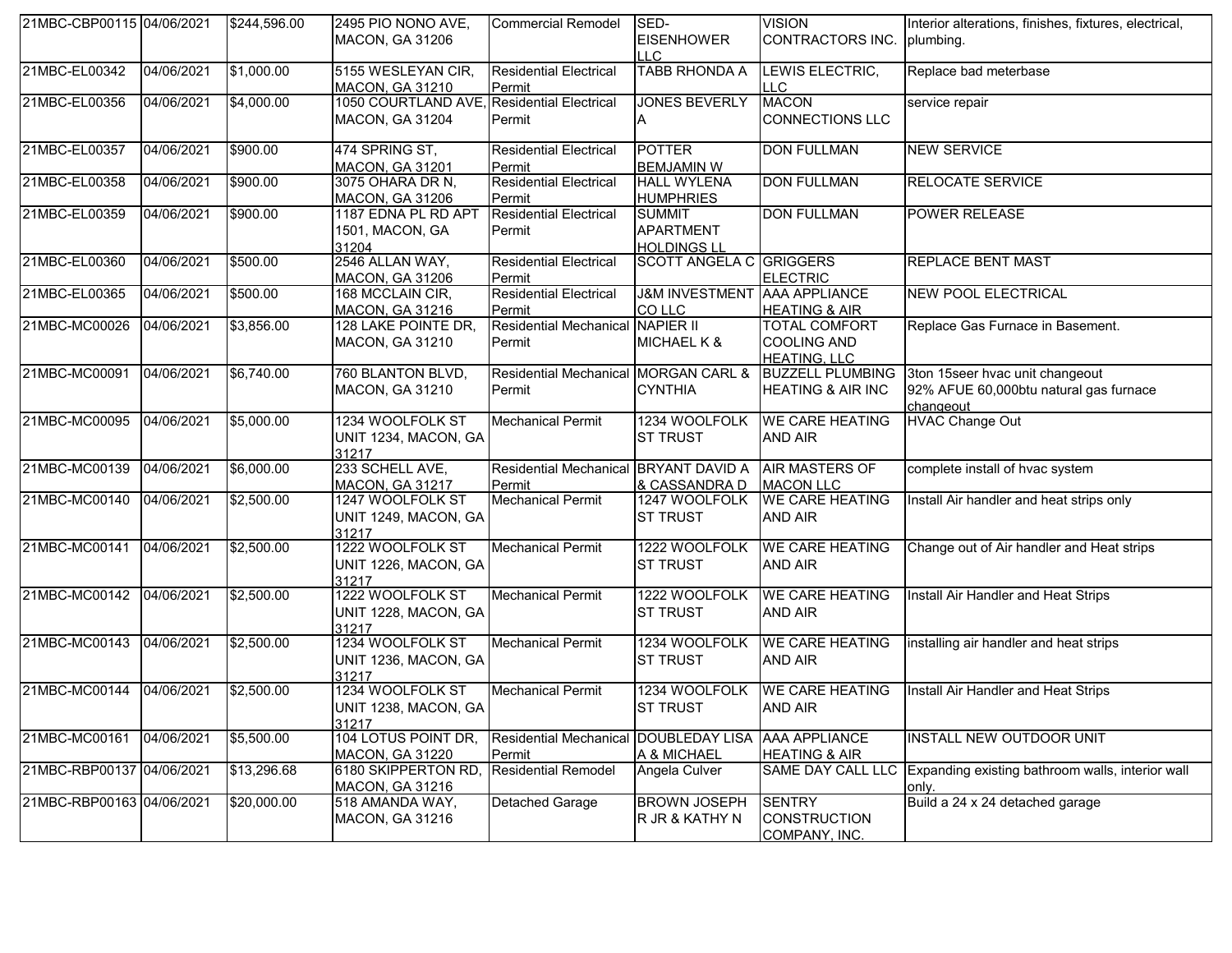| 21MBC-CBP00115 04/06/2021 |            | \$244,596.00 | 2495 PIO NONO AVE,<br>MACON, GA 31206                                | <b>Commercial Remodel</b>                      | SED-<br><b>EISENHOWER</b><br>LLC                        | <b>VISION</b><br>CONTRACTORS INC.                                 | Interior alterations, finishes, fixtures, electrical,<br>plumbing.                     |
|---------------------------|------------|--------------|----------------------------------------------------------------------|------------------------------------------------|---------------------------------------------------------|-------------------------------------------------------------------|----------------------------------------------------------------------------------------|
| 21MBC-EL00342             | 04/06/2021 | \$1,000.00   | 5155 WESLEYAN CIR,<br><b>MACON, GA 31210</b>                         | <b>Residential Electrical</b><br>Permit        | <b>TABB RHONDA A</b>                                    | LEWIS ELECTRIC,<br>LLC.                                           | Replace bad meterbase                                                                  |
| 21MBC-EL00356             | 04/06/2021 | \$4,000.00   | 1050 COURTLAND AVE, Residential Electrical<br><b>MACON, GA 31204</b> | Permit                                         | <b>JONES BEVERLY</b><br>A                               | <b>MACON</b><br><b>CONNECTIONS LLC</b>                            | service repair                                                                         |
| 21MBC-EL00357             | 04/06/2021 | \$900.00     | 474 SPRING ST,<br>MACON, GA 31201                                    | <b>Residential Electrical</b><br>Permit        | <b>POTTER</b><br><b>BEMJAMIN W</b>                      | <b>DON FULLMAN</b>                                                | <b>NEW SERVICE</b>                                                                     |
| 21MBC-EL00358             | 04/06/2021 | \$900.00     | 3075 OHARA DR N,<br><b>MACON, GA 31206</b>                           | <b>Residential Electrical</b><br>Permit        | <b>HALL WYLENA</b><br><b>HUMPHRIES</b>                  | <b>DON FULLMAN</b>                                                | <b>RELOCATE SERVICE</b>                                                                |
| 21MBC-EL00359             | 04/06/2021 | \$900.00     | 1187 EDNA PL RD APT<br>1501, MACON, GA<br>31204                      | <b>Residential Electrical</b><br>Permit        | <b>SUMMIT</b><br><b>APARTMENT</b><br><b>HOLDINGS LL</b> | <b>DON FULLMAN</b>                                                | <b>POWER RELEASE</b>                                                                   |
| 21MBC-EL00360             | 04/06/2021 | \$500.00     | 2546 ALLAN WAY,<br><b>MACON, GA 31206</b>                            | <b>Residential Electrical</b><br>Permit        | <b>SCOTT ANGELA C GRIGGERS</b>                          | <b>ELECTRIC</b>                                                   | <b>REPLACE BENT MAST</b>                                                               |
| 21MBC-EL00365             | 04/06/2021 | \$500.00     | 168 MCCLAIN CIR,<br><b>MACON, GA 31216</b>                           | <b>Residential Electrical</b><br>Permit        | <b>J&amp;M INVESTMENT AAA APPLIANCE</b><br>CO LLC       | <b>HEATING &amp; AIR</b>                                          | <b>NEW POOL ELECTRICAL</b>                                                             |
| 21MBC-MC00026             | 04/06/2021 | \$3,856.00   | 128 LAKE POINTE DR,<br>MACON, GA 31210                               | <b>Residential Mechanical</b><br>Permit        | <b>NAPIER II</b><br>MICHAEL K &                         | <b>TOTAL COMFORT</b><br><b>COOLING AND</b><br><b>HEATING, LLC</b> | Replace Gas Furnace in Basement.                                                       |
| 21MBC-MC00091             | 04/06/2021 | \$6,740.00   | 760 BLANTON BLVD,<br>MACON, GA 31210                                 | Residential Mechanical MORGAN CARL &<br>Permit | <b>CYNTHIA</b>                                          | <b>BUZZELL PLUMBING</b><br><b>HEATING &amp; AIR INC</b>           | 3ton 15seer hvac unit changeout<br>92% AFUE 60,000btu natural gas furnace<br>changeout |
| 21MBC-MC00095             | 04/06/2021 | \$5,000.00   | 1234 WOOLFOLK ST<br>UNIT 1234, MACON, GA<br>31217                    | <b>Mechanical Permit</b>                       | 1234 WOOLFOLK<br><b>ST TRUST</b>                        | <b>WE CARE HEATING</b><br><b>AND AIR</b>                          | <b>HVAC Change Out</b>                                                                 |
| 21MBC-MC00139             | 04/06/2021 | \$6,000.00   | 233 SCHELL AVE,<br><b>MACON, GA 31217</b>                            | <b>Residential Mechanical</b><br>Permit        | <b>BRYANT DAVID A</b><br>& CASSANDRA D                  | <b>AIR MASTERS OF</b><br><b>MACON LLC</b>                         | complete install of hvac system                                                        |
| 21MBC-MC00140             | 04/06/2021 | \$2,500.00   | 1247 WOOLFOLK ST<br>UNIT 1249, MACON, GA<br>31217                    | <b>Mechanical Permit</b>                       | 1247 WOOLFOLK<br><b>ST TRUST</b>                        | <b>WE CARE HEATING</b><br><b>AND AIR</b>                          | Install Air handler and heat strips only                                               |
| 21MBC-MC00141             | 04/06/2021 | \$2,500.00   | 1222 WOOLFOLK ST<br>UNIT 1226, MACON, GA<br>31217                    | <b>Mechanical Permit</b>                       | 1222 WOOLFOLK<br><b>ST TRUST</b>                        | <b>WE CARE HEATING</b><br><b>AND AIR</b>                          | Change out of Air handler and Heat strips                                              |
| 21MBC-MC00142             | 04/06/2021 | \$2,500.00   | 1222 WOOLFOLK ST<br>UNIT 1228, MACON, GA<br>31217                    | <b>Mechanical Permit</b>                       | 1222 WOOLFOLK<br><b>ST TRUST</b>                        | <b>WE CARE HEATING</b><br><b>AND AIR</b>                          | Install Air Handler and Heat Strips                                                    |
| 21MBC-MC00143             | 04/06/2021 | \$2,500.00   | 1234 WOOLFOLK ST<br>UNIT 1236, MACON, GA<br>31217                    | <b>Mechanical Permit</b>                       | 1234 WOOLFOLK<br><b>ST TRUST</b>                        | <b>WE CARE HEATING</b><br><b>AND AIR</b>                          | installing air handler and heat strips                                                 |
| 21MBC-MC00144             | 04/06/2021 | \$2,500.00   | 1234 WOOLFOLK ST<br>UNIT 1238, MACON, GA<br>31217                    | <b>Mechanical Permit</b>                       | 1234 WOOLFOLK<br><b>ST TRUST</b>                        | <b>WE CARE HEATING</b><br>AND AIR                                 | Install Air Handler and Heat Strips                                                    |
| 21MBC-MC00161             | 04/06/2021 | \$5,500.00   | 104 LOTUS POINT DR,<br>MACON, GA 31220                               | <b>Residential Mechanical</b><br>Permit        | <b>DOUBLEDAY LISA</b><br>A & MICHAEL                    | <b>AAA APPLIANCE</b><br><b>HEATING &amp; AIR</b>                  | <b>INSTALL NEW OUTDOOR UNIT</b>                                                        |
| 21MBC-RBP00137 04/06/2021 |            | \$13,296.68  | 6180 SKIPPERTON RD,<br>MACON, GA 31216                               | <b>Residential Remodel</b>                     | Angela Culver                                           | SAME DAY CALL LLC                                                 | Expanding existing bathroom walls, interior wall<br>only.                              |
| 21MBC-RBP00163 04/06/2021 |            | \$20,000.00  | 518 AMANDA WAY,<br>MACON, GA 31216                                   | Detached Garage                                | <b>BROWN JOSEPH</b><br>R JR & KATHY N                   | <b>SENTRY</b><br><b>CONSTRUCTION</b><br>COMPANY, INC.             | Build a 24 x 24 detached garage                                                        |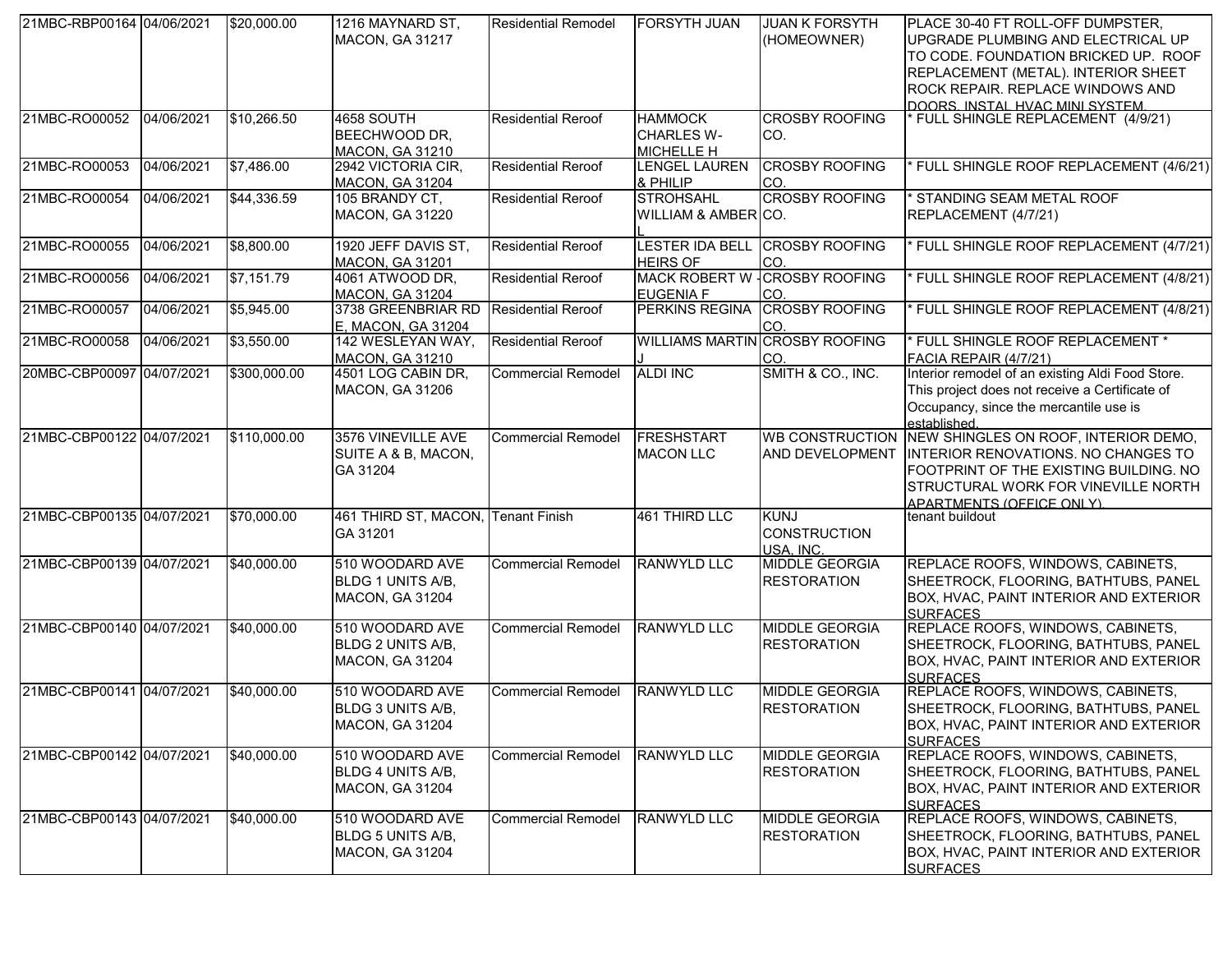| 21MBC-RBP00164 04/06/2021 |            | \$20,000.00  | 1216 MAYNARD ST.<br><b>MACON, GA 31217</b>                            | <b>Residential Remodel</b> | <b>FORSYTH JUAN</b>                                      | <b>JUAN K FORSYTH</b><br>(HOMEOWNER)            | PLACE 30-40 FT ROLL-OFF DUMPSTER,<br>UPGRADE PLUMBING AND ELECTRICAL UP<br>TO CODE. FOUNDATION BRICKED UP. ROOF<br>REPLACEMENT (METAL). INTERIOR SHEET<br>ROCK REPAIR. REPLACE WINDOWS AND<br>DOORS. INSTAL HVAC MINI SYSTEM. |
|---------------------------|------------|--------------|-----------------------------------------------------------------------|----------------------------|----------------------------------------------------------|-------------------------------------------------|-------------------------------------------------------------------------------------------------------------------------------------------------------------------------------------------------------------------------------|
| 21MBC-RO00052             | 04/06/2021 | \$10,266.50  | <b>4658 SOUTH</b><br>BEECHWOOD DR,<br><b>MACON, GA 31210</b>          | <b>Residential Reroof</b>  | <b>HAMMOCK</b><br><b>CHARLES W-</b><br><b>MICHELLE H</b> | <b>CROSBY ROOFING</b><br>CO.                    | FULL SHINGLE REPLACEMENT (4/9/21)                                                                                                                                                                                             |
| 21MBC-RO00053             | 04/06/2021 | \$7,486.00   | 2942 VICTORIA CIR,<br><b>MACON, GA 31204</b>                          | <b>Residential Reroof</b>  | <b>LENGEL LAUREN</b><br>& PHILIP                         | <b>CROSBY ROOFING</b><br>CO.                    | FULL SHINGLE ROOF REPLACEMENT (4/6/21)                                                                                                                                                                                        |
| 21MBC-RO00054             | 04/06/2021 | \$44,336.59  | 105 BRANDY CT,<br><b>MACON, GA 31220</b>                              | <b>Residential Reroof</b>  | <b>STROHSAHL</b><br>WILLIAM & AMBER CO.                  | <b>CROSBY ROOFING</b>                           | STANDING SEAM METAL ROOF<br>REPLACEMENT (4/7/21)                                                                                                                                                                              |
| 21MBC-RO00055             | 04/06/2021 | \$8,800.00   | 1920 JEFF DAVIS ST,<br><b>MACON, GA 31201</b>                         | <b>Residential Reroof</b>  | <b>LESTER IDA BELL</b><br><b>HEIRS OF</b>                | <b>CROSBY ROOFING</b><br>ICO.                   | FULL SHINGLE ROOF REPLACEMENT (4/7/21)                                                                                                                                                                                        |
| 21MBC-RO00056             | 04/06/2021 | \$7,151.79   | 4061 ATWOOD DR,<br><b>MACON, GA 31204</b>                             | <b>Residential Reroof</b>  | <b>EUGENIA F</b>                                         | MACK ROBERT W - CROSBY ROOFING<br>CO.           | FULL SHINGLE ROOF REPLACEMENT (4/8/21)                                                                                                                                                                                        |
| 21MBC-RO00057             | 04/06/2021 | \$5,945.00   | 3738 GREENBRIAR RD<br>E, MACON, GA 31204                              | <b>Residential Reroof</b>  | PERKINS REGINA                                           | <b>CROSBY ROOFING</b><br>CO.                    | FULL SHINGLE ROOF REPLACEMENT (4/8/21)                                                                                                                                                                                        |
| 21MBC-RO00058             | 04/06/2021 | \$3,550.00   | 142 WESLEYAN WAY,<br><b>MACON, GA 31210</b>                           | <b>Residential Reroof</b>  |                                                          | <b>WILLIAMS MARTIN CROSBY ROOFING</b><br>CO.    | FULL SHINGLE ROOF REPLACEMENT *<br>FACIA REPAIR (4/7/21)                                                                                                                                                                      |
| 20MBC-CBP00097 04/07/2021 |            | \$300,000.00 | 4501 LOG CABIN DR,<br><b>MACON, GA 31206</b>                          | <b>Commercial Remodel</b>  | <b>ALDI INC</b>                                          | SMITH & CO., INC.                               | Interior remodel of an existing Aldi Food Store.<br>This project does not receive a Certificate of<br>Occupancy, since the mercantile use is<br>established.                                                                  |
| 21MBC-CBP00122 04/07/2021 |            | \$110,000.00 | 3576 VINEVILLE AVE<br>SUITE A & B, MACON,<br>GA 31204                 | <b>Commercial Remodel</b>  | FRESHSTART<br><b>MACON LLC</b>                           | <b>WB CONSTRUCTION</b><br>AND DEVELOPMENT       | NEW SHINGLES ON ROOF, INTERIOR DEMO,<br>INTERIOR RENOVATIONS. NO CHANGES TO<br>FOOTPRINT OF THE EXISTING BUILDING. NO<br>STRUCTURAL WORK FOR VINEVILLE NORTH<br>APARTMENTS (OFFICE ONLY).                                     |
| 21MBC-CBP00135 04/07/2021 |            | \$70,000.00  | 461 THIRD ST, MACON, Tenant Finish<br>GA 31201                        |                            | 461 THIRD LLC                                            | <b>KUNJ</b><br><b>CONSTRUCTION</b><br>USA, INC. | tenant buildout                                                                                                                                                                                                               |
| 21MBC-CBP00139 04/07/2021 |            | \$40,000.00  | 510 WOODARD AVE<br>BLDG 1 UNITS A/B,<br>MACON, GA 31204               | <b>Commercial Remodel</b>  | <b>RANWYLD LLC</b>                                       | <b>MIDDLE GEORGIA</b><br><b>RESTORATION</b>     | REPLACE ROOFS, WINDOWS, CABINETS,<br>SHEETROCK, FLOORING, BATHTUBS, PANEL<br>BOX, HVAC, PAINT INTERIOR AND EXTERIOR<br><b>SURFACES</b>                                                                                        |
| 21MBC-CBP00140 04/07/2021 |            | \$40,000.00  | 510 WOODARD AVE<br>BLDG 2 UNITS A/B,<br>MACON, GA 31204               | <b>Commercial Remodel</b>  | <b>RANWYLD LLC</b>                                       | <b>MIDDLE GEORGIA</b><br><b>RESTORATION</b>     | REPLACE ROOFS, WINDOWS, CABINETS,<br>SHEETROCK, FLOORING, BATHTUBS, PANEL<br>BOX, HVAC, PAINT INTERIOR AND EXTERIOR<br><b>SURFACES</b>                                                                                        |
| 21MBC-CBP00141 04/07/2021 |            | \$40,000.00  | 510 WOODARD AVE<br><b>BLDG 3 UNITS A/B,</b><br><b>MACON, GA 31204</b> | <b>Commercial Remodel</b>  | <b>RANWYLD LLC</b>                                       | <b>MIDDLE GEORGIA</b><br><b>RESTORATION</b>     | REPLACE ROOFS, WINDOWS, CABINETS,<br>SHEETROCK, FLOORING, BATHTUBS, PANEL<br>BOX, HVAC, PAINT INTERIOR AND EXTERIOR<br><b>SURFACES</b>                                                                                        |
| 21MBC-CBP00142 04/07/2021 |            | \$40,000.00  | 510 WOODARD AVE<br>BLDG 4 UNITS A/B,<br>MACON, GA 31204               | <b>Commercial Remodel</b>  | <b>RANWYLD LLC</b>                                       | <b>MIDDLE GEORGIA</b><br><b>RESTORATION</b>     | REPLACE ROOFS, WINDOWS, CABINETS,<br>SHEETROCK, FLOORING, BATHTUBS, PANEL<br>BOX, HVAC, PAINT INTERIOR AND EXTERIOR<br><b>SURFACES</b>                                                                                        |
| 21MBC-CBP00143 04/07/2021 |            | \$40,000.00  | 510 WOODARD AVE<br>BLDG 5 UNITS A/B,<br><b>MACON, GA 31204</b>        | <b>Commercial Remodel</b>  | <b>RANWYLD LLC</b>                                       | <b>MIDDLE GEORGIA</b><br><b>RESTORATION</b>     | REPLACE ROOFS, WINDOWS, CABINETS,<br>SHEETROCK, FLOORING, BATHTUBS, PANEL<br>BOX, HVAC, PAINT INTERIOR AND EXTERIOR<br><b>SURFACES</b>                                                                                        |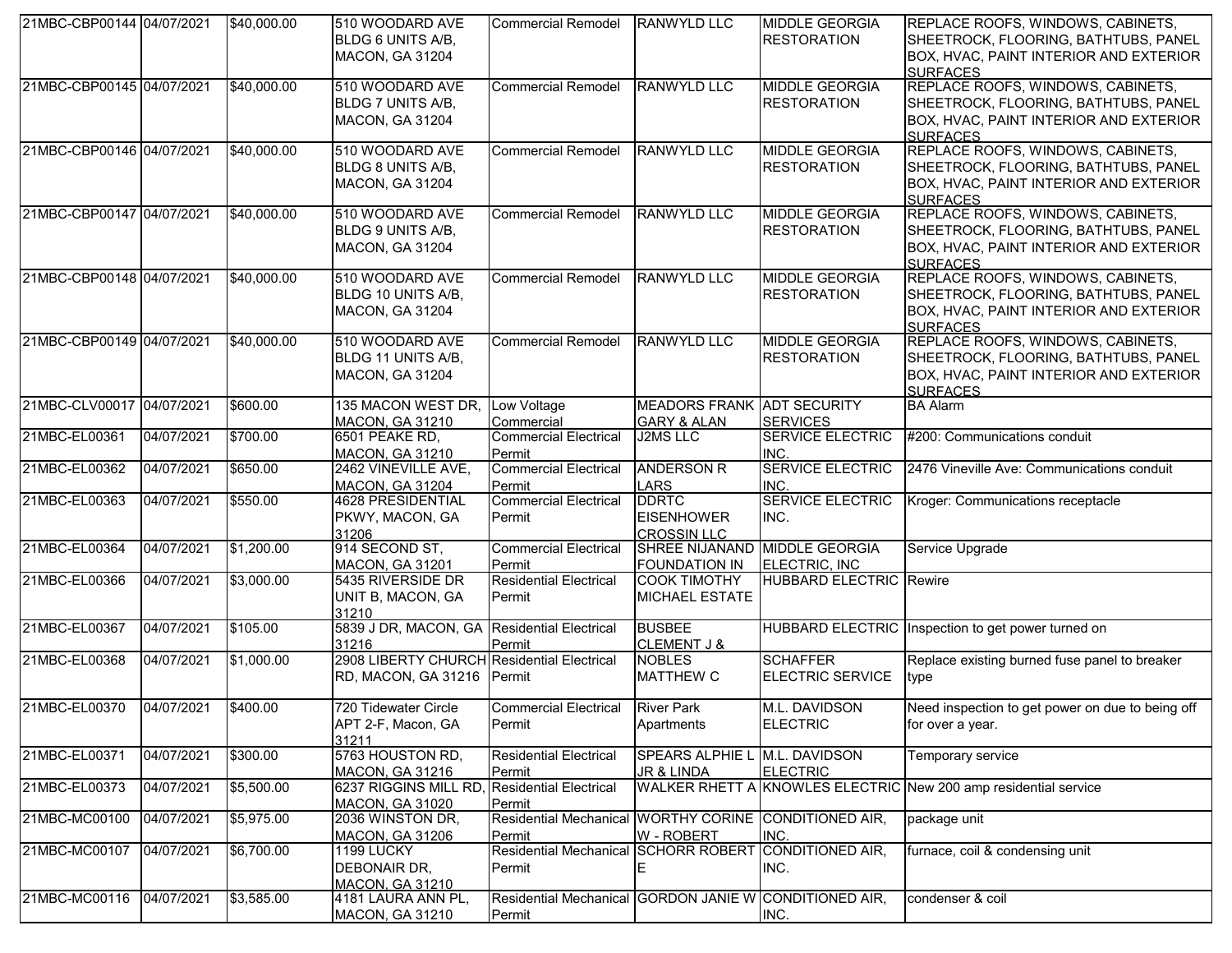| 21MBC-CBP00144 04/07/2021 |            | \$40,000.00 | 510 WOODARD AVE<br><b>BLDG 6 UNITS A/B,</b><br><b>MACON, GA 31204</b>    | <b>Commercial Remodel</b>                                        | RANWYLD LLC                                                 | <b>MIDDLE GEORGIA</b><br><b>RESTORATION</b>    | REPLACE ROOFS, WINDOWS, CABINETS,<br>SHEETROCK, FLOORING, BATHTUBS, PANEL<br>BOX, HVAC, PAINT INTERIOR AND EXTERIOR<br><b>SURFACES</b>        |
|---------------------------|------------|-------------|--------------------------------------------------------------------------|------------------------------------------------------------------|-------------------------------------------------------------|------------------------------------------------|-----------------------------------------------------------------------------------------------------------------------------------------------|
| 21MBC-CBP00145 04/07/2021 |            | \$40,000.00 | 510 WOODARD AVE<br><b>BLDG 7 UNITS A/B,</b><br><b>MACON, GA 31204</b>    | <b>Commercial Remodel</b>                                        | <b>RANWYLD LLC</b>                                          | <b>MIDDLE GEORGIA</b><br><b>RESTORATION</b>    | REPLACE ROOFS, WINDOWS, CABINETS,<br>SHEETROCK, FLOORING, BATHTUBS, PANEL<br>BOX, HVAC, PAINT INTERIOR AND EXTERIOR<br><b>SURFACES</b>        |
| 21MBC-CBP00146 04/07/2021 |            | \$40,000.00 | 510 WOODARD AVE<br>BLDG 8 UNITS A/B,<br><b>MACON, GA 31204</b>           | Commercial Remodel                                               | RANWYLD LLC                                                 | <b>MIDDLE GEORGIA</b><br><b>RESTORATION</b>    | REPLACE ROOFS, WINDOWS, CABINETS,<br>SHEETROCK, FLOORING, BATHTUBS, PANEL<br>BOX, HVAC, PAINT INTERIOR AND EXTERIOR<br><b>SURFACES</b>        |
| 21MBC-CBP00147 04/07/2021 |            | \$40,000.00 | 510 WOODARD AVE<br>BLDG 9 UNITS A/B,<br><b>MACON, GA 31204</b>           | <b>Commercial Remodel</b>                                        | <b>RANWYLD LLC</b>                                          | <b>MIDDLE GEORGIA</b><br><b>RESTORATION</b>    | REPLACE ROOFS, WINDOWS, CABINETS,<br>SHEETROCK, FLOORING, BATHTUBS, PANEL<br>BOX, HVAC, PAINT INTERIOR AND EXTERIOR<br><b>SURFACES</b>        |
| 21MBC-CBP00148 04/07/2021 |            | \$40,000.00 | 510 WOODARD AVE<br>BLDG 10 UNITS A/B,<br><b>MACON, GA 31204</b>          | <b>Commercial Remodel</b>                                        | <b>RANWYLD LLC</b>                                          | <b>MIDDLE GEORGIA</b><br><b>RESTORATION</b>    | <b>REPLACE ROOFS, WINDOWS, CABINETS,</b><br>SHEETROCK, FLOORING, BATHTUBS, PANEL<br>BOX, HVAC, PAINT INTERIOR AND EXTERIOR<br><b>SURFACES</b> |
| 21MBC-CBP00149 04/07/2021 |            | \$40,000.00 | 510 WOODARD AVE<br>BLDG 11 UNITS A/B,<br><b>MACON, GA 31204</b>          | <b>Commercial Remodel</b>                                        | <b>RANWYLD LLC</b>                                          | <b>MIDDLE GEORGIA</b><br><b>RESTORATION</b>    | REPLACE ROOFS, WINDOWS, CABINETS,<br>SHEETROCK, FLOORING, BATHTUBS, PANEL<br>BOX, HVAC, PAINT INTERIOR AND EXTERIOR<br><b>SURFACES</b>        |
| 21MBC-CLV00017 04/07/2021 |            | \$600.00    | 135 MACON WEST DR,<br><b>MACON, GA 31210</b>                             | Low Voltage<br>Commercial                                        | <b>MEADORS FRANK ADT SECURITY</b><br><b>GARY &amp; ALAN</b> | <b>SERVICES</b>                                | <b>BA Alarm</b>                                                                                                                               |
| 21MBC-EL00361             | 04/07/2021 | \$700.00    | 6501 PEAKE RD,<br><b>MACON, GA 31210</b>                                 | <b>Commercial Electrical</b><br>Permit                           | <b>J2MS LLC</b>                                             | <b>SERVICE ELECTRIC</b><br>INC.                | #200: Communications conduit                                                                                                                  |
| 21MBC-EL00362             | 04/07/2021 | \$650.00    | 2462 VINEVILLE AVE,<br><b>MACON, GA 31204</b>                            | <b>Commercial Electrical</b><br>Permit                           | <b>ANDERSON R</b><br><b>LARS</b>                            | <b>SERVICE ELECTRIC</b><br>INC.                | 2476 Vineville Ave: Communications conduit                                                                                                    |
| 21MBC-EL00363             | 04/07/2021 | \$550.00    | 4628 PRESIDENTIAL<br>PKWY, MACON, GA<br>31206                            | <b>Commercial Electrical</b><br>Permit                           | <b>DDRTC</b><br><b>EISENHOWER</b><br><b>CROSSIN LLC</b>     | <b>SERVICE ELECTRIC</b><br>INC.                | Kroger: Communications receptacle                                                                                                             |
| 21MBC-EL00364             | 04/07/2021 | \$1,200.00  | 914 SECOND ST,<br><b>MACON, GA 31201</b>                                 | <b>Commercial Electrical</b><br>Permit                           | <b>FOUNDATION IN</b>                                        | SHREE NIJANAND MIDDLE GEORGIA<br>ELECTRIC, INC | Service Upgrade                                                                                                                               |
| 21MBC-EL00366             | 04/07/2021 | \$3,000.00  | 5435 RIVERSIDE DR<br>UNIT B, MACON, GA<br>31210                          | <b>Residential Electrical</b><br>Permit                          | <b>COOK TIMOTHY</b><br><b>MICHAEL ESTATE</b>                | <b>HUBBARD ELECTRIC Rewire</b>                 |                                                                                                                                               |
| 21MBC-EL00367             | 04/07/2021 | \$105.00    | 5839 J DR, MACON, GA Residential Electrical<br>31216                     | Permit                                                           | <b>BUSBEE</b><br><b>CLEMENT J &amp;</b>                     |                                                | HUBBARD ELECTRIC Inspection to get power turned on                                                                                            |
| 21MBC-EL00368             | 04/07/2021 | \$1,000.00  | 2908 LIBERTY CHURCH Residential Electrical<br>RD, MACON, GA 31216 Permit |                                                                  | <b>NOBLES</b><br><b>MATTHEW C</b>                           | <b>SCHAFFER</b><br><b>ELECTRIC SERVICE</b>     | Replace existing burned fuse panel to breaker<br>type                                                                                         |
| 21MBC-EL00370             | 04/07/2021 | \$400.00    | 720 Tidewater Circle<br>APT 2-F, Macon, GA<br>31211                      | <b>Commercial Electrical</b><br>Permit                           | <b>River Park</b><br>Apartments                             | M.L. DAVIDSON<br><b>ELECTRIC</b>               | Need inspection to get power on due to being off<br>for over a year.                                                                          |
| 21MBC-EL00371             | 04/07/2021 | \$300.00    | 5763 HOUSTON RD,<br><b>MACON, GA 31216</b>                               | <b>Residential Electrical</b><br>Permit                          | SPEARS ALPHIE L<br>JR & LINDA                               | M.L. DAVIDSON<br><b>ELECTRIC</b>               | Temporary service                                                                                                                             |
| 21MBC-EL00373             | 04/07/2021 | \$5,500.00  | 6237 RIGGINS MILL RD, Residential Electrical<br><b>MACON, GA 31020</b>   | Permit                                                           |                                                             |                                                | WALKER RHETT A KNOWLES ELECTRIC New 200 amp residential service                                                                               |
| 21MBC-MC00100             | 04/07/2021 | \$5,975.00  | 2036 WINSTON DR,<br><b>MACON, GA 31206</b>                               | Residential Mechanical WORTHY CORINE CONDITIONED AIR,<br>Permit  | W - ROBERT                                                  | INC.                                           | package unit                                                                                                                                  |
| 21MBC-MC00107             | 04/07/2021 | \$6,700.00  | 1199 LUCKY<br>DEBONAIR DR,<br><b>MACON, GA 31210</b>                     | <b>Residential Mechanical</b><br>Permit                          | <b>SCHORR ROBERT</b><br>Е                                   | CONDITIONED AIR,<br>INC.                       | furnace, coil & condensing unit                                                                                                               |
| 21MBC-MC00116             | 04/07/2021 | \$3,585.00  | 4181 LAURA ANN PL,<br><b>MACON, GA 31210</b>                             | Residential Mechanical GORDON JANIE W CONDITIONED AIR,<br>Permit |                                                             | INC.                                           | condenser & coil                                                                                                                              |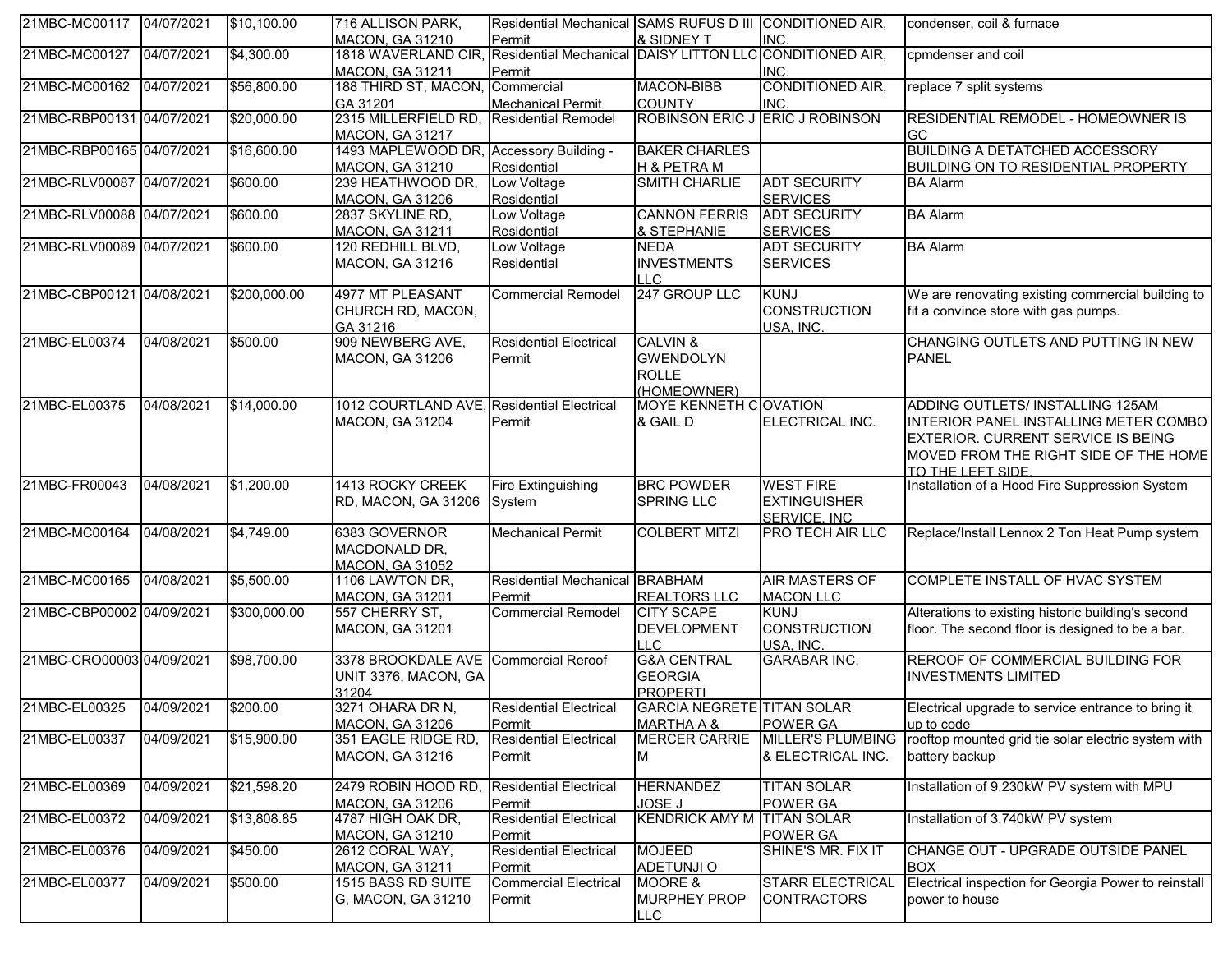| 21MBC-MC00117 04/07/2021  |            | \$10,100.00      | 716 ALLISON PARK,<br>MACON, GA 31210                                  | Residential Mechanical SAMS RUFUS D III CONDITIONED AIR,<br>Permit | & SIDNEY T                                                  | INC.                                                    | condenser, coil & furnace                                                                                                                                                            |
|---------------------------|------------|------------------|-----------------------------------------------------------------------|--------------------------------------------------------------------|-------------------------------------------------------------|---------------------------------------------------------|--------------------------------------------------------------------------------------------------------------------------------------------------------------------------------------|
| 21MBC-MC00127             | 04/07/2021 | \$4,300.00       | 1818 WAVERLAND CIR,<br><b>MACON, GA 31211</b>                         | Residential Mechanical DAISY LITTON LLC CONDITIONED AIR,<br>Permit |                                                             | INC.                                                    | cpmdenser and coil                                                                                                                                                                   |
| 21MBC-MC00162             | 04/07/2021 | \$56,800.00      | 188 THIRD ST, MACON, Commercial<br>GA 31201                           | <b>Mechanical Permit</b>                                           | <b>MACON-BIBB</b><br><b>COUNTY</b>                          | CONDITIONED AIR,<br><b>INC</b>                          | replace 7 split systems                                                                                                                                                              |
| 21MBC-RBP00131 04/07/2021 |            | \$20,000.00      | 2315 MILLERFIELD RD,<br>MACON, GA 31217                               | <b>Residential Remodel</b>                                         | ROBINSON ERIC J ERIC J ROBINSON                             |                                                         | <b>RESIDENTIAL REMODEL - HOMEOWNER IS</b><br><b>GC</b>                                                                                                                               |
| 21MBC-RBP00165 04/07/2021 |            | \$16,600.00      | 1493 MAPLEWOOD DR, Accessory Building -<br>MACON, GA 31210            | Residential                                                        | <b>BAKER CHARLES</b><br>H & PETRA M                         |                                                         | <b>BUILDING A DETATCHED ACCESSORY</b><br><b>BUILDING ON TO RESIDENTIAL PROPERTY</b>                                                                                                  |
| 21MBC-RLV00087 04/07/2021 |            | \$600.00         | 239 HEATHWOOD DR.<br>MACON, GA 31206                                  | Low Voltage<br>Residential                                         | <b>SMITH CHARLIE</b>                                        | <b>ADT SECURITY</b><br><b>SERVICES</b>                  | <b>BA Alarm</b>                                                                                                                                                                      |
| 21MBC-RLV00088 04/07/2021 |            | \$600.00         | 2837 SKYLINE RD,<br><b>MACON, GA 31211</b>                            | Low Voltage<br>Residential                                         | <b>CANNON FERRIS</b><br>& STEPHANIE                         | <b>ADT SECURITY</b><br><b>SERVICES</b>                  | <b>BA Alarm</b>                                                                                                                                                                      |
| 21MBC-RLV00089 04/07/2021 |            | \$600.00         | 120 REDHILL BLVD,<br>MACON, GA 31216                                  | Low Voltage<br>Residential                                         | <b>NEDA</b><br><b>INVESTMENTS</b><br><b>LLC</b>             | <b>ADT SECURITY</b><br><b>SERVICES</b>                  | <b>BA Alarm</b>                                                                                                                                                                      |
| 21MBC-CBP00121 04/08/2021 |            | \$200,000.00     | 4977 MT PLEASANT<br>CHURCH RD, MACON,<br>GA 31216                     | <b>Commercial Remodel</b>                                          | 247 GROUP LLC                                               | <b>KUNJ</b><br><b>CONSTRUCTION</b><br>USA, INC.         | We are renovating existing commercial building to<br>fit a convince store with gas pumps.                                                                                            |
| 21MBC-EL00374             | 04/08/2021 | \$500.00         | 909 NEWBERG AVE,<br>MACON, GA 31206                                   | <b>Residential Electrical</b><br>Permit                            | CALVIN &<br><b>GWENDOLYN</b><br><b>ROLLE</b><br>(HOMEOWNER) |                                                         | CHANGING OUTLETS AND PUTTING IN NEW<br><b>PANEL</b>                                                                                                                                  |
| 21MBC-EL00375             | 04/08/2021 | \$14,000.00      | 1012 COURTLAND AVE, Residential Electrical<br><b>MACON, GA 31204</b>  | Permit                                                             | MOYE KENNETH COVATION<br>& GAIL D                           | ELECTRICAL INC.                                         | ADDING OUTLETS/ INSTALLING 125AM<br>INTERIOR PANEL INSTALLING METER COMBO<br><b>EXTERIOR. CURRENT SERVICE IS BEING</b><br>MOVED FROM THE RIGHT SIDE OF THE HOME<br>TO THE LEFT SIDE. |
| 21MBC-FR00043             | 04/08/2021 | \$1,200.00       | 1413 ROCKY CREEK<br>RD, MACON, GA 31206                               | <b>Fire Extinguishing</b><br>System                                | <b>BRC POWDER</b><br><b>SPRING LLC</b>                      | <b>WEST FIRE</b><br><b>EXTINGUISHER</b><br>SERVICE. INC | Installation of a Hood Fire Suppression System                                                                                                                                       |
| 21MBC-MC00164             | 04/08/2021 | \$4,749.00       | 6383 GOVERNOR<br>MACDONALD DR,<br><b>MACON, GA 31052</b>              | <b>Mechanical Permit</b>                                           | <b>COLBERT MITZI</b>                                        | <b>PRO TECH AIR LLC</b>                                 | Replace/Install Lennox 2 Ton Heat Pump system                                                                                                                                        |
| 21MBC-MC00165             | 04/08/2021 | \$5,500.00       | 1106 LAWTON DR,<br><b>MACON, GA 31201</b>                             | <b>Residential Mechanical BRABHAM</b><br>Permit                    | <b>REALTORS LLC</b>                                         | <b>AIR MASTERS OF</b><br><b>MACON LLC</b>               | COMPLETE INSTALL OF HVAC SYSTEM                                                                                                                                                      |
| 21MBC-CBP00002 04/09/2021 |            | \$300,000.00     | 557 CHERRY ST,<br><b>MACON, GA 31201</b>                              | <b>Commercial Remodel</b>                                          | <b>CITY SCAPE</b><br><b>DEVELOPMENT</b><br><b>LLC</b>       | <b>KUNJ</b><br><b>CONSTRUCTION</b><br>USA, INC.         | Alterations to existing historic building's second<br>floor. The second floor is designed to be a bar.                                                                               |
| 21MBC-CRO00003 04/09/2021 |            | \$98,700.00      | 3378 BROOKDALE AVE Commercial Reroof<br>UNIT 3376, MACON, GA<br>31204 |                                                                    | <b>G&amp;A CENTRAL</b><br><b>GEORGIA</b><br><b>PROPERTI</b> | <b>GARABAR INC.</b>                                     | REROOF OF COMMERCIAL BUILDING FOR<br><b>INVESTMENTS LIMITED</b>                                                                                                                      |
| 21MBC-EL00325             | 04/09/2021 | $\sqrt{$200.00}$ | 3271 OHARA DR N,<br>MACON, GA 31206                                   | <b>Residential Electrical</b><br>Permit                            | <b>GARCIA NEGRETE TITAN SOLAR</b><br><b>MARTHA A &amp;</b>  | POWER GA                                                | Electrical upgrade to service entrance to bring it<br>up to code                                                                                                                     |
| 21MBC-EL00337             | 04/09/2021 | \$15,900.00      | 351 EAGLE RIDGE RD,<br>MACON, GA 31216                                | <b>Residential Electrical</b><br>Permit                            | <b>MERCER CARRIE</b><br>M                                   | <b>MILLER'S PLUMBING</b><br>& ELECTRICAL INC.           | rooftop mounted grid tie solar electric system with<br>battery backup                                                                                                                |
| 21MBC-EL00369             | 04/09/2021 | \$21,598.20      | 2479 ROBIN HOOD RD,<br>MACON, GA 31206                                | <b>Residential Electrical</b><br>Permit                            | <b>HERNANDEZ</b><br><b>JOSE J</b>                           | <b>TITAN SOLAR</b><br>POWER GA                          | Installation of 9.230kW PV system with MPU                                                                                                                                           |
| 21MBC-EL00372             | 04/09/2021 | \$13,808.85      | 4787 HIGH OAK DR,<br>MACON, GA 31210                                  | <b>Residential Electrical</b><br>Permit                            | <b>KENDRICK AMY M</b>                                       | <b>TITAN SOLAR</b><br>POWER GA                          | Installation of 3.740kW PV system                                                                                                                                                    |
| 21MBC-EL00376             | 04/09/2021 | \$450.00         | 2612 CORAL WAY,<br><b>MACON, GA 31211</b>                             | <b>Residential Electrical</b><br>Permit                            | <b>MOJEED</b><br><b>ADETUNJI O</b>                          | SHINE'S MR. FIX IT                                      | CHANGE OUT - UPGRADE OUTSIDE PANEL<br>IBOX                                                                                                                                           |
| 21MBC-EL00377             | 04/09/2021 | \$500.00         | 1515 BASS RD SUITE<br>G, MACON, GA 31210                              | <b>Commercial Electrical</b><br>Permit                             | MOORE &<br><b>MURPHEY PROP</b><br><b>LLC</b>                | <b>STARR ELECTRICAL</b><br><b>CONTRACTORS</b>           | Electrical inspection for Georgia Power to reinstall<br>power to house                                                                                                               |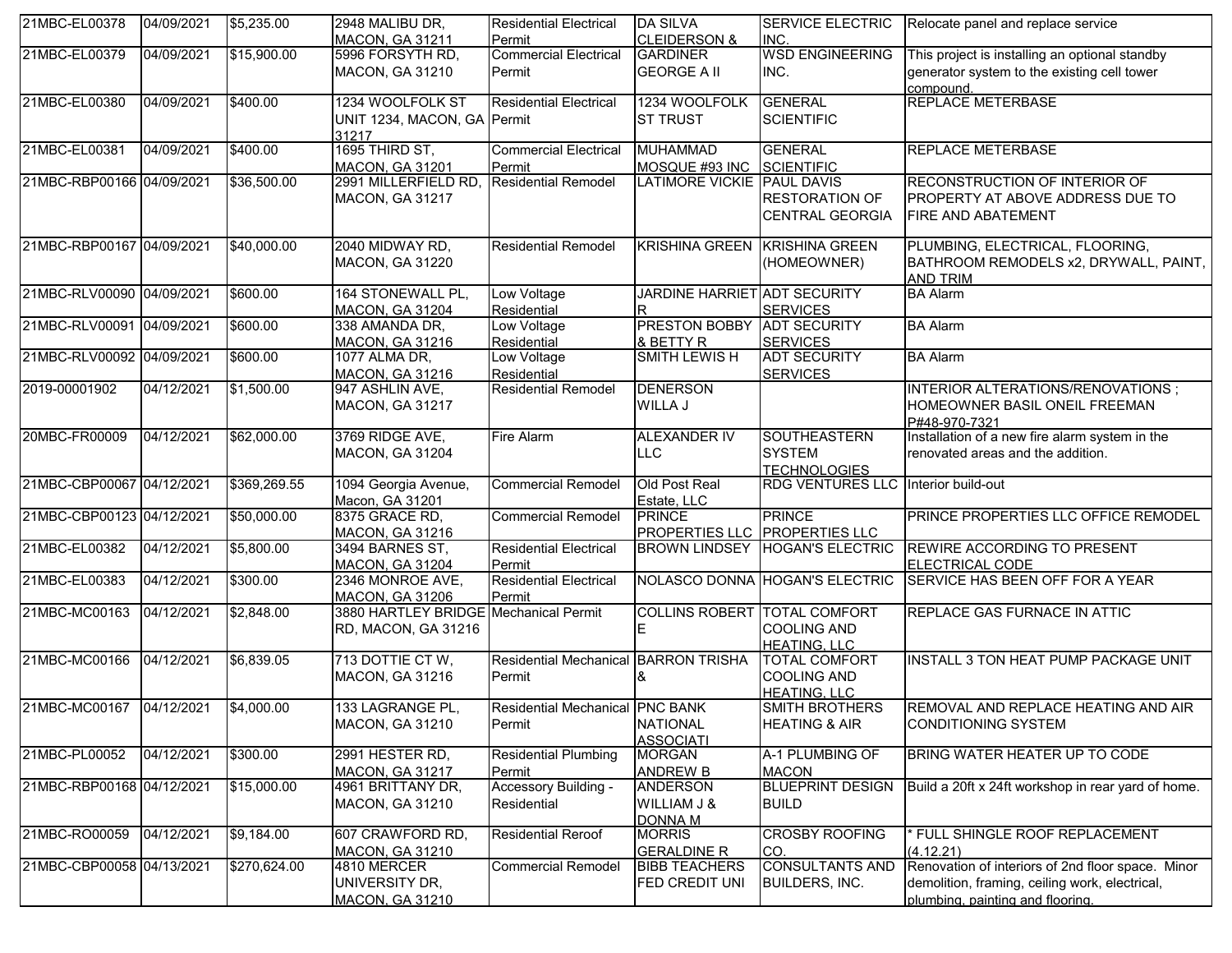| 21MBC-EL00378             | 04/09/2021 | \$5,235.00   | 2948 MALIBU DR,                                              | <b>Residential Electrical</b>             | <b>DA SILVA</b>                                  | SERVICE ELECTRIC                                                  | Relocate panel and replace service                                                                                                      |
|---------------------------|------------|--------------|--------------------------------------------------------------|-------------------------------------------|--------------------------------------------------|-------------------------------------------------------------------|-----------------------------------------------------------------------------------------------------------------------------------------|
|                           |            |              | <b>MACON, GA 31211</b>                                       | Permit                                    | <b>CLEIDERSON &amp;</b>                          | INC.                                                              |                                                                                                                                         |
| 21MBC-EL00379             | 04/09/2021 | \$15,900.00  | 5996 FORSYTH RD,<br><b>MACON, GA 31210</b>                   | <b>Commercial Electrical</b><br>Permit    | <b>GARDINER</b><br><b>GEORGE A II</b>            | <b>WSD ENGINEERING</b><br>INC.                                    | This project is installing an optional standby<br>generator system to the existing cell tower<br>compound.                              |
| 21MBC-EL00380             | 04/09/2021 | \$400.00     | 1234 WOOLFOLK ST<br>UNIT 1234, MACON, GA Permit<br>31217     | <b>Residential Electrical</b>             | 1234 WOOLFOLK<br><b>ST TRUST</b>                 | <b>GENERAL</b><br><b>SCIENTIFIC</b>                               | REPLACE METERBASE                                                                                                                       |
| 21MBC-EL00381             | 04/09/2021 | \$400.00     | 1695 THIRD ST,<br><b>MACON, GA 31201</b>                     | <b>Commercial Electrical</b><br>Permit    | <b>MUHAMMAD</b><br>MOSQUE #93 INC                | <b>GENERAL</b><br>SCIENTIFIC                                      | REPLACE METERBASE                                                                                                                       |
| 21MBC-RBP00166 04/09/2021 |            | \$36,500.00  | 2991 MILLERFIELD RD,<br><b>MACON, GA 31217</b>               | <b>Residential Remodel</b>                | LATIMORE VICKIE PAUL DAVIS                       | <b>RESTORATION OF</b><br>CENTRAL GEORGIA                          | RECONSTRUCTION OF INTERIOR OF<br>PROPERTY AT ABOVE ADDRESS DUE TO<br>FIRE AND ABATEMENT                                                 |
| 21MBC-RBP00167 04/09/2021 |            | \$40,000.00  | 2040 MIDWAY RD,<br>MACON, GA 31220                           | <b>Residential Remodel</b>                | <b>KRISHINA GREEN</b>                            | <b>KRISHINA GREEN</b><br>(HOMEOWNER)                              | PLUMBING, ELECTRICAL, FLOORING,<br>BATHROOM REMODELS x2, DRYWALL, PAINT,<br><b>AND TRIM</b>                                             |
| 21MBC-RLV00090 04/09/2021 |            | \$600.00     | 164 STONEWALL PL,<br><b>MACON, GA 31204</b>                  | Low Voltage<br>Residential                | JARDINE HARRIET ADT SECURITY<br>R                | <b>SERVICES</b>                                                   | <b>BA</b> Alarm                                                                                                                         |
| 21MBC-RLV00091 04/09/2021 |            | \$600.00     | 338 AMANDA DR,<br>MACON, GA 31216                            | Low Voltage<br>Residential                | PRESTON BOBBY ADT SECURITY<br>& BETTY R          | <b>SERVICES</b>                                                   | <b>BA Alarm</b>                                                                                                                         |
| 21MBC-RLV00092 04/09/2021 |            | \$600.00     | 1077 ALMA DR,<br><b>MACON, GA 31216</b>                      | Low Voltage<br>Residential                | <b>SMITH LEWISH</b>                              | <b>ADT SECURITY</b><br><b>SERVICES</b>                            | <b>BA Alarm</b>                                                                                                                         |
| 2019-00001902             | 04/12/2021 | \$1,500.00   | 947 ASHLIN AVE,<br><b>MACON, GA 31217</b>                    | <b>Residential Remodel</b>                | <b>DENERSON</b><br>WILLA J                       |                                                                   | INTERIOR ALTERATIONS/RENOVATIONS;<br>HOMEOWNER BASIL ONEIL FREEMAN<br>P#48-970-7321                                                     |
| 20MBC-FR00009             | 04/12/2021 | \$62,000.00  | 3769 RIDGE AVE,<br>MACON, GA 31204                           | <b>Fire Alarm</b>                         | <b>ALEXANDER IV</b><br><b>LLC</b>                | <b>SOUTHEASTERN</b><br><b>SYSTEM</b><br><b>TECHNOLOGIES</b>       | Installation of a new fire alarm system in the<br>renovated areas and the addition.                                                     |
| 21MBC-CBP00067 04/12/2021 |            | \$369,269.55 | 1094 Georgia Avenue,<br>Macon, GA 31201                      | <b>Commercial Remodel</b>                 | Old Post Real<br>Estate, LLC                     | RDG VENTURES LLC Interior build-out                               |                                                                                                                                         |
| 21MBC-CBP00123 04/12/2021 |            | \$50,000.00  | 8375 GRACE RD,<br><b>MACON, GA 31216</b>                     | <b>Commercial Remodel</b>                 | <b>PRINCE</b><br>PROPERTIES LLC PROPERTIES LLC   | <b>PRINCE</b>                                                     | PRINCE PROPERTIES LLC OFFICE REMODEL                                                                                                    |
| 21MBC-EL00382             | 04/12/2021 | \$5,800.00   | 3494 BARNES ST,<br><b>MACON, GA 31204</b>                    | <b>Residential Electrical</b><br>Permit   |                                                  | BROWN LINDSEY HOGAN'S ELECTRIC                                    | <b>REWIRE ACCORDING TO PRESENT</b><br>ELECTRICAL CODE                                                                                   |
| 21MBC-EL00383             | 04/12/2021 | \$300.00     | 2346 MONROE AVE,<br><b>MACON, GA 31206</b>                   | <b>Residential Electrical</b><br>Permit   |                                                  | NOLASCO DONNA HOGAN'S ELECTRIC                                    | SERVICE HAS BEEN OFF FOR A YEAR                                                                                                         |
| 21MBC-MC00163             | 04/12/2021 | \$2,848.00   | 3880 HARTLEY BRIDGE Mechanical Permit<br>RD, MACON, GA 31216 |                                           | <b>COLLINS ROBERT</b>                            | <b>TOTAL COMFORT</b><br>COOLING AND<br><b>HEATING, LLC</b>        | REPLACE GAS FURNACE IN ATTIC                                                                                                            |
| 21MBC-MC00166             | 04/12/2021 | \$6,839.05   | 713 DOTTIE CT W,<br>MACON, GA 31216                          | <b>Residential Mechanical</b><br>Permit   | <b>BARRON TRISHA</b>                             | <b>TOTAL COMFORT</b><br><b>COOLING AND</b><br><b>HEATING, LLC</b> | INSTALL 3 TON HEAT PUMP PACKAGE UNIT                                                                                                    |
| 21MBC-MC00167 04/12/2021  |            | \$4,000.00   | 133 LAGRANGE PL,<br><b>MACON, GA 31210</b>                   | Residential Mechanical PNC BANK<br>Permit | <b>NATIONAL</b><br><b>ASSOCIATI</b>              | <b>SMITH BROTHERS</b><br><b>HEATING &amp; AIR</b>                 | REMOVAL AND REPLACE HEATING AND AIR<br><b>CONDITIONING SYSTEM</b>                                                                       |
| 21MBC-PL00052             | 04/12/2021 | \$300.00     | 2991 HESTER RD,<br><b>MACON, GA 31217</b>                    | <b>Residential Plumbing</b><br>Permit     | <b>MORGAN</b><br><b>ANDREW B</b>                 | A-1 PLUMBING OF<br><b>MACON</b>                                   | BRING WATER HEATER UP TO CODE                                                                                                           |
| 21MBC-RBP00168 04/12/2021 |            | \$15,000.00  | 4961 BRITTANY DR,<br><b>MACON, GA 31210</b>                  | Accessory Building -<br>Residential       | <b>ANDERSON</b><br>WILLIAM J &<br><b>DONNA M</b> | <b>BLUEPRINT DESIGN</b><br><b>BUILD</b>                           | Build a 20ft x 24ft workshop in rear yard of home.                                                                                      |
| 21MBC-RO00059             | 04/12/2021 | \$9,184.00   | 607 CRAWFORD RD,<br><b>MACON, GA 31210</b>                   | <b>Residential Reroof</b>                 | <b>MORRIS</b><br><b>GERALDINE R</b>              | <b>CROSBY ROOFING</b><br>CO.                                      | FULL SHINGLE ROOF REPLACEMENT<br>(4.12.21)                                                                                              |
| 21MBC-CBP00058 04/13/2021 |            | \$270,624.00 | 4810 MERCER<br>UNIVERSITY DR,<br><b>MACON, GA 31210</b>      | <b>Commercial Remodel</b>                 | <b>BIBB TEACHERS</b><br>FED CREDIT UNI           | <b>CONSULTANTS AND</b><br><b>BUILDERS, INC.</b>                   | Renovation of interiors of 2nd floor space. Minor<br>demolition, framing, ceiling work, electrical,<br>plumbing, painting and flooring. |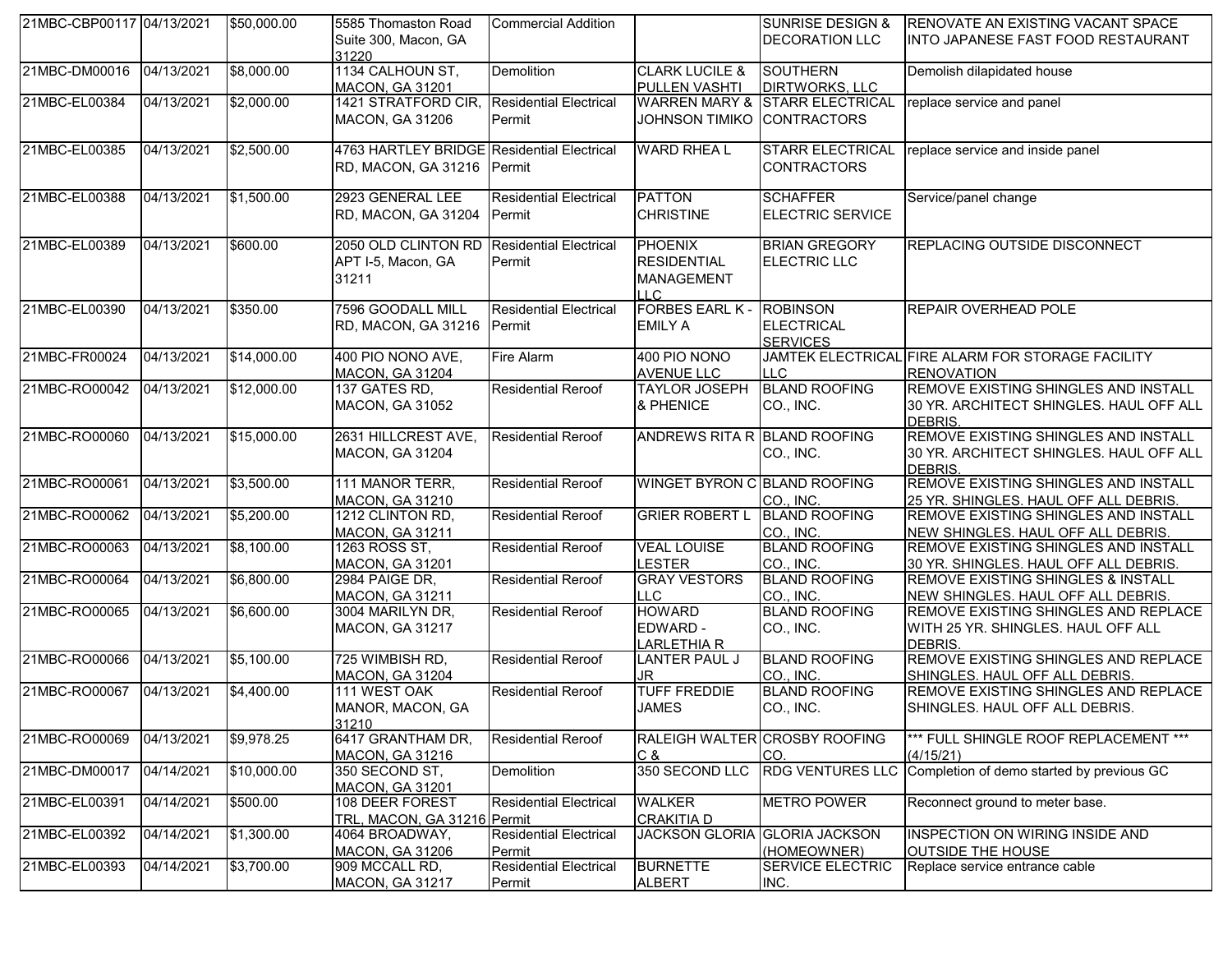| 21MBC-CBP00117 04/13/2021 |            | \$50,000.00 | 5585 Thomaston Road<br>Suite 300, Macon, GA<br>31220                     | Commercial Addition                     |                                                                          | <b>SUNRISE DESIGN &amp;</b><br><b>DECORATION LLC</b>    | RENOVATE AN EXISTING VACANT SPACE<br>INTO JAPANESE FAST FOOD RESTAURANT                            |
|---------------------------|------------|-------------|--------------------------------------------------------------------------|-----------------------------------------|--------------------------------------------------------------------------|---------------------------------------------------------|----------------------------------------------------------------------------------------------------|
| 21MBC-DM00016             | 04/13/2021 | \$8,000.00  | 1134 CALHOUN ST,<br><b>MACON, GA 31201</b>                               | Demolition                              | <b>CLARK LUCILE &amp;</b><br>PULLEN VASHTI                               | <b>SOUTHERN</b><br><b>DIRTWORKS, LLC</b>                | Demolish dilapidated house                                                                         |
| 21MBC-EL00384             | 04/13/2021 | \$2,000.00  | 1421 STRATFORD CIR,<br><b>MACON, GA 31206</b>                            | <b>Residential Electrical</b><br>Permit | <b>WARREN MARY &amp;</b><br><b>JOHNSON TIMIKO</b>                        | <b>STARR ELECTRICAL</b><br><b>CONTRACTORS</b>           | replace service and panel                                                                          |
| 21MBC-EL00385             | 04/13/2021 | \$2,500.00  | 4763 HARTLEY BRIDGE Residential Electrical<br>RD, MACON, GA 31216 Permit |                                         | <b>WARD RHEA L</b>                                                       | <b>STARR ELECTRICAL</b><br><b>CONTRACTORS</b>           | replace service and inside panel                                                                   |
| 21MBC-EL00388             | 04/13/2021 | \$1,500.00  | 2923 GENERAL LEE<br>RD, MACON, GA 31204 Permit                           | <b>Residential Electrical</b>           | <b>PATTON</b><br><b>CHRISTINE</b>                                        | <b>SCHAFFER</b><br><b>ELECTRIC SERVICE</b>              | Service/panel change                                                                               |
| 21MBC-EL00389             | 04/13/2021 | \$600.00    | 2050 OLD CLINTON RD<br>APT I-5, Macon, GA<br>31211                       | <b>Residential Electrical</b><br>Permit | <b>PHOENIX</b><br><b>RESIDENTIAL</b><br><b>MANAGEMENT</b><br>$\sqcup$ C. | <b>BRIAN GREGORY</b><br><b>ELECTRIC LLC</b>             | <b>REPLACING OUTSIDE DISCONNECT</b>                                                                |
| 21MBC-EL00390             | 04/13/2021 | \$350.00    | 7596 GOODALL MILL<br>RD, MACON, GA 31216 Permit                          | <b>Residential Electrical</b>           | <b>FORBES EARL K-</b><br><b>EMILY A</b>                                  | <b>ROBINSON</b><br><b>ELECTRICAL</b><br><b>SERVICES</b> | REPAIR OVERHEAD POLE                                                                               |
| 21MBC-FR00024             | 04/13/2021 | \$14,000.00 | 400 PIO NONO AVE,<br><b>MACON, GA 31204</b>                              | <b>Fire Alarm</b>                       | 400 PIO NONO<br><b>AVENUE LLC</b>                                        | LLC                                                     | JAMTEK ELECTRICAL FIRE ALARM FOR STORAGE FACILITY<br><b>RENOVATION</b>                             |
| 21MBC-RO00042             | 04/13/2021 | \$12,000.00 | 137 GATES RD,<br>MACON, GA 31052                                         | Residential Reroof                      | <b>TAYLOR JOSEPH</b><br>& PHENICE                                        | <b>BLAND ROOFING</b><br>CO., INC.                       | REMOVE EXISTING SHINGLES AND INSTALL<br>30 YR. ARCHITECT SHINGLES. HAUL OFF ALL<br>DEBRIS.         |
| 21MBC-RO00060             | 04/13/2021 | \$15,000.00 | 2631 HILLCREST AVE,<br><b>MACON, GA 31204</b>                            | <b>Residential Reroof</b>               | ANDREWS RITA R BLAND ROOFING                                             | CO., INC.                                               | REMOVE EXISTING SHINGLES AND INSTALL<br>30 YR. ARCHITECT SHINGLES. HAUL OFF ALL<br><b>DEBRIS</b>   |
| 21MBC-RO00061             | 04/13/2021 | \$3,500.00  | 111 MANOR TERR,<br>MACON, GA 31210                                       | <b>Residential Reroof</b>               | WINGET BYRON C BLAND ROOFING                                             | CO., INC.                                               | REMOVE EXISTING SHINGLES AND INSTALL<br>25 YR. SHINGLES. HAUL OFF ALL DEBRIS.                      |
| 21MBC-RO00062             | 04/13/2021 | \$5,200.00  | 1212 CLINTON RD,<br><b>MACON, GA 31211</b>                               | <b>Residential Reroof</b>               | <b>GRIER ROBERT L</b>                                                    | <b>BLAND ROOFING</b><br>CO., INC.                       | <b>REMOVE EXISTING SHINGLES AND INSTALL</b><br>NEW SHINGLES. HAUL OFF ALL DEBRIS.                  |
| 21MBC-RO00063             | 04/13/2021 | \$8,100.00  | 1263 ROSS ST,<br><b>MACON, GA 31201</b>                                  | <b>Residential Reroof</b>               | <b>VEAL LOUISE</b><br><b>LESTER</b>                                      | <b>BLAND ROOFING</b><br>CO., INC.                       | <b>REMOVE EXISTING SHINGLES AND INSTALL</b><br>30 YR. SHINGLES. HAUL OFF ALL DEBRIS.               |
| 21MBC-RO00064             | 04/13/2021 | \$6,800.00  | 2984 PAIGE DR,<br>MACON, GA 31211                                        | <b>Residential Reroof</b>               | <b>GRAY VESTORS</b><br><b>LLC</b>                                        | <b>BLAND ROOFING</b><br>CO., INC.                       | <b>REMOVE EXISTING SHINGLES &amp; INSTALL</b><br>NEW SHINGLES. HAUL OFF ALL DEBRIS.                |
| 21MBC-RO00065             | 04/13/2021 | \$6,600.00  | 3004 MARILYN DR,<br>MACON, GA 31217                                      | <b>Residential Reroof</b>               | <b>HOWARD</b><br>EDWARD -<br>LARLETHIA R                                 | <b>BLAND ROOFING</b><br>CO., INC.                       | <b>REMOVE EXISTING SHINGLES AND REPLACE</b><br>WITH 25 YR. SHINGLES. HAUL OFF ALL<br><b>DEBRIS</b> |
| 21MBC-RO00066             | 04/13/2021 | \$5,100.00  | 725 WIMBISH RD,<br>MACON, GA 31204                                       | <b>Residential Reroof</b>               | <b>LANTER PAUL J</b><br>JR.                                              | <b>BLAND ROOFING</b><br>CO., INC.                       | REMOVE EXISTING SHINGLES AND REPLACE<br>SHINGLES. HAUL OFF ALL DEBRIS.                             |
| 21MBC-RO00067             | 04/13/2021 | \$4,400.00  | 111 WEST OAK<br>MANOR, MACON, GA<br>31210                                | <b>Residential Reroof</b>               | <b>TUFF FREDDIE</b><br><b>JAMES</b>                                      | <b>BLAND ROOFING</b><br>CO., INC.                       | REMOVE EXISTING SHINGLES AND REPLACE<br>SHINGLES. HAUL OFF ALL DEBRIS.                             |
| 21MBC-RO00069             | 04/13/2021 | \$9,978.25  | 6417 GRANTHAM DR,<br><b>MACON, GA 31216</b>                              | <b>Residential Reroof</b>               | C &                                                                      | RALEIGH WALTER CROSBY ROOFING<br>CO.                    | *** FULL SHINGLE ROOF REPLACEMENT ***<br>(4/15/21)                                                 |
| 21MBC-DM00017             | 04/14/2021 | \$10,000.00 | 350 SECOND ST,<br><b>MACON, GA 31201</b>                                 | Demolition                              | 350 SECOND LLC                                                           |                                                         | RDG VENTURES LLC Completion of demo started by previous GC                                         |
| 21MBC-EL00391             | 04/14/2021 | \$500.00    | 108 DEER FOREST<br>TRL, MACON, GA 31216 Permit                           | <b>Residential Electrical</b>           | <b>WALKER</b><br><b>CRAKITIA D</b>                                       | <b>METRO POWER</b>                                      | Reconnect ground to meter base.                                                                    |
| 21MBC-EL00392             | 04/14/2021 | \$1,300.00  | 4064 BROADWAY,<br><b>MACON, GA 31206</b>                                 | <b>Residential Electrical</b><br>Permit | <b>JACKSON GLORIA</b>                                                    | <b>GLORIA JACKSON</b><br>(HOMEOWNER)                    | INSPECTION ON WIRING INSIDE AND<br><b>OUTSIDE THE HOUSE</b>                                        |
| 21MBC-EL00393             | 04/14/2021 | \$3,700.00  | 909 MCCALL RD,<br>MACON, GA 31217                                        | <b>Residential Electrical</b><br>Permit | <b>BURNETTE</b><br><b>ALBERT</b>                                         | <b>SERVICE ELECTRIC</b><br>INC.                         | Replace service entrance cable                                                                     |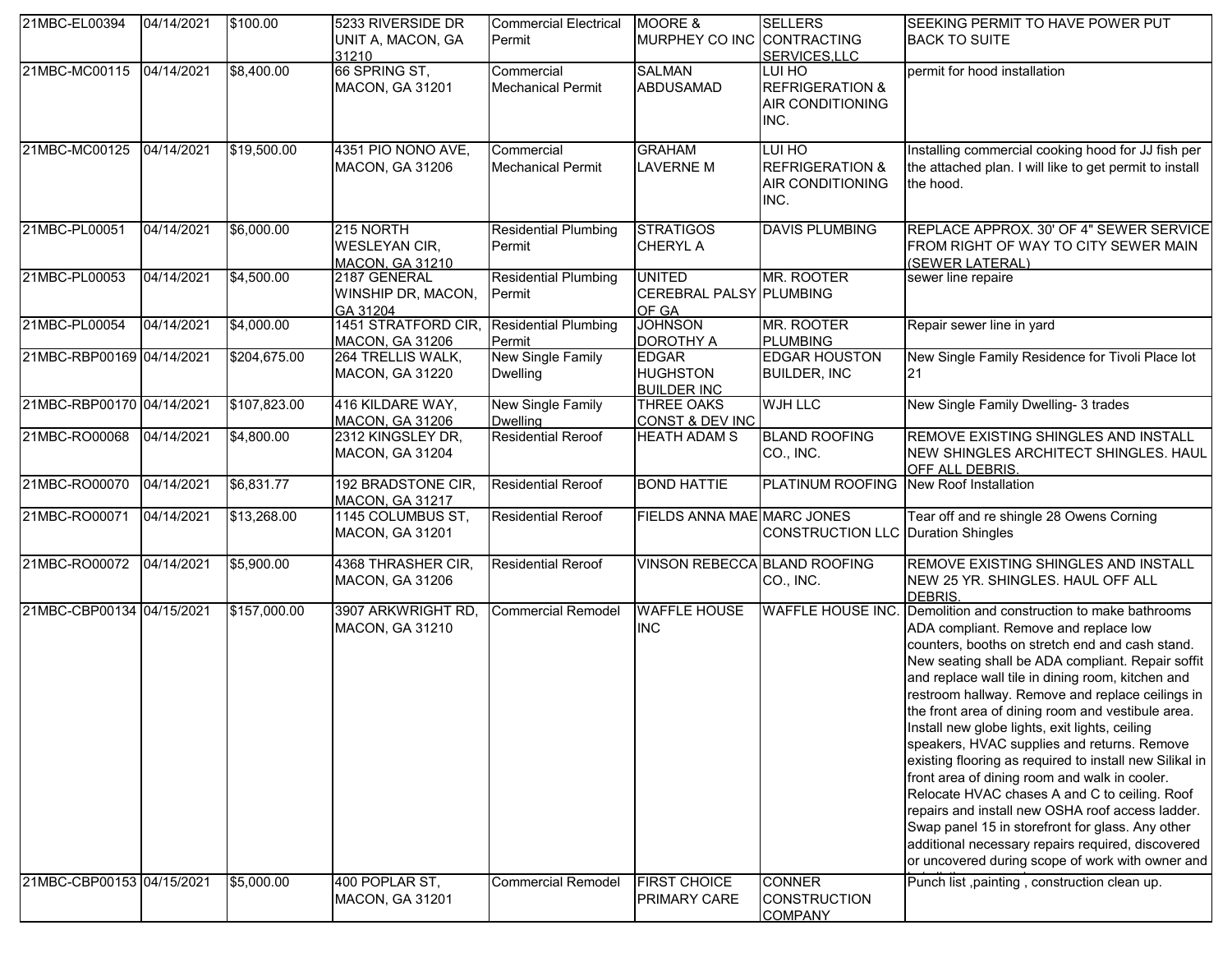| 21MBC-EL00394             | 04/14/2021 | \$100.00          | 5233 RIVERSIDE DR<br>UNIT A, MACON, GA<br>31210             | <b>Commercial Electrical</b><br>Permit | MOORE &<br>MURPHEY CO INC CONTRACTING                 | <b>SELLERS</b><br>SERVICES, LLC                                         | SEEKING PERMIT TO HAVE POWER PUT<br><b>BACK TO SUITE</b>                                                                                                                                                                                                                                                                                                                                                                                                                                                                                                                                                                                                                                                                                                                                                                                    |
|---------------------------|------------|-------------------|-------------------------------------------------------------|----------------------------------------|-------------------------------------------------------|-------------------------------------------------------------------------|---------------------------------------------------------------------------------------------------------------------------------------------------------------------------------------------------------------------------------------------------------------------------------------------------------------------------------------------------------------------------------------------------------------------------------------------------------------------------------------------------------------------------------------------------------------------------------------------------------------------------------------------------------------------------------------------------------------------------------------------------------------------------------------------------------------------------------------------|
| 21MBC-MC00115 04/14/2021  |            | \$8,400.00        | 66 SPRING ST,<br>MACON, GA 31201                            | Commercial<br><b>Mechanical Permit</b> | <b>SALMAN</b><br><b>ABDUSAMAD</b>                     | LUI HO<br><b>REFRIGERATION &amp;</b><br>AIR CONDITIONING<br>INC.        | permit for hood installation                                                                                                                                                                                                                                                                                                                                                                                                                                                                                                                                                                                                                                                                                                                                                                                                                |
| 21MBC-MC00125             | 04/14/2021 | \$19,500.00       | 4351 PIO NONO AVE,<br><b>MACON, GA 31206</b>                | Commercial<br><b>Mechanical Permit</b> | <b>GRAHAM</b><br><b>LAVERNE M</b>                     | LUI HO<br><b>REFRIGERATION &amp;</b><br><b>AIR CONDITIONING</b><br>INC. | Installing commercial cooking hood for JJ fish per<br>the attached plan. I will like to get permit to install<br>the hood.                                                                                                                                                                                                                                                                                                                                                                                                                                                                                                                                                                                                                                                                                                                  |
| 21MBC-PL00051             | 04/14/2021 | \$6,000.00        | 215 NORTH<br><b>WESLEYAN CIR,</b><br><b>MACON, GA 31210</b> | <b>Residential Plumbing</b><br>Permit  | <b>STRATIGOS</b><br><b>CHERYL A</b>                   | <b>DAVIS PLUMBING</b>                                                   | REPLACE APPROX. 30' OF 4" SEWER SERVICE<br>FROM RIGHT OF WAY TO CITY SEWER MAIN<br>(SEWER LATERAL)                                                                                                                                                                                                                                                                                                                                                                                                                                                                                                                                                                                                                                                                                                                                          |
| 21MBC-PL00053             | 04/14/2021 | $\sqrt{4,500.00}$ | 2187 GENERAL<br>WINSHIP DR, MACON,<br>GA 31204              | <b>Residential Plumbing</b><br>Permit  | <b>UNITED</b><br>CEREBRAL PALSY PLUMBING<br>OF GA     | MR. ROOTER                                                              | sewer line repaire                                                                                                                                                                                                                                                                                                                                                                                                                                                                                                                                                                                                                                                                                                                                                                                                                          |
| 21MBC-PL00054             | 04/14/2021 | \$4,000.00        | 1451 STRATFORD CIR.<br><b>MACON, GA 31206</b>               | <b>Residential Plumbing</b><br>Permit  | <b>JOHNSON</b><br><b>DOROTHY A</b>                    | MR. ROOTER<br><b>PLUMBING</b>                                           | Repair sewer line in yard                                                                                                                                                                                                                                                                                                                                                                                                                                                                                                                                                                                                                                                                                                                                                                                                                   |
| 21MBC-RBP00169 04/14/2021 |            | \$204,675.00      | 264 TRELLIS WALK,<br><b>MACON, GA 31220</b>                 | New Single Family<br><b>Dwelling</b>   | <b>EDGAR</b><br><b>HUGHSTON</b><br><b>BUILDER INC</b> | <b>EDGAR HOUSTON</b><br><b>BUILDER, INC</b>                             | New Single Family Residence for Tivoli Place lot<br>21                                                                                                                                                                                                                                                                                                                                                                                                                                                                                                                                                                                                                                                                                                                                                                                      |
| 21MBC-RBP00170 04/14/2021 |            | \$107,823.00      | 416 KILDARE WAY,<br>MACON, GA 31206                         | New Single Family<br><b>Dwelling</b>   | <b>THREE OAKS</b><br>CONST & DEV INC                  | <b>WJH LLC</b>                                                          | New Single Family Dwelling- 3 trades                                                                                                                                                                                                                                                                                                                                                                                                                                                                                                                                                                                                                                                                                                                                                                                                        |
| 21MBC-RO00068             | 04/14/2021 | \$4,800.00        | 2312 KINGSLEY DR,<br><b>MACON, GA 31204</b>                 | <b>Residential Reroof</b>              | <b>HEATH ADAM S</b>                                   | <b>BLAND ROOFING</b><br>CO., INC.                                       | REMOVE EXISTING SHINGLES AND INSTALL<br>NEW SHINGLES ARCHITECT SHINGLES. HAUL<br>OFF ALL DEBRIS.                                                                                                                                                                                                                                                                                                                                                                                                                                                                                                                                                                                                                                                                                                                                            |
| 21MBC-RO00070             | 04/14/2021 | \$6,831.77        | 192 BRADSTONE CIR,<br><b>MACON, GA 31217</b>                | <b>Residential Reroof</b>              | <b>BOND HATTIE</b>                                    | PLATINUM ROOFING                                                        | New Roof Installation                                                                                                                                                                                                                                                                                                                                                                                                                                                                                                                                                                                                                                                                                                                                                                                                                       |
| 21MBC-RO00071             | 04/14/2021 | \$13,268.00       | 1145 COLUMBUS ST,<br><b>MACON, GA 31201</b>                 | <b>Residential Reroof</b>              | FIELDS ANNA MAE MARC JONES                            | CONSTRUCTION LLC   Duration Shingles                                    | Tear off and re shingle 28 Owens Corning                                                                                                                                                                                                                                                                                                                                                                                                                                                                                                                                                                                                                                                                                                                                                                                                    |
| 21MBC-RO00072             | 04/14/2021 | \$5,900.00        | 4368 THRASHER CIR,<br><b>MACON, GA 31206</b>                | <b>Residential Reroof</b>              | VINSON REBECCA BLAND ROOFING                          | CO., INC.                                                               | REMOVE EXISTING SHINGLES AND INSTALL<br>NEW 25 YR. SHINGLES. HAUL OFF ALL<br>DEBRIS.                                                                                                                                                                                                                                                                                                                                                                                                                                                                                                                                                                                                                                                                                                                                                        |
| 21MBC-CBP00134 04/15/2021 |            | \$157,000.00      | 3907 ARKWRIGHT RD,<br><b>MACON, GA 31210</b>                | <b>Commercial Remodel</b>              | <b>WAFFLE HOUSE</b><br><b>INC</b>                     | <b>WAFFLE HOUSE INC.</b>                                                | Demolition and construction to make bathrooms<br>ADA compliant. Remove and replace low<br>counters, booths on stretch end and cash stand.<br>New seating shall be ADA compliant. Repair soffit<br>and replace wall tile in dining room, kitchen and<br>restroom hallway. Remove and replace ceilings in<br>the front area of dining room and vestibule area.<br>Install new globe lights, exit lights, ceiling<br>speakers, HVAC supplies and returns. Remove<br>existing flooring as required to install new Silikal in<br>front area of dining room and walk in cooler.<br>Relocate HVAC chases A and C to ceiling. Roof<br>repairs and install new OSHA roof access ladder.<br>Swap panel 15 in storefront for glass. Any other<br>additional necessary repairs required, discovered<br>or uncovered during scope of work with owner and |
| 21MBC-CBP00153 04/15/2021 |            | \$5,000.00        | 400 POPLAR ST,<br><b>MACON, GA 31201</b>                    | <b>Commercial Remodel</b>              | <b>FIRST CHOICE</b><br><b>PRIMARY CARE</b>            | <b>CONNER</b><br><b>CONSTRUCTION</b><br><b>COMPANY</b>                  | Punch list ,painting, construction clean up.                                                                                                                                                                                                                                                                                                                                                                                                                                                                                                                                                                                                                                                                                                                                                                                                |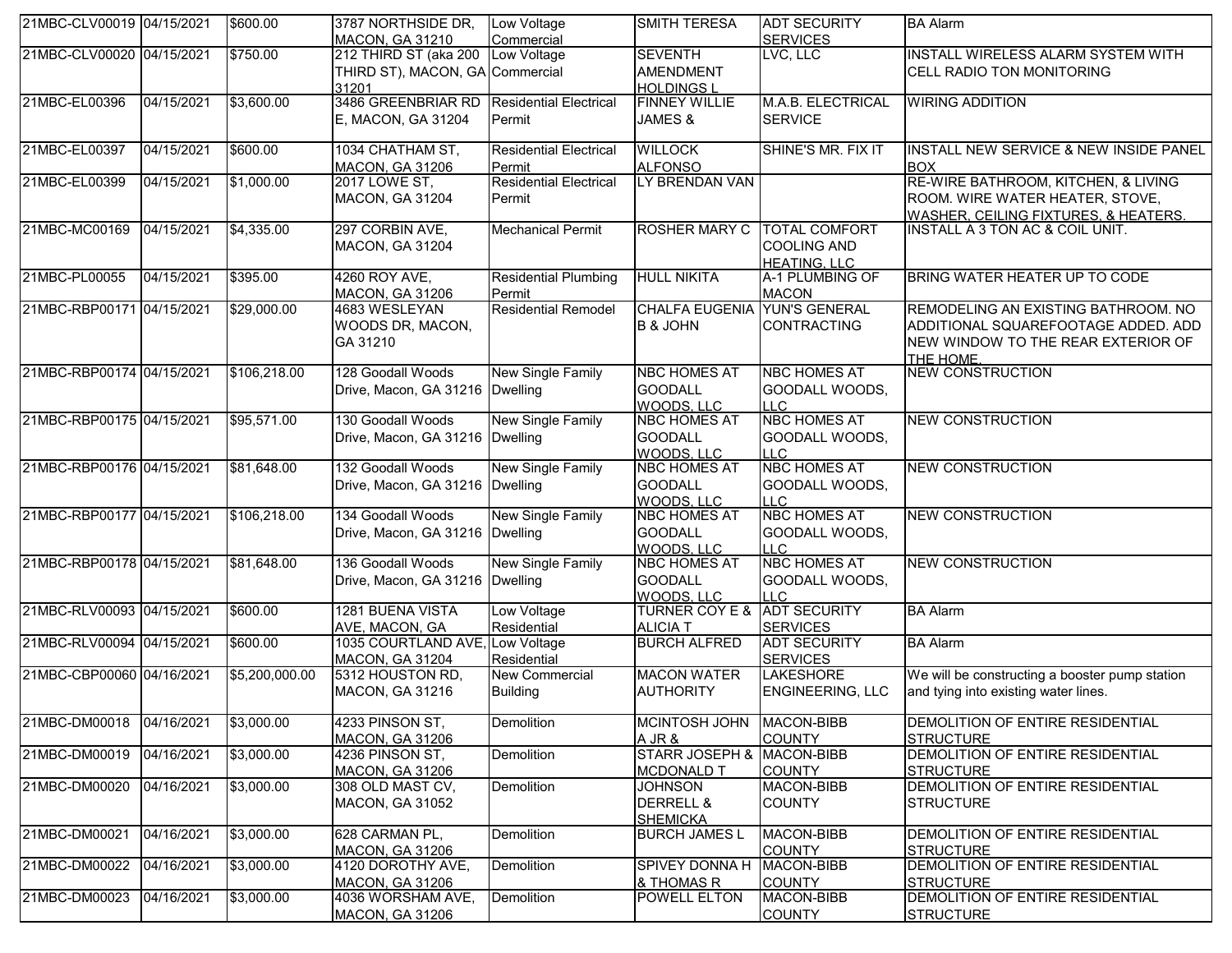| 21MBC-CLV00019 04/15/2021 |            | \$600.00       | 3787 NORTHSIDE DR,<br>MACON, GA 31210                  | Low Voltage<br>Commercial                | <b>SMITH TERESA</b>                                       | <b>ADT SECURITY</b><br><b>SERVICES</b>                            | <b>BA Alarm</b>                                                                                                               |
|---------------------------|------------|----------------|--------------------------------------------------------|------------------------------------------|-----------------------------------------------------------|-------------------------------------------------------------------|-------------------------------------------------------------------------------------------------------------------------------|
| 21MBC-CLV00020 04/15/2021 |            | \$750.00       | 212 THIRD ST (aka 200                                  | Low Voltage                              | <b>SEVENTH</b>                                            | LVC, LLC                                                          | INSTALL WIRELESS ALARM SYSTEM WITH                                                                                            |
|                           |            |                | THIRD ST), MACON, GA Commercial                        |                                          | <b>AMENDMENT</b>                                          |                                                                   | CELL RADIO TON MONITORING                                                                                                     |
|                           |            |                | 31201<br>3486 GREENBRIAR RD Residential Electrical     |                                          | <b>HOLDINGSL</b>                                          |                                                                   |                                                                                                                               |
| 21MBC-EL00396             | 04/15/2021 | \$3,600.00     | E, MACON, GA 31204                                     | Permit                                   | <b>FINNEY WILLIE</b><br>JAMES &                           | M.A.B. ELECTRICAL<br><b>SERVICE</b>                               | <b>WIRING ADDITION</b>                                                                                                        |
| 21MBC-EL00397             | 04/15/2021 | \$600.00       | 1034 CHATHAM ST,<br>MACON, GA 31206                    | <b>Residential Electrical</b><br>Permit  | <b>WILLOCK</b><br><b>ALFONSO</b>                          | SHINE'S MR. FIX IT                                                | INSTALL NEW SERVICE & NEW INSIDE PANEL<br><b>BOX</b>                                                                          |
| 21MBC-EL00399             | 04/15/2021 | \$1,000.00     | <b>2017 LOWE ST.</b><br><b>MACON, GA 31204</b>         | <b>Residential Electrical</b><br>Permit  | LY BRENDAN VAN                                            |                                                                   | RE-WIRE BATHROOM, KITCHEN, & LIVING<br>ROOM. WIRE WATER HEATER, STOVE,<br><b>WASHER, CEILING FIXTURES, &amp; HEATERS.</b>     |
| 21MBC-MC00169             | 04/15/2021 | \$4,335.00     | 297 CORBIN AVE,<br>MACON, GA 31204                     | <b>Mechanical Permit</b>                 | <b>ROSHER MARY C</b>                                      | <b>TOTAL COMFORT</b><br><b>COOLING AND</b><br><b>HEATING, LLC</b> | INSTALL A 3 TON AC & COIL UNIT.                                                                                               |
| 21MBC-PL00055             | 04/15/2021 | \$395.00       | 4260 ROY AVE,<br>MACON, GA 31206                       | <b>Residential Plumbing</b><br>Permit    | <b>HULL NIKITA</b>                                        | A-1 PLUMBING OF<br><b>MACON</b>                                   | BRING WATER HEATER UP TO CODE                                                                                                 |
| 21MBC-RBP00171 04/15/2021 |            | \$29,000.00    | 4683 WESLEYAN<br>WOODS DR, MACON,<br>GA 31210          | <b>Residential Remodel</b>               | CHALFA EUGENIA YUN'S GENERAL<br><b>B &amp; JOHN</b>       | CONTRACTING                                                       | REMODELING AN EXISTING BATHROOM. NO<br>ADDITIONAL SQUAREFOOTAGE ADDED. ADD<br>NEW WINDOW TO THE REAR EXTERIOR OF<br>THE HOME. |
| 21MBC-RBP00174 04/15/2021 |            | \$106,218.00   | 128 Goodall Woods<br>Drive, Macon, GA 31216   Dwelling | <b>New Single Family</b>                 | <b>NBC HOMES AT</b><br><b>GOODALL</b><br>WOODS, LLC       | <b>NBC HOMES AT</b><br>GOODALL WOODS,<br><b>LLC</b>               | <b>NEW CONSTRUCTION</b>                                                                                                       |
| 21MBC-RBP00175 04/15/2021 |            | \$95,571.00    | 130 Goodall Woods<br>Drive, Macon, GA 31216   Dwelling | New Single Family                        | <b>NBC HOMES AT</b><br><b>GOODALL</b><br>WOODS, LLC       | <b>NBC HOMES AT</b><br>GOODALL WOODS,<br><b>LLC</b>               | <b>NEW CONSTRUCTION</b>                                                                                                       |
| 21MBC-RBP00176 04/15/2021 |            | \$81,648.00    | 132 Goodall Woods<br>Drive, Macon, GA 31216   Dwelling | <b>New Single Family</b>                 | <b>NBC HOMES AT</b><br><b>GOODALL</b><br>WOODS, LLC       | <b>NBC HOMES AT</b><br>GOODALL WOODS,<br>LLC                      | <b>NEW CONSTRUCTION</b>                                                                                                       |
| 21MBC-RBP00177 04/15/2021 |            | \$106,218.00   | 134 Goodall Woods<br>Drive, Macon, GA 31216   Dwelling | New Single Family                        | <b>NBC HOMES AT</b><br><b>GOODALL</b><br>WOODS, LLC       | <b>NBC HOMES AT</b><br>GOODALL WOODS,<br><b>LLC</b>               | <b>NEW CONSTRUCTION</b>                                                                                                       |
| 21MBC-RBP00178 04/15/2021 |            | \$81,648.00    | 136 Goodall Woods<br>Drive, Macon, GA 31216   Dwelling | <b>New Single Family</b>                 | <b>NBC HOMES AT</b><br><b>GOODALL</b><br>WOODS, LLC       | <b>NBC HOMES AT</b><br>GOODALL WOODS,<br><b>LLC</b>               | <b>NEW CONSTRUCTION</b>                                                                                                       |
| 21MBC-RLV00093 04/15/2021 |            | \$600.00       | 1281 BUENA VISTA<br>AVE, MACON, GA                     | Low Voltage<br>Residential               | <b>TURNER COY E &amp;</b><br><b>ALICIA T</b>              | <b>ADT SECURITY</b><br><b>SERVICES</b>                            | <b>BA Alarm</b>                                                                                                               |
| 21MBC-RLV00094 04/15/2021 |            | \$600.00       | 1035 COURTLAND AVE, Low Voltage<br>MACON, GA 31204     | Residential                              | <b>BURCH ALFRED</b>                                       | <b>ADT SECURITY</b><br><b>SERVICES</b>                            | <b>BA Alarm</b>                                                                                                               |
| 21MBC-CBP00060 04/16/2021 |            | \$5,200,000.00 | 5312 HOUSTON RD,<br>MACON, GA 31216                    | <b>New Commercial</b><br><b>Building</b> | <b>MACON WATER</b><br><b>AUTHORITY</b>                    | <b>LAKESHORE</b><br><b>ENGINEERING, LLC</b>                       | We will be constructing a booster pump station<br>and tying into existing water lines.                                        |
| 21MBC-DM00018 04/16/2021  |            | \$3,000.00     | 4233 PINSON ST.<br>MACON, GA 31206                     | Demolition                               | MCINTOSH JOHN MACON-BIBB<br>A JR &                        | <b>COUNTY</b>                                                     | <b>IDEMOLITION OF ENTIRE RESIDENTIAL</b><br><b>STRUCTURE</b>                                                                  |
| 21MBC-DM00019             | 04/16/2021 | \$3,000.00     | 4236 PINSON ST,<br>MACON, GA 31206                     | Demolition                               | STARR JOSEPH & MACON-BIBB<br><b>MCDONALD T</b>            | <b>COUNTY</b>                                                     | DEMOLITION OF ENTIRE RESIDENTIAL<br><b>STRUCTURE</b>                                                                          |
| 21MBC-DM00020             | 04/16/2021 | \$3,000.00     | 308 OLD MAST CV,<br>MACON, GA 31052                    | Demolition                               | <b>JOHNSON</b><br><b>DERRELL &amp;</b><br><b>SHEMICKA</b> | MACON-BIBB<br><b>COUNTY</b>                                       | DEMOLITION OF ENTIRE RESIDENTIAL<br><b>STRUCTURE</b>                                                                          |
| 21MBC-DM00021             | 04/16/2021 | \$3,000.00     | 628 CARMAN PL,<br>MACON, GA 31206                      | Demolition                               | <b>BURCH JAMES L</b>                                      | MACON-BIBB<br><b>COUNTY</b>                                       | DEMOLITION OF ENTIRE RESIDENTIAL<br><b>STRUCTURE</b>                                                                          |
| 21MBC-DM00022             | 04/16/2021 | \$3,000.00     | 4120 DOROTHY AVE,<br>MACON, GA 31206                   | Demolition                               | SPIVEY DONNA H<br>& THOMAS R                              | MACON-BIBB<br><b>COUNTY</b>                                       | DEMOLITION OF ENTIRE RESIDENTIAL<br><b>STRUCTURE</b>                                                                          |
| 21MBC-DM00023             | 04/16/2021 | \$3,000.00     | 4036 WORSHAM AVE,<br><b>MACON, GA 31206</b>            | Demolition                               | POWELL ELTON                                              | MACON-BIBB<br><b>COUNTY</b>                                       | DEMOLITION OF ENTIRE RESIDENTIAL<br><b>STRUCTURE</b>                                                                          |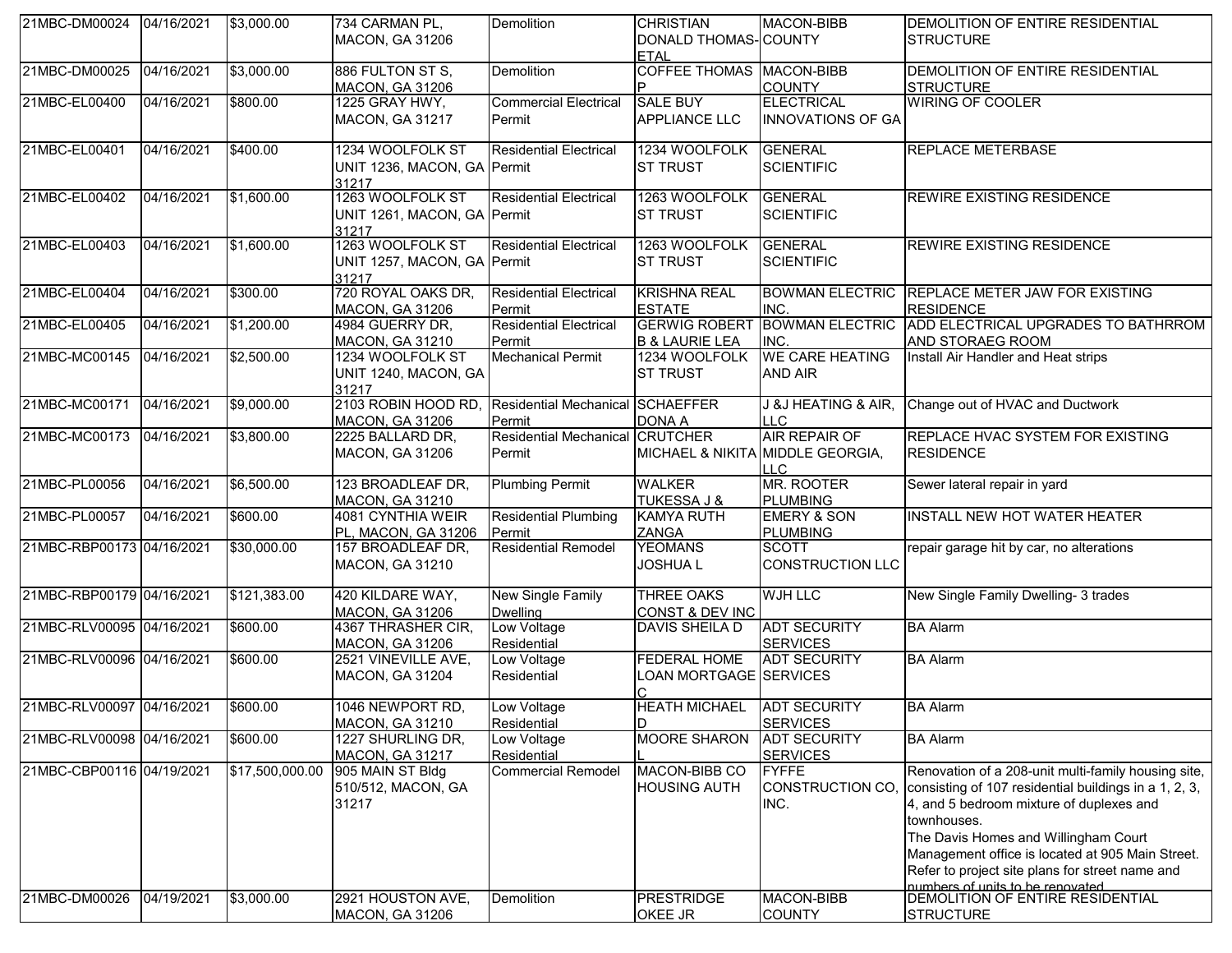| 21MBC-DM00024 04/16/2021  |            | \$3,000.00      | 734 CARMAN PL,<br><b>MACON, GA 31206</b>                 | Demolition                                       | <b>CHRISTIAN</b><br>DONALD THOMAS-COUNTY<br><b>ETAL</b> | MACON-BIBB                                                      | DEMOLITION OF ENTIRE RESIDENTIAL<br><b>STRUCTURE</b>                                                                                                                                                                                                                                                                                                        |
|---------------------------|------------|-----------------|----------------------------------------------------------|--------------------------------------------------|---------------------------------------------------------|-----------------------------------------------------------------|-------------------------------------------------------------------------------------------------------------------------------------------------------------------------------------------------------------------------------------------------------------------------------------------------------------------------------------------------------------|
| 21MBC-DM00025             | 04/16/2021 | \$3,000.00      | 886 FULTON ST S.<br><b>MACON, GA 31206</b>               | Demolition                                       | <b>COFFEE THOMAS MACON-BIBB</b>                         | <b>COUNTY</b>                                                   | DEMOLITION OF ENTIRE RESIDENTIAL<br><b>STRUCTURE</b>                                                                                                                                                                                                                                                                                                        |
| 21MBC-EL00400             | 04/16/2021 | \$800.00        | 1225 GRAY HWY,<br><b>MACON, GA 31217</b>                 | <b>Commercial Electrical</b><br>Permit           | <b>SALE BUY</b><br><b>APPLIANCE LLC</b>                 | <b>ELECTRICAL</b><br>INNOVATIONS OF GA                          | <b>WIRING OF COOLER</b>                                                                                                                                                                                                                                                                                                                                     |
| 21MBC-EL00401             | 04/16/2021 | \$400.00        | 1234 WOOLFOLK ST<br>UNIT 1236, MACON, GA Permit<br>31217 | <b>Residential Electrical</b>                    | 1234 WOOLFOLK<br><b>ST TRUST</b>                        | <b>GENERAL</b><br><b>SCIENTIFIC</b>                             | <b>REPLACE METERBASE</b>                                                                                                                                                                                                                                                                                                                                    |
| 21MBC-EL00402             | 04/16/2021 | \$1,600.00      | 1263 WOOLFOLK ST<br>UNIT 1261, MACON, GA Permit<br>31217 | <b>Residential Electrical</b>                    | 1263 WOOLFOLK<br><b>ST TRUST</b>                        | <b>GENERAL</b><br><b>SCIENTIFIC</b>                             | REWIRE EXISTING RESIDENCE                                                                                                                                                                                                                                                                                                                                   |
| 21MBC-EL00403             | 04/16/2021 | \$1,600.00      | 1263 WOOLFOLK ST<br>UNIT 1257, MACON, GA Permit<br>31217 | <b>Residential Electrical</b>                    | 1263 WOOLFOLK<br><b>ST TRUST</b>                        | <b>GENERAL</b><br><b>SCIENTIFIC</b>                             | <b>REWIRE EXISTING RESIDENCE</b>                                                                                                                                                                                                                                                                                                                            |
| 21MBC-EL00404             | 04/16/2021 | \$300.00        | 720 ROYAL OAKS DR,<br><b>MACON, GA 31206</b>             | <b>Residential Electrical</b><br>Permit          | <b>KRISHNA REAL</b><br><b>ESTATE</b>                    | INC.                                                            | BOWMAN ELECTRIC REPLACE METER JAW FOR EXISTING<br><b>RESIDENCE</b>                                                                                                                                                                                                                                                                                          |
| 21MBC-EL00405             | 04/16/2021 | \$1,200.00      | 4984 GUERRY DR,<br><b>MACON, GA 31210</b>                | <b>Residential Electrical</b><br>Permit          | <b>GERWIG ROBERT</b><br><b>B &amp; LAURIE LEA</b>       | INC.                                                            | BOWMAN ELECTRIC ADD ELECTRICAL UPGRADES TO BATHRROM<br>AND STORAEG ROOM                                                                                                                                                                                                                                                                                     |
| 21MBC-MC00145             | 04/16/2021 | \$2,500.00      | 1234 WOOLFOLK ST<br>UNIT 1240, MACON, GA<br>31217        | <b>Mechanical Permit</b>                         | 1234 WOOLFOLK<br><b>ST TRUST</b>                        | <b>WE CARE HEATING</b><br><b>AND AIR</b>                        | Install Air Handler and Heat strips                                                                                                                                                                                                                                                                                                                         |
| 21MBC-MC00171             | 04/16/2021 | \$9,000.00      | 2103 ROBIN HOOD RD,<br>MACON, GA 31206                   | Residential Mechanical SCHAEFFER<br>Permit       | <b>DONA A</b>                                           | J &J HEATING & AIR,<br><b>LLC</b>                               | Change out of HVAC and Ductwork                                                                                                                                                                                                                                                                                                                             |
| 21MBC-MC00173             | 04/16/2021 | \$3,800.00      | 2225 BALLARD DR,<br><b>MACON, GA 31206</b>               | <b>Residential Mechanical CRUTCHER</b><br>Permit |                                                         | AIR REPAIR OF<br>MICHAEL & NIKITA MIDDLE GEORGIA,<br><b>LLC</b> | <b>REPLACE HVAC SYSTEM FOR EXISTING</b><br><b>RESIDENCE</b>                                                                                                                                                                                                                                                                                                 |
| 21MBC-PL00056             | 04/16/2021 | \$6,500.00      | 123 BROADLEAF DR,<br>MACON, GA 31210                     | <b>Plumbing Permit</b>                           | <b>WALKER</b><br><b>TUKESSA J &amp;</b>                 | <b>MR. ROOTER</b><br><b>PLUMBING</b>                            | Sewer lateral repair in yard                                                                                                                                                                                                                                                                                                                                |
| 21MBC-PL00057             | 04/16/2021 | \$600.00        | 4081 CYNTHIA WEIR<br>PL, MACON, GA 31206                 | <b>Residential Plumbing</b><br>Permit            | <b>KAMYA RUTH</b><br>ZANGA                              | <b>EMERY &amp; SON</b><br><b>PLUMBING</b>                       | <b>INSTALL NEW HOT WATER HEATER</b>                                                                                                                                                                                                                                                                                                                         |
| 21MBC-RBP00173 04/16/2021 |            | \$30,000.00     | 157 BROADLEAF DR,<br>MACON, GA 31210                     | <b>Residential Remodel</b>                       | <b>YEOMANS</b><br><b>JOSHUAL</b>                        | <b>SCOTT</b><br>CONSTRUCTION LLC                                | repair garage hit by car, no alterations                                                                                                                                                                                                                                                                                                                    |
| 21MBC-RBP00179 04/16/2021 |            | \$121,383.00    | 420 KILDARE WAY,<br>MACON, GA 31206                      | New Single Family<br><b>Dwelling</b>             | <b>THREE OAKS</b><br><b>CONST &amp; DEV INC</b>         | <b>WJH LLC</b>                                                  | New Single Family Dwelling- 3 trades                                                                                                                                                                                                                                                                                                                        |
| 21MBC-RLV00095 04/16/2021 |            | \$600.00        | 4367 THRASHER CIR,<br><b>MACON, GA 31206</b>             | Low Voltage<br>Residential                       | DAVIS SHEILA D                                          | <b>ADT SECURITY</b><br><b>SERVICES</b>                          | <b>BA Alarm</b>                                                                                                                                                                                                                                                                                                                                             |
| 21MBC-RLV00096 04/16/2021 |            | \$600.00        | 2521 VINEVILLE AVE,<br>MACON, GA 31204                   | Low Voltage<br>Residential                       | <b>FEDERAL HOME</b><br>LOAN MORTGAGE SERVICES           | <b>ADT SECURITY</b>                                             | <b>BA Alarm</b>                                                                                                                                                                                                                                                                                                                                             |
| 21MBC-RLV00097 04/16/2021 |            | \$600.00        | 1046 NEWPORT RD,<br>MACON, GA 31210                      | Low Voltage<br>Residential                       | <b>HEATH MICHAEL</b><br>ID                              | <b>ADT SECURITY</b><br><b>SERVICES</b>                          | <b>BA Alarm</b>                                                                                                                                                                                                                                                                                                                                             |
| 21MBC-RLV00098 04/16/2021 |            | \$600.00        | 1227 SHURLING DR,<br><b>MACON, GA 31217</b>              | Low Voltage<br>Residential                       | <b>MOORE SHARON</b>                                     | <b>ADT SECURITY</b><br><b>SERVICES</b>                          | <b>BA Alarm</b>                                                                                                                                                                                                                                                                                                                                             |
| 21MBC-CBP00116 04/19/2021 |            | \$17,500,000.00 | 905 MAIN ST Bldg<br>510/512, MACON, GA<br>31217          | <b>Commercial Remodel</b>                        | MACON-BIBB CO<br><b>HOUSING AUTH</b>                    | <b>FYFFE</b><br>CONSTRUCTION CO,<br>INC.                        | Renovation of a 208-unit multi-family housing site,<br>consisting of 107 residential buildings in a 1, 2, 3,<br>4, and 5 bedroom mixture of duplexes and<br>townhouses.<br>The Davis Homes and Willingham Court<br>Management office is located at 905 Main Street.<br>Refer to project site plans for street name and<br>numbers of units to be renovated. |
| 21MBC-DM00026             | 04/19/2021 | \$3,000.00      | 2921 HOUSTON AVE,<br><b>MACON, GA 31206</b>              | Demolition                                       | <b>PRESTRIDGE</b><br>OKEE JR                            | MACON-BIBB<br><b>COUNTY</b>                                     | DEMOLITION OF ENTIRE RESIDENTIAL<br><b>STRUCTURE</b>                                                                                                                                                                                                                                                                                                        |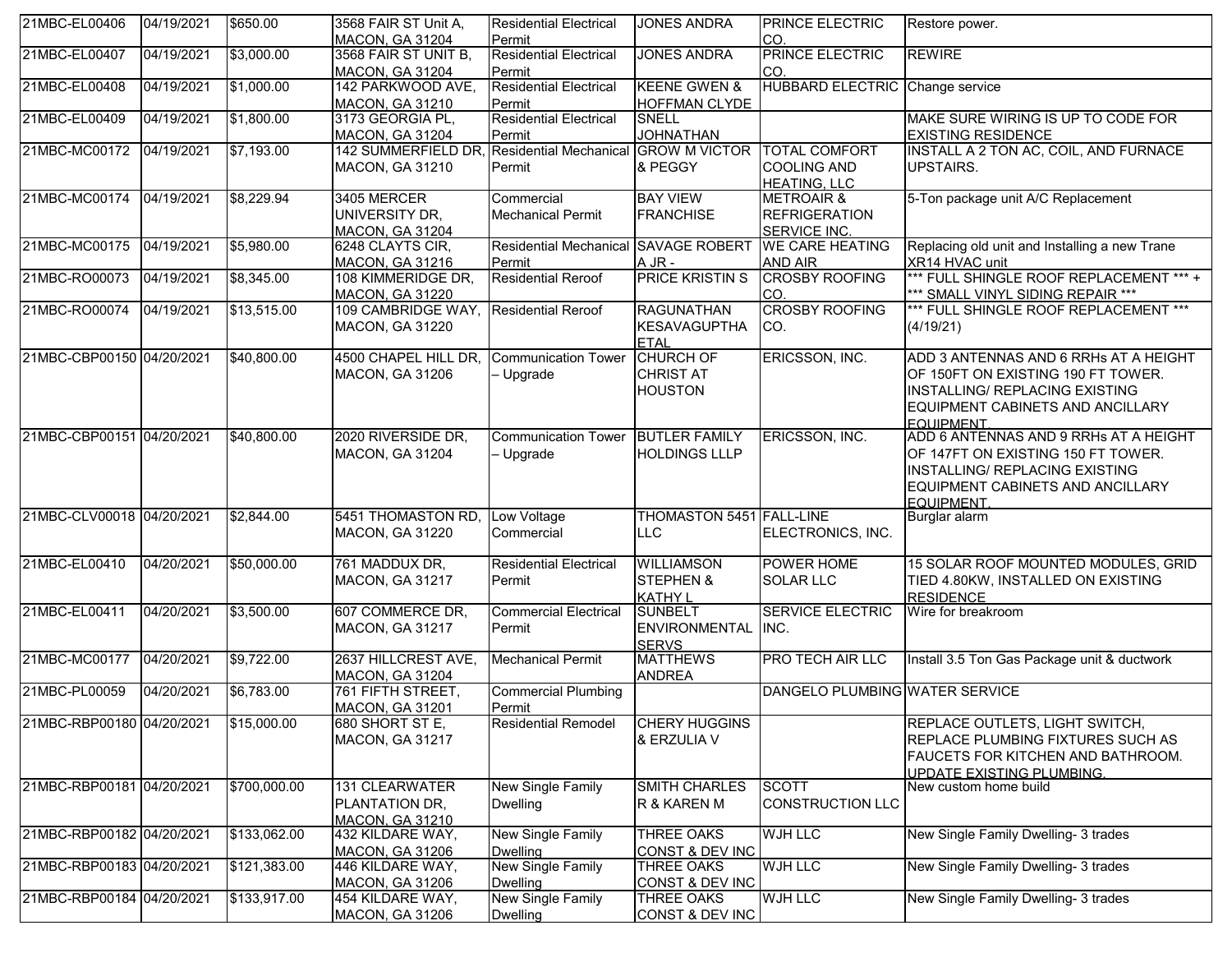| 21MBC-EL00406             | 04/19/2021 | \$650.00     | 3568 FAIR ST Unit A,<br><b>MACON, GA 31204</b>                       | <b>Residential Electrical</b><br>Permit     | <b>JONES ANDRA</b>                                      | <b>PRINCE ELECTRIC</b><br>CO.                                        | Restore power.                                                                                                                                                  |
|---------------------------|------------|--------------|----------------------------------------------------------------------|---------------------------------------------|---------------------------------------------------------|----------------------------------------------------------------------|-----------------------------------------------------------------------------------------------------------------------------------------------------------------|
| 21MBC-EL00407             | 04/19/2021 | \$3,000.00   | 3568 FAIR ST UNIT B,<br><b>MACON, GA 31204</b>                       | <b>Residential Electrical</b><br>Permit     | <b>JONES ANDRA</b>                                      | PRINCE ELECTRIC<br>CO.                                               | <b>REWIRE</b>                                                                                                                                                   |
| 21MBC-EL00408             | 04/19/2021 | \$1,000.00   | 142 PARKWOOD AVE,<br><b>MACON, GA 31210</b>                          | <b>Residential Electrical</b><br>Permit     | <b>KEENE GWEN &amp;</b><br><b>HOFFMAN CLYDE</b>         | <b>HUBBARD ELECTRIC Change service</b>                               |                                                                                                                                                                 |
| 21MBC-EL00409             | 04/19/2021 | \$1,800.00   | 3173 GEORGIA PL,<br><b>MACON, GA 31204</b>                           | <b>Residential Electrical</b><br>Permit     | <b>SNELL</b><br><b>JOHNATHAN</b>                        |                                                                      | MAKE SURE WIRING IS UP TO CODE FOR<br><b>EXISTING RESIDENCE</b>                                                                                                 |
| 21MBC-MC00172             | 04/19/2021 | \$7,193.00   | 142 SUMMERFIELD DR, Residential Mechanical<br><b>MACON, GA 31210</b> | Permit                                      | <b>GROW M VICTOR</b><br>& PEGGY                         | <b>TOTAL COMFORT</b><br><b>COOLING AND</b><br><b>HEATING, LLC</b>    | INSTALL A 2 TON AC, COIL, AND FURNACE<br>UPSTAIRS.                                                                                                              |
| 21MBC-MC00174             | 04/19/2021 | \$8,229.94   | 3405 MERCER<br>UNIVERSITY DR,<br><b>MACON, GA 31204</b>              | Commercial<br><b>Mechanical Permit</b>      | <b>BAY VIEW</b><br><b>FRANCHISE</b>                     | <b>METROAIR &amp;</b><br><b>REFRIGERATION</b><br><b>SERVICE INC.</b> | 5-Ton package unit A/C Replacement                                                                                                                              |
| 21MBC-MC00175             | 04/19/2021 | \$5,980.00   | 6248 CLAYTS CIR,<br>MACON, GA 31216                                  | <b>Residential Mechanical</b><br>Permit     | <b>SAVAGE ROBERT</b><br>A JR -                          | <b>WE CARE HEATING</b><br><b>AND AIR</b>                             | Replacing old unit and Installing a new Trane<br>XR14 HVAC unit                                                                                                 |
| 21MBC-RO00073             | 04/19/2021 | \$8,345.00   | 108 KIMMERIDGE DR,<br><b>MACON, GA 31220</b>                         | <b>Residential Reroof</b>                   | <b>PRICE KRISTIN S</b>                                  | <b>CROSBY ROOFING</b><br>CO.                                         | *** FULL SHINGLE ROOF REPLACEMENT *** +<br>*** SMALL VINYL SIDING REPAIR ***                                                                                    |
| 21MBC-RO00074             | 04/19/2021 | \$13,515.00  | 109 CAMBRIDGE WAY, Residential Reroof<br><b>MACON, GA 31220</b>      |                                             | <b>RAGUNATHAN</b><br><b>KESAVAGUPTHA</b><br><b>ETAL</b> | <b>CROSBY ROOFING</b><br>CO.                                         | *** FULL SHINGLE ROOF REPLACEMENT ***<br>(4/19/21)                                                                                                              |
| 21MBC-CBP00150 04/20/2021 |            | \$40,800.00  | 4500 CHAPEL HILL DR,<br>MACON, GA 31206                              | <b>Communication Tower</b><br>- Upgrade     | <b>CHURCH OF</b><br><b>CHRIST AT</b><br><b>HOUSTON</b>  | ERICSSON, INC.                                                       | ADD 3 ANTENNAS AND 6 RRHs AT A HEIGHT<br>OF 150FT ON EXISTING 190 FT TOWER.<br>INSTALLING/ REPLACING EXISTING<br>EQUIPMENT CABINETS AND ANCILLARY<br>FOUIPMENT. |
| 21MBC-CBP00151 04/20/2021 |            | \$40,800.00  | 2020 RIVERSIDE DR,<br><b>MACON, GA 31204</b>                         | <b>Communication Tower</b><br>- Upgrade     | <b>BUTLER FAMILY</b><br><b>HOLDINGS LLLP</b>            | ERICSSON, INC.                                                       | ADD 6 ANTENNAS AND 9 RRHs AT A HEIGHT<br>OF 147FT ON EXISTING 150 FT TOWER.<br>INSTALLING/ REPLACING EXISTING<br>EQUIPMENT CABINETS AND ANCILLARY<br>EQUIPMENT. |
| 21MBC-CLV00018 04/20/2021 |            | \$2,844.00   | 5451 THOMASTON RD,<br>MACON, GA 31220                                | Low Voltage<br>Commercial                   | <b>THOMASTON 5451 FALL-LINE</b><br><b>LLC</b>           | ELECTRONICS, INC.                                                    | Burglar alarm                                                                                                                                                   |
| 21MBC-EL00410             | 04/20/2021 | \$50,000.00  | 761 MADDUX DR,<br>MACON, GA 31217                                    | <b>Residential Electrical</b><br>Permit     | <b>WILLIAMSON</b><br>STEPHEN &<br><b>KATHY L</b>        | POWER HOME<br><b>SOLAR LLC</b>                                       | 15 SOLAR ROOF MOUNTED MODULES, GRID<br>TIED 4.80KW, INSTALLED ON EXISTING<br><b>RESIDENCE</b>                                                                   |
| 21MBC-EL00411             | 04/20/2021 | \$3,500.00   | 607 COMMERCE DR,<br><b>MACON, GA 31217</b>                           | <b>Commercial Electrical</b><br>Permit      | <b>SUNBELT</b><br><b>ENVIRONMENTAL</b><br><b>SERVS</b>  | <b>SERVICE ELECTRIC</b><br>INC.                                      | Wire for breakroom                                                                                                                                              |
| 21MBC-MC00177             | 04/20/2021 | \$9,722.00   | 2637 HILLCREST AVE,<br><b>MACON, GA 31204</b>                        | <b>Mechanical Permit</b>                    | <b>MATTHEWS</b><br><b>ANDREA</b>                        | <b>PRO TECH AIR LLC</b>                                              | Install 3.5 Ton Gas Package unit & ductwork                                                                                                                     |
| 21MBC-PL00059             | 04/20/2021 | \$6,783.00   | 761 FIFTH STREET,<br><b>MACON, GA 31201</b>                          | <b>Commercial Plumbing</b><br>Permit        |                                                         | DANGELO PLUMBING WATER SERVICE                                       |                                                                                                                                                                 |
| 21MBC-RBP00180 04/20/2021 |            | \$15,000.00  | 680 SHORT ST E,<br>MACON, GA 31217                                   | <b>Residential Remodel</b>                  | <b>CHERY HUGGINS</b><br>& ERZULIA V                     |                                                                      | REPLACE OUTLETS, LIGHT SWITCH,<br>REPLACE PLUMBING FIXTURES SUCH AS<br>FAUCETS FOR KITCHEN AND BATHROOM.<br><b>UPDATE EXISTING PLUMBING.</b>                    |
| 21MBC-RBP00181 04/20/2021 |            | \$700,000.00 | 131 CLEARWATER<br>PLANTATION DR.<br><b>MACON, GA 31210</b>           | <b>New Single Family</b><br><b>Dwelling</b> | <b>SMITH CHARLES</b><br>R & KAREN M                     | <b>SCOTT</b><br><b>CONSTRUCTION LLC</b>                              | New custom home build                                                                                                                                           |
| 21MBC-RBP00182 04/20/2021 |            | \$133,062.00 | 432 KILDARE WAY,<br><b>MACON, GA 31206</b>                           | <b>New Single Family</b><br><b>Dwelling</b> | <b>THREE OAKS</b><br><b>CONST &amp; DEV INC</b>         | <b>WJH LLC</b>                                                       | New Single Family Dwelling- 3 trades                                                                                                                            |
| 21MBC-RBP00183 04/20/2021 |            | \$121,383.00 | 446 KILDARE WAY,<br><b>MACON, GA 31206</b>                           | New Single Family<br><b>Dwelling</b>        | <b>THREE OAKS</b><br><b>CONST &amp; DEV INC</b>         | WJH LLC                                                              | New Single Family Dwelling- 3 trades                                                                                                                            |
| 21MBC-RBP00184 04/20/2021 |            | \$133,917.00 | 454 KILDARE WAY,<br><b>MACON, GA 31206</b>                           | New Single Family<br><b>Dwelling</b>        | <b>THREE OAKS</b><br><b>CONST &amp; DEV INC</b>         | <b>WJH LLC</b>                                                       | New Single Family Dwelling- 3 trades                                                                                                                            |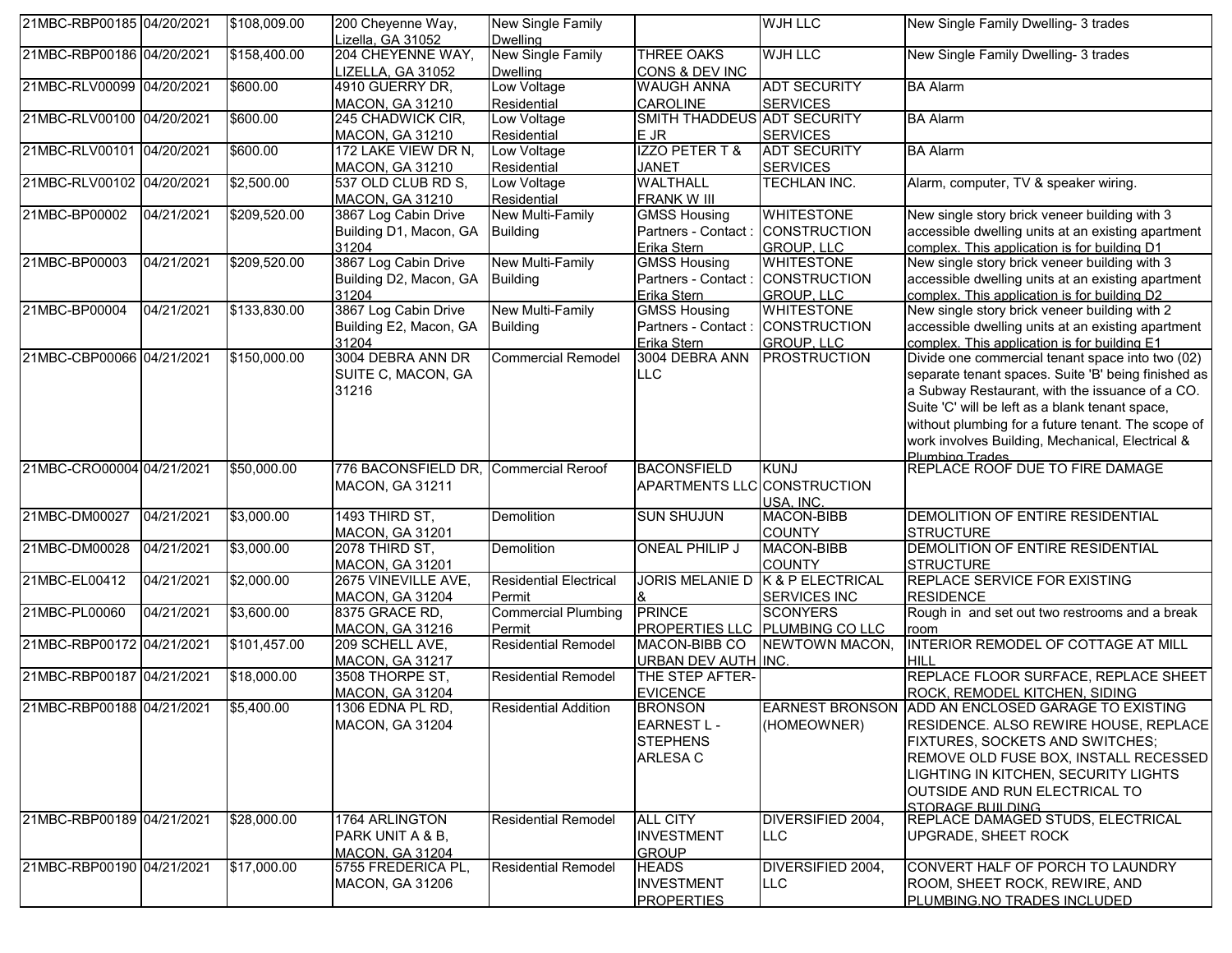| 21MBC-RBP00185 04/20/2021 |            | \$108,009.00 | 200 Cheyenne Way,                       | <b>New Single Family</b>        |                                    | <b>WJH LLC</b>                           | New Single Family Dwelling- 3 trades                                                               |
|---------------------------|------------|--------------|-----------------------------------------|---------------------------------|------------------------------------|------------------------------------------|----------------------------------------------------------------------------------------------------|
|                           |            |              | Lizella, GA 31052                       | <b>Dwelling</b>                 |                                    |                                          |                                                                                                    |
| 21MBC-RBP00186 04/20/2021 |            | \$158,400.00 | 204 CHEYENNE WAY,                       | New Single Family               | <b>THREE OAKS</b>                  | <b>WJH LLC</b>                           | New Single Family Dwelling- 3 trades                                                               |
|                           |            |              | LIZELLA, GA 31052                       | <b>Dwelling</b>                 | CONS & DEV INC                     |                                          |                                                                                                    |
| 21MBC-RLV00099 04/20/2021 |            | \$600.00     | 4910 GUERRY DR,                         | Low Voltage                     | <b>WAUGH ANNA</b>                  | <b>ADT SECURITY</b>                      | <b>BA Alarm</b>                                                                                    |
|                           |            |              | <b>MACON, GA 31210</b>                  | Residential                     | <b>CAROLINE</b>                    | <b>SERVICES</b>                          |                                                                                                    |
| 21MBC-RLV00100 04/20/2021 |            | \$600.00     | 245 CHADWICK CIR,                       | Low Voltage                     | SMITH THADDEUS ADT SECURITY        |                                          | <b>BA Alarm</b>                                                                                    |
|                           |            |              | <b>MACON, GA 31210</b>                  | Residential                     | E JR                               | <b>SERVICES</b>                          |                                                                                                    |
| 21MBC-RLV00101 04/20/2021 |            | \$600.00     | 172 LAKE VIEW DR N,                     | Low Voltage                     | <b>IZZO PETER T &amp;</b>          | <b>ADT SECURITY</b>                      | <b>BA Alarm</b>                                                                                    |
|                           |            |              | <b>MACON, GA 31210</b>                  | Residential                     | <b>JANET</b>                       | <b>SERVICES</b>                          |                                                                                                    |
| 21MBC-RLV00102 04/20/2021 |            | \$2,500.00   | 537 OLD CLUB RD S.                      | Low Voltage                     | <b>WALTHALL</b>                    | TECHLAN INC.                             | Alarm, computer, TV & speaker wiring.                                                              |
| 21MBC-BP00002             |            |              | MACON, GA 31210<br>3867 Log Cabin Drive | Residential<br>New Multi-Family | <b>FRANK W III</b>                 | <b>WHITESTONE</b>                        |                                                                                                    |
|                           | 04/21/2021 | \$209,520.00 |                                         |                                 | <b>GMSS Housing</b>                |                                          | New single story brick veneer building with 3                                                      |
|                           |            |              | Building D1, Macon, GA Building         |                                 | Partners - Contact : CONSTRUCTION  |                                          | accessible dwelling units at an existing apartment                                                 |
|                           |            |              | 31204<br>3867 Log Cabin Drive           | New Multi-Family                | Erika Stern<br><b>GMSS Housing</b> | <b>GROUP, LLC</b>                        | complex. This application is for building D1                                                       |
| 21MBC-BP00003             | 04/21/2021 | \$209,520.00 |                                         |                                 |                                    | <b>WHITESTONE</b>                        | New single story brick veneer building with 3                                                      |
|                           |            |              | Building D2, Macon, GA                  | <b>Building</b>                 | Partners - Contact : CONSTRUCTION  |                                          | accessible dwelling units at an existing apartment                                                 |
| 21MBC-BP00004             | 04/21/2021 | \$133,830.00 | 31204<br>3867 Log Cabin Drive           | New Multi-Family                | Erika Stern<br><b>GMSS Housing</b> | <b>GROUP, LLC</b><br><b>WHITESTONE</b>   | complex. This application is for building D2<br>New single story brick veneer building with 2      |
|                           |            |              | Building E2, Macon, GA                  |                                 | Partners - Contact : CONSTRUCTION  |                                          |                                                                                                    |
|                           |            |              |                                         | <b>Building</b>                 |                                    |                                          | accessible dwelling units at an existing apartment<br>complex. This application is for building E1 |
| 21MBC-CBP00066 04/21/2021 |            | \$150,000.00 | 31204<br>3004 DEBRA ANN DR              | <b>Commercial Remodel</b>       | Erika Stern<br>3004 DEBRA ANN      | <b>GROUP, LLC</b><br><b>PROSTRUCTION</b> | Divide one commercial tenant space into two (02)                                                   |
|                           |            |              |                                         |                                 |                                    |                                          |                                                                                                    |
|                           |            |              | SUITE C, MACON, GA                      |                                 | <b>LLC</b>                         |                                          | separate tenant spaces. Suite 'B' being finished as                                                |
|                           |            |              | 31216                                   |                                 |                                    |                                          | a Subway Restaurant, with the issuance of a CO.                                                    |
|                           |            |              |                                         |                                 |                                    |                                          | Suite 'C' will be left as a blank tenant space,                                                    |
|                           |            |              |                                         |                                 |                                    |                                          | without plumbing for a future tenant. The scope of                                                 |
|                           |            |              |                                         |                                 |                                    |                                          | work involves Building, Mechanical, Electrical &                                                   |
| 21MBC-CRO00004 04/21/2021 |            | \$50,000.00  | 776 BACONSFIELD DR, Commercial Reroof   |                                 | <b>BACONSFIELD</b>                 | <b>KUNJ</b>                              | Plumbing Trades<br><b>REPLACE ROOF DUE TO FIRE DAMAGE</b>                                          |
|                           |            |              | <b>MACON, GA 31211</b>                  |                                 | APARTMENTS LLC CONSTRUCTION        |                                          |                                                                                                    |
|                           |            |              |                                         |                                 |                                    | USA. INC.                                |                                                                                                    |
| 21MBC-DM00027             | 04/21/2021 | \$3,000.00   | 1493 THIRD ST,                          | Demolition                      | <b>SUN SHUJUN</b>                  | MACON-BIBB                               | DEMOLITION OF ENTIRE RESIDENTIAL                                                                   |
|                           |            |              | <b>MACON, GA 31201</b>                  |                                 |                                    | <b>COUNTY</b>                            | <b>STRUCTURE</b>                                                                                   |
| 21MBC-DM00028             | 04/21/2021 | \$3,000.00   | 2078 THIRD ST,                          | Demolition                      | <b>ONEAL PHILIP J</b>              | MACON-BIBB                               | DEMOLITION OF ENTIRE RESIDENTIAL                                                                   |
|                           |            |              | <b>MACON, GA 31201</b>                  |                                 |                                    | <b>COUNTY</b>                            | <b>STRUCTURE</b>                                                                                   |
| 21MBC-EL00412             | 04/21/2021 | \$2,000.00   | 2675 VINEVILLE AVE,                     | <b>Residential Electrical</b>   | <b>JORIS MELANIE D</b>             | K & P ELECTRICAL                         | <b>REPLACE SERVICE FOR EXISTING</b>                                                                |
|                           |            |              | <b>MACON, GA 31204</b>                  | Permit                          |                                    | <b>SERVICES INC</b>                      | <b>RESIDENCE</b>                                                                                   |
| 21MBC-PL00060             | 04/21/2021 | \$3,600.00   | 8375 GRACE RD,                          | <b>Commercial Plumbing</b>      | <b>PRINCE</b>                      | <b>SCONYERS</b>                          | Rough in and set out two restrooms and a break                                                     |
|                           |            |              | MACON, GA 31216                         | Permit                          |                                    | PROPERTIES LLC PLUMBING CO LLC           | room                                                                                               |
| 21MBC-RBP00172 04/21/2021 |            | \$101,457.00 | 209 SCHELL AVE,                         | <b>Residential Remodel</b>      | MACON-BIBB CO                      | NEWTOWN MACON,                           | INTERIOR REMODEL OF COTTAGE AT MILL                                                                |
|                           |            |              | MACON, GA 31217                         |                                 | <b>URBAN DEV AUTH INC.</b>         |                                          | HILL                                                                                               |
| 21MBC-RBP00187 04/21/2021 |            | \$18,000.00  | 3508 THORPE ST,                         | <b>Residential Remodel</b>      | THE STEP AFTER-                    |                                          | REPLACE FLOOR SURFACE, REPLACE SHEET                                                               |
|                           |            |              | <b>MACON, GA 31204</b>                  |                                 | <b>EVICENCE</b>                    |                                          | ROCK, REMODEL KITCHEN, SIDING                                                                      |
| 21MBC-RBP00188 04/21/2021 |            | \$5,400.00   | 1306 EDNA PL RD,                        | <b>Residential Addition</b>     | <b>BRONSON</b>                     |                                          | EARNEST BRONSON ADD AN ENCLOSED GARAGE TO EXISTING                                                 |
|                           |            |              | <b>MACON, GA 31204</b>                  |                                 | <b>EARNEST L-</b>                  | (HOMEOWNER)                              | RESIDENCE. ALSO REWIRE HOUSE, REPLACE                                                              |
|                           |            |              |                                         |                                 | <b>STEPHENS</b>                    |                                          | <b>FIXTURES, SOCKETS AND SWITCHES;</b>                                                             |
|                           |            |              |                                         |                                 | ARLESA C                           |                                          | <b>REMOVE OLD FUSE BOX, INSTALL RECESSED</b>                                                       |
|                           |            |              |                                         |                                 |                                    |                                          | LIGHTING IN KITCHEN, SECURITY LIGHTS                                                               |
|                           |            |              |                                         |                                 |                                    |                                          | OUTSIDE AND RUN ELECTRICAL TO                                                                      |
|                           |            |              |                                         |                                 |                                    |                                          | STORAGE BUILDING                                                                                   |
| 21MBC-RBP00189 04/21/2021 |            | \$28,000.00  | 1764 ARLINGTON                          | <b>Residential Remodel</b>      | <b>ALL CITY</b>                    | DIVERSIFIED 2004,                        | <b>REPLACE DAMAGED STUDS, ELECTRICAL</b>                                                           |
|                           |            |              | PARK UNIT A & B,                        |                                 | <b>INVESTMENT</b>                  | <b>LLC</b>                               | UPGRADE, SHEET ROCK                                                                                |
|                           |            |              | MACON, GA 31204                         |                                 | <b>GROUP</b>                       |                                          |                                                                                                    |
| 21MBC-RBP00190 04/21/2021 |            | \$17,000.00  | 5755 FREDERICA PL,                      | <b>Residential Remodel</b>      | <b>HEADS</b>                       | DIVERSIFIED 2004,                        | CONVERT HALF OF PORCH TO LAUNDRY                                                                   |
|                           |            |              | MACON, GA 31206                         |                                 | <b>INVESTMENT</b>                  | <b>LLC</b>                               | ROOM, SHEET ROCK, REWIRE, AND                                                                      |
|                           |            |              |                                         |                                 | <b>PROPERTIES</b>                  |                                          | <b>PLUMBING.NO TRADES INCLUDED</b>                                                                 |
|                           |            |              |                                         |                                 |                                    |                                          |                                                                                                    |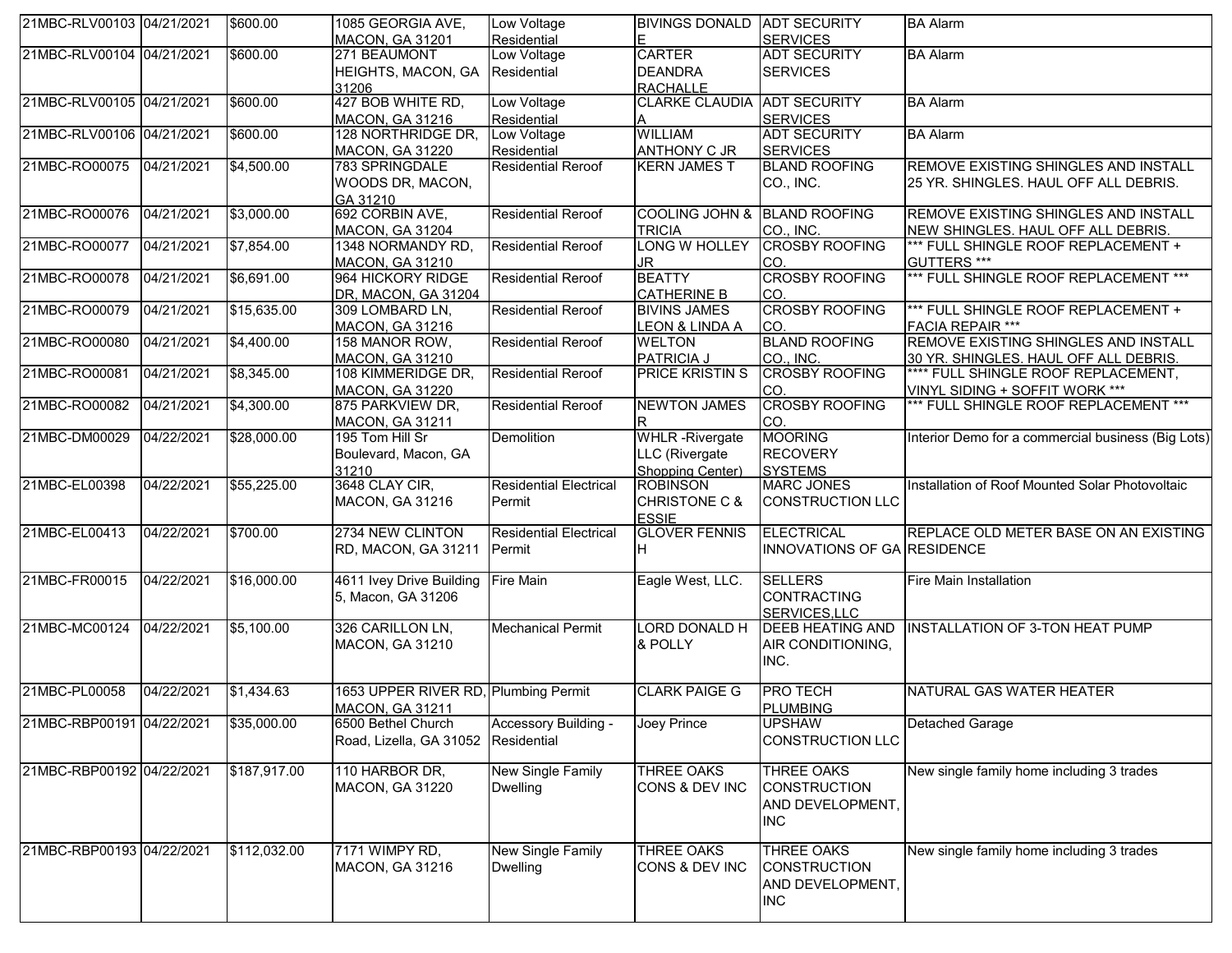| 21MBC-RLV00103 04/21/2021 |            | \$600.00     | 1085 GEORGIA AVE,                    | Low Voltage                   | <b>BIVINGS DONALD LADT SECURITY</b> |                             | <b>BA Alarm</b>                                    |
|---------------------------|------------|--------------|--------------------------------------|-------------------------------|-------------------------------------|-----------------------------|----------------------------------------------------|
|                           |            |              | <b>MACON, GA 31201</b>               | Residential                   | E                                   | <b>SERVICES</b>             |                                                    |
| 21MBC-RLV00104 04/21/2021 |            | \$600.00     | 271 BEAUMONT                         | Low Voltage                   | <b>CARTER</b>                       | <b>ADT SECURITY</b>         | <b>BA Alarm</b>                                    |
|                           |            |              | HEIGHTS, MACON, GA Residential       |                               | <b>DEANDRA</b>                      | <b>SERVICES</b>             |                                                    |
|                           |            |              | 31206                                |                               | <b>RACHALLE</b>                     |                             |                                                    |
| 21MBC-RLV00105 04/21/2021 |            | \$600.00     | 427 BOB WHITE RD,                    | Low Voltage                   | <b>CLARKE CLAUDIA ADT SECURITY</b>  |                             | <b>BA Alarm</b>                                    |
|                           |            |              | <b>MACON, GA 31216</b>               | Residential                   | A                                   | <b>SERVICES</b>             |                                                    |
| 21MBC-RLV00106 04/21/2021 |            | \$600.00     | 128 NORTHRIDGE DR,                   | Low Voltage                   | <b>WILLIAM</b>                      | <b>ADT SECURITY</b>         | <b>BA Alarm</b>                                    |
|                           |            |              | <b>MACON, GA 31220</b>               | Residential                   | <b>ANTHONY C JR</b>                 | <b>SERVICES</b>             |                                                    |
| 21MBC-RO00075             | 04/21/2021 | \$4,500.00   | 783 SPRINGDALE                       | <b>Residential Reroof</b>     | <b>KERN JAMES T</b>                 | <b>BLAND ROOFING</b>        | REMOVE EXISTING SHINGLES AND INSTALL               |
|                           |            |              | WOODS DR, MACON,                     |                               |                                     | CO., INC.                   | 25 YR. SHINGLES. HAUL OFF ALL DEBRIS.              |
|                           |            |              | GA 31210                             |                               |                                     |                             |                                                    |
| 21MBC-RO00076             | 04/21/2021 | \$3,000.00   | 692 CORBIN AVE,                      | <b>Residential Reroof</b>     | COOLING JOHN & BLAND ROOFING        |                             | REMOVE EXISTING SHINGLES AND INSTALL               |
|                           |            |              | <b>MACON, GA 31204</b>               |                               | <b>TRICIA</b>                       | CO., INC.                   | NEW SHINGLES. HAUL OFF ALL DEBRIS.                 |
| 21MBC-RO00077             | 04/21/2021 | \$7,854.00   | 1348 NORMANDY RD,                    | <b>Residential Reroof</b>     | LONG W HOLLEY                       | <b>CROSBY ROOFING</b>       | *** FULL SHINGLE ROOF REPLACEMENT +                |
|                           |            |              | <b>MACON, GA 31210</b>               |                               | JR.                                 | CO.                         | GUTTERS ***                                        |
| 21MBC-RO00078             | 04/21/2021 | \$6,691.00   | 964 HICKORY RIDGE                    | <b>Residential Reroof</b>     | <b>BEATTY</b>                       | <b>CROSBY ROOFING</b>       | *** FULL SHINGLE ROOF REPLACEMENT ***              |
|                           |            |              | DR, MACON, GA 31204                  |                               | <b>CATHERINE B</b>                  | CO.                         |                                                    |
| 21MBC-RO00079             | 04/21/2021 | \$15,635.00  | 309 LOMBARD LN,                      | <b>Residential Reroof</b>     | <b>BIVINS JAMES</b>                 | <b>CROSBY ROOFING</b>       | *** FULL SHINGLE ROOF REPLACEMENT +                |
|                           |            |              | <b>MACON, GA 31216</b>               |                               | LEON & LINDA A                      | CO.                         | <b>FACIA REPAIR ***</b>                            |
| 21MBC-RO00080             | 04/21/2021 | \$4,400.00   | 158 MANOR ROW,                       | <b>Residential Reroof</b>     | <b>WELTON</b>                       | <b>BLAND ROOFING</b>        | <b>REMOVE EXISTING SHINGLES AND INSTALL</b>        |
|                           |            |              | <b>MACON, GA 31210</b>               |                               | PATRICIA J                          | CO., INC.                   | 30 YR. SHINGLES. HAUL OFF ALL DEBRIS.              |
| 21MBC-RO00081             | 04/21/2021 | \$8,345.00   | 108 KIMMERIDGE DR,                   | <b>Residential Reroof</b>     | <b>PRICE KRISTIN S</b>              | <b>CROSBY ROOFING</b>       | **** FULL SHINGLE ROOF REPLACEMENT,                |
|                           |            |              |                                      |                               |                                     |                             | VINYL SIDING + SOFFIT WORK ***                     |
|                           |            |              | <b>MACON, GA 31220</b>               |                               |                                     | CO.                         |                                                    |
| 21MBC-RO00082             | 04/21/2021 | \$4,300.00   | 875 PARKVIEW DR,                     | <b>Residential Reroof</b>     | <b>NEWTON JAMES</b>                 | <b>CROSBY ROOFING</b>       | *** FULL SHINGLE ROOF REPLACEMENT ***              |
|                           |            |              | <b>MACON, GA 31211</b>               |                               | R.                                  | CO.                         |                                                    |
| 21MBC-DM00029             | 04/22/2021 | \$28,000.00  | 195 Tom Hill Sr                      | Demolition                    | <b>WHLR</b> - Rivergate             | <b>MOORING</b>              | Interior Demo for a commercial business (Big Lots) |
|                           |            |              | Boulevard, Macon, GA                 |                               | LLC (Rivergate                      | <b>RECOVERY</b>             |                                                    |
|                           |            |              | 31210                                |                               | Shopping Center)                    | <b>SYSTEMS</b>              |                                                    |
| 21MBC-EL00398             | 04/22/2021 | \$55,225.00  | 3648 CLAY CIR,                       | <b>Residential Electrical</b> | <b>ROBINSON</b>                     | <b>MARC JONES</b>           | Installation of Roof Mounted Solar Photovoltaic    |
|                           |            |              | MACON, GA 31216                      | Permit                        | <b>CHRISTONE C &amp;</b>            | <b>CONSTRUCTION LLC</b>     |                                                    |
|                           |            |              |                                      |                               | <b>ESSIE</b>                        |                             |                                                    |
| 21MBC-EL00413             | 04/22/2021 | \$700.00     | 2734 NEW CLINTON                     | <b>Residential Electrical</b> | <b>GLOVER FENNIS</b>                | <b>ELECTRICAL</b>           | REPLACE OLD METER BASE ON AN EXISTING              |
|                           |            |              | RD, MACON, GA 31211                  | Permit                        | H.                                  | INNOVATIONS OF GA RESIDENCE |                                                    |
|                           |            |              |                                      |                               |                                     |                             |                                                    |
| 21MBC-FR00015             | 04/22/2021 | \$16,000.00  | 4611 Ivey Drive Building             | <b>Fire Main</b>              | Eagle West, LLC.                    | <b>SELLERS</b>              | <b>Fire Main Installation</b>                      |
|                           |            |              | 5, Macon, GA 31206                   |                               |                                     | CONTRACTING                 |                                                    |
|                           |            |              |                                      |                               |                                     | SERVICES, LLC               |                                                    |
| 21MBC-MC00124             | 04/22/2021 | \$5,100.00   | 326 CARILLON LN,                     | <b>Mechanical Permit</b>      | <b>LORD DONALD H</b>                | <b>DEEB HEATING AND</b>     | INSTALLATION OF 3-TON HEAT PUMP                    |
|                           |            |              | <b>MACON, GA 31210</b>               |                               | & POLLY                             | AIR CONDITIONING,           |                                                    |
|                           |            |              |                                      |                               |                                     | INC.                        |                                                    |
|                           |            |              |                                      |                               |                                     |                             |                                                    |
| 21MBC-PL00058             | 04/22/2021 | \$1,434.63   | 1653 UPPER RIVER RD, Plumbing Permit |                               | <b>CLARK PAIGE G</b>                | <b>PRO TECH</b>             | NATURAL GAS WATER HEATER                           |
|                           |            |              | <b>MACON, GA 31211</b>               |                               |                                     | <b>PLUMBING</b>             |                                                    |
| 21MBC-RBP00191 04/22/2021 |            | \$35,000.00  | 6500 Bethel Church                   | Accessory Building -          | Joey Prince                         | <b>UPSHAW</b>               | <b>Detached Garage</b>                             |
|                           |            |              | Road, Lizella, GA 31052 Residential  |                               |                                     | CONSTRUCTION LLC            |                                                    |
|                           |            |              |                                      |                               |                                     |                             |                                                    |
| 21MBC-RBP00192 04/22/2021 |            | \$187,917.00 | 110 HARBOR DR,                       | New Single Family             | <b>THREE OAKS</b>                   | THREE OAKS                  | New single family home including 3 trades          |
|                           |            |              | MACON, GA 31220                      | <b>Dwelling</b>               | CONS & DEV INC                      | <b>CONSTRUCTION</b>         |                                                    |
|                           |            |              |                                      |                               |                                     |                             |                                                    |
|                           |            |              |                                      |                               |                                     | AND DEVELOPMENT,            |                                                    |
|                           |            |              |                                      |                               |                                     | INC                         |                                                    |
|                           |            |              |                                      |                               |                                     |                             |                                                    |
| 21MBC-RBP00193 04/22/2021 |            | \$112,032.00 | 7171 WIMPY RD,                       | New Single Family             | <b>THREE OAKS</b>                   | <b>THREE OAKS</b>           | New single family home including 3 trades          |
|                           |            |              | <b>MACON, GA 31216</b>               | <b>Dwelling</b>               | CONS & DEV INC                      | <b>CONSTRUCTION</b>         |                                                    |
|                           |            |              |                                      |                               |                                     | AND DEVELOPMENT,            |                                                    |
|                           |            |              |                                      |                               |                                     | INC                         |                                                    |
|                           |            |              |                                      |                               |                                     |                             |                                                    |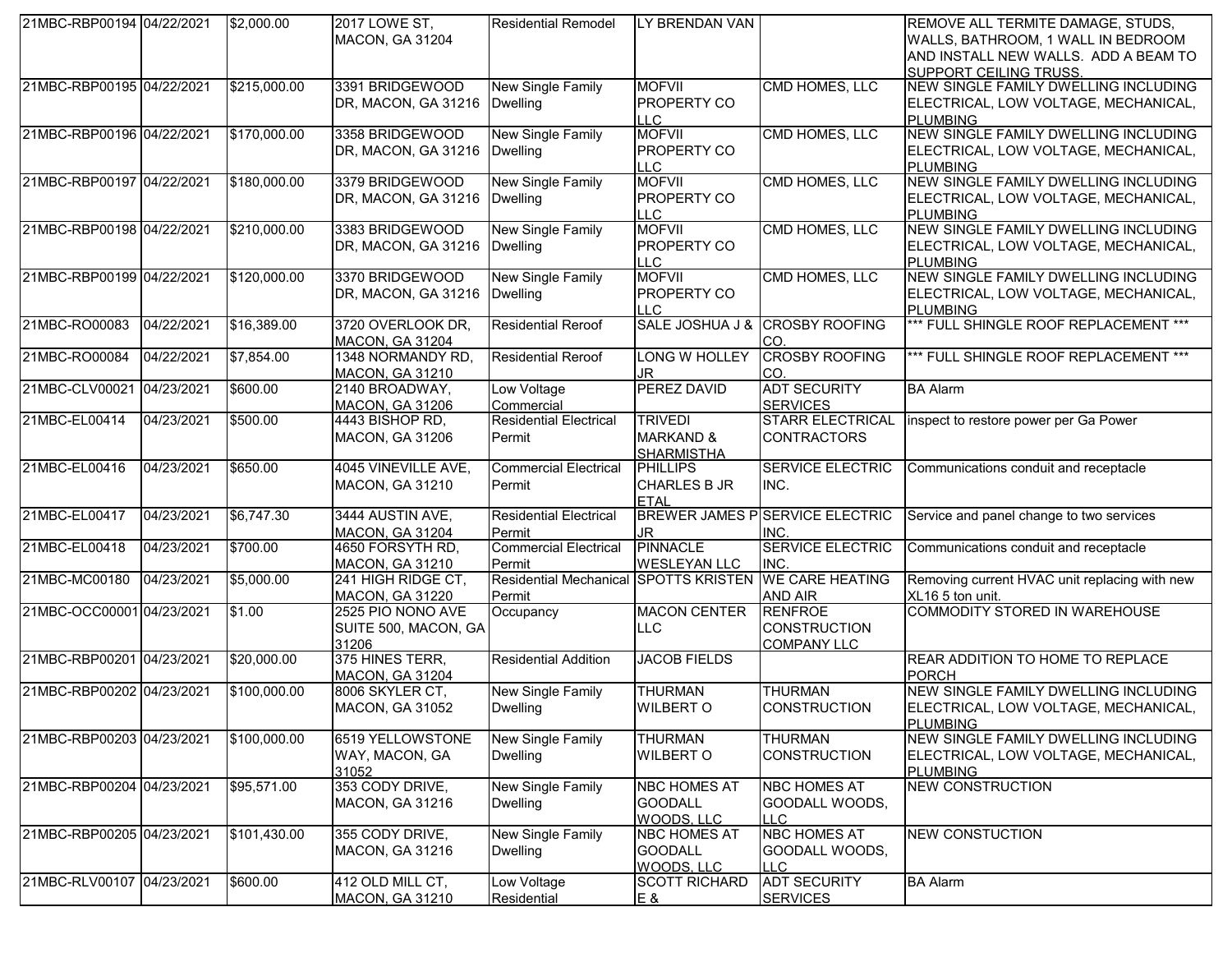| 21MBC-RBP00194 04/22/2021 |            | \$2,000.00   | 2017 LOWE ST,                              | <b>Residential Remodel</b>    | LY BRENDAN VAN              |                                        | REMOVE ALL TERMITE DAMAGE, STUDS,                       |
|---------------------------|------------|--------------|--------------------------------------------|-------------------------------|-----------------------------|----------------------------------------|---------------------------------------------------------|
|                           |            |              | <b>MACON, GA 31204</b>                     |                               |                             |                                        | WALLS, BATHROOM, 1 WALL IN BEDROOM                      |
|                           |            |              |                                            |                               |                             |                                        | AND INSTALL NEW WALLS. ADD A BEAM TO                    |
|                           |            |              |                                            |                               |                             |                                        | <b>SUPPORT CEILING TRUSS.</b>                           |
| 21MBC-RBP00195 04/22/2021 |            | \$215,000.00 | 3391 BRIDGEWOOD                            | New Single Family             | <b>MOFVII</b>               | CMD HOMES, LLC                         | NEW SINGLE FAMILY DWELLING INCLUDING                    |
|                           |            |              | DR, MACON, GA 31216                        | <b>Dwelling</b>               | <b>PROPERTY CO</b>          |                                        | ELECTRICAL, LOW VOLTAGE, MECHANICAL,                    |
|                           |            |              |                                            |                               |                             |                                        |                                                         |
| 21MBC-RBP00196 04/22/2021 |            | \$170,000.00 | 3358 BRIDGEWOOD                            |                               | LLC<br><b>MOFVII</b>        | CMD HOMES, LLC                         | <b>PLUMBING</b><br>NEW SINGLE FAMILY DWELLING INCLUDING |
|                           |            |              |                                            | New Single Family             |                             |                                        |                                                         |
|                           |            |              | DR, MACON, GA 31216                        | <b>Dwelling</b>               | <b>PROPERTY CO</b>          |                                        | ELECTRICAL, LOW VOLTAGE, MECHANICAL,                    |
|                           |            |              |                                            |                               | <b>LLC</b>                  |                                        | <b>PLUMBING</b>                                         |
| 21MBC-RBP00197 04/22/2021 |            | \$180,000.00 | 3379 BRIDGEWOOD                            | New Single Family             | <b>MOFVII</b>               | CMD HOMES, LLC                         | NEW SINGLE FAMILY DWELLING INCLUDING                    |
|                           |            |              | DR, MACON, GA 31216                        | <b>Dwelling</b>               | <b>PROPERTY CO</b>          |                                        | ELECTRICAL, LOW VOLTAGE, MECHANICAL,                    |
|                           |            |              |                                            |                               | <b>LLC</b>                  |                                        | <b>PLUMBING</b>                                         |
| 21MBC-RBP00198 04/22/2021 |            | \$210,000.00 | 3383 BRIDGEWOOD                            | New Single Family             | <b>MOFVII</b>               | CMD HOMES, LLC                         | NEW SINGLE FAMILY DWELLING INCLUDING                    |
|                           |            |              | DR, MACON, GA 31216                        | <b>Dwelling</b>               | <b>PROPERTY CO</b>          |                                        | ELECTRICAL, LOW VOLTAGE, MECHANICAL,                    |
|                           |            |              |                                            |                               | <b>LLC</b>                  |                                        | <b>PLUMBING</b>                                         |
| 21MBC-RBP00199 04/22/2021 |            | \$120,000.00 | 3370 BRIDGEWOOD                            | New Single Family             | <b>MOFVII</b>               | CMD HOMES, LLC                         | NEW SINGLE FAMILY DWELLING INCLUDING                    |
|                           |            |              | DR, MACON, GA 31216                        | <b>Dwelling</b>               | PROPERTY CO                 |                                        | ELECTRICAL, LOW VOLTAGE, MECHANICAL,                    |
|                           |            |              |                                            |                               | $\sqcup$ C                  |                                        | <b>PLUMBING</b>                                         |
| 21MBC-RO00083             | 04/22/2021 | \$16,389.00  | 3720 OVERLOOK DR,                          | <b>Residential Reroof</b>     | SALE JOSHUA J &             | <b>CROSBY ROOFING</b>                  | *** FULL SHINGLE ROOF REPLACEMENT ***                   |
|                           |            |              | <b>MACON, GA 31204</b>                     |                               |                             | CO.                                    |                                                         |
| 21MBC-RO00084             | 04/22/2021 | \$7,854.00   | 1348 NORMANDY RD,                          | <b>Residential Reroof</b>     | <b>LONG W HOLLEY</b>        | <b>CROSBY ROOFING</b>                  | *** FULL SHINGLE ROOF REPLACEMENT ***                   |
|                           |            |              | <b>MACON, GA 31210</b>                     |                               | <b>JR</b>                   | CO.                                    |                                                         |
| 21MBC-CLV00021            | 04/23/2021 | \$600.00     | 2140 BROADWAY,                             | Low Voltage                   | PEREZ DAVID                 | <b>ADT SECURITY</b>                    | <b>BA Alarm</b>                                         |
|                           |            |              |                                            | Commercial                    |                             | <b>SERVICES</b>                        |                                                         |
| 21MBC-EL00414             | 04/23/2021 | \$500.00     | <b>MACON, GA 31206</b><br>4443 BISHOP RD,  | <b>Residential Electrical</b> | <b>TRIVEDI</b>              | <b>STARR ELECTRICAL</b>                |                                                         |
|                           |            |              |                                            |                               |                             |                                        | inspect to restore power per Ga Power                   |
|                           |            |              | <b>MACON, GA 31206</b>                     | Permit                        | <b>MARKAND &amp;</b>        | <b>CONTRACTORS</b>                     |                                                         |
|                           |            |              |                                            |                               | <b>SHARMISTHA</b>           |                                        |                                                         |
|                           |            |              |                                            |                               |                             |                                        |                                                         |
| 21MBC-EL00416             | 04/23/2021 | \$650.00     | 4045 VINEVILLE AVE,                        | <b>Commercial Electrical</b>  | <b>PHILLIPS</b>             | <b>SERVICE ELECTRIC</b>                | Communications conduit and receptacle                   |
|                           |            |              | MACON, GA 31210                            | Permit                        | <b>CHARLES B JR</b>         | INC.                                   |                                                         |
|                           |            |              |                                            |                               | <b>ETAL</b>                 |                                        |                                                         |
| 21MBC-EL00417             | 04/23/2021 | \$6,747.30   | 3444 AUSTIN AVE,                           | <b>Residential Electrical</b> |                             | <b>BREWER JAMES PSERVICE ELECTRIC</b>  | Service and panel change to two services                |
|                           |            |              | <b>MACON, GA 31204</b>                     | Permit                        | JR.                         | INC.                                   |                                                         |
| 21MBC-EL00418             | 04/23/2021 | \$700.00     | 4650 FORSYTH RD,                           | <b>Commercial Electrical</b>  | <b>PINNACLE</b>             | <b>SERVICE ELECTRIC</b>                | Communications conduit and receptacle                   |
|                           |            |              | <b>MACON, GA 31210</b>                     | Permit                        | <b>WESLEYAN LLC</b>         | INC.                                   |                                                         |
| 21MBC-MC00180             | 04/23/2021 | \$5,000.00   |                                            | <b>Residential Mechanical</b> | <b>SPOTTS KRISTEN</b>       | <b>WE CARE HEATING</b>                 |                                                         |
|                           |            |              | 241 HIGH RIDGE CT,                         |                               |                             |                                        | Removing current HVAC unit replacing with new           |
|                           |            |              | MACON, GA 31220                            | Permit                        |                             | AND AIR                                | XL16 5 ton unit.                                        |
| 21MBC-OCC00001 04/23/2021 |            | \$1.00       | 2525 PIO NONO AVE                          | Occupancy                     | <b>MACON CENTER</b>         | <b>RENFROE</b>                         | COMMODITY STORED IN WAREHOUSE                           |
|                           |            |              | SUITE 500, MACON, GA                       |                               | <b>LLC</b>                  | <b>CONSTRUCTION</b>                    |                                                         |
|                           |            |              | 31206                                      |                               |                             | <b>COMPANY LLC</b>                     |                                                         |
| 21MBC-RBP00201 04/23/2021 |            | \$20,000.00  | 375 HINES TERR,                            | <b>Residential Addition</b>   | <b>JACOB FIELDS</b>         |                                        | REAR ADDITION TO HOME TO REPLACE                        |
|                           |            |              | <b>MACON, GA 31204</b>                     |                               |                             |                                        | <b>PORCH</b>                                            |
| 21MBC-RBP00202 04/23/2021 |            | \$100,000.00 | 8006 SKYLER CT,                            | New Single Family             | <b>THURMAN</b>              | <b>THURMAN</b>                         | NEW SINGLE FAMILY DWELLING INCLUDING                    |
|                           |            |              | MACON, GA 31052                            | <b>Dwelling</b>               | <b>WILBERT O</b>            | <b>CONSTRUCTION</b>                    | ELECTRICAL, LOW VOLTAGE, MECHANICAL,                    |
|                           |            |              |                                            |                               |                             |                                        | <b>PLUMBING</b>                                         |
| 21MBC-RBP00203 04/23/2021 |            | \$100,000.00 | 6519 YELLOWSTONE                           | <b>New Single Family</b>      | <b>THURMAN</b>              | <b>THURMAN</b>                         | NEW SINGLE FAMILY DWELLING INCLUDING                    |
|                           |            |              | WAY, MACON, GA                             | <b>Dwelling</b>               | <b>WILBERT O</b>            | <b>CONSTRUCTION</b>                    | ELECTRICAL, LOW VOLTAGE, MECHANICAL,                    |
|                           |            |              | 31052                                      |                               |                             |                                        | <b>PLUMBING</b>                                         |
| 21MBC-RBP00204 04/23/2021 |            | \$95,571.00  | 353 CODY DRIVE,                            | New Single Family             | <b>NBC HOMES AT</b>         | NBC HOMES AT                           | <b>NEW CONSTRUCTION</b>                                 |
|                           |            |              |                                            |                               | <b>GOODALL</b>              |                                        |                                                         |
|                           |            |              | MACON, GA 31216                            | <b>Dwelling</b>               |                             | GOODALL WOODS,<br>LLC.                 |                                                         |
|                           |            |              |                                            |                               | WOODS, LLC                  |                                        |                                                         |
| 21MBC-RBP00205 04/23/2021 |            | \$101,430.00 | 355 CODY DRIVE,                            | <b>New Single Family</b>      | NBC HOMES AT                | <b>NBC HOMES AT</b>                    | <b>NEW CONSTUCTION</b>                                  |
|                           |            |              | <b>MACON, GA 31216</b>                     | <b>Dwelling</b>               | <b>GOODALL</b>              | GOODALL WOODS,                         |                                                         |
|                           |            |              |                                            |                               | WOODS, LLC                  | <b>LLC</b>                             |                                                         |
| 21MBC-RLV00107 04/23/2021 |            | \$600.00     | 412 OLD MILL CT,<br><b>MACON, GA 31210</b> | Low Voltage<br>Residential    | <b>SCOTT RICHARD</b><br>E & | <b>ADT SECURITY</b><br><b>SERVICES</b> | <b>BA Alarm</b>                                         |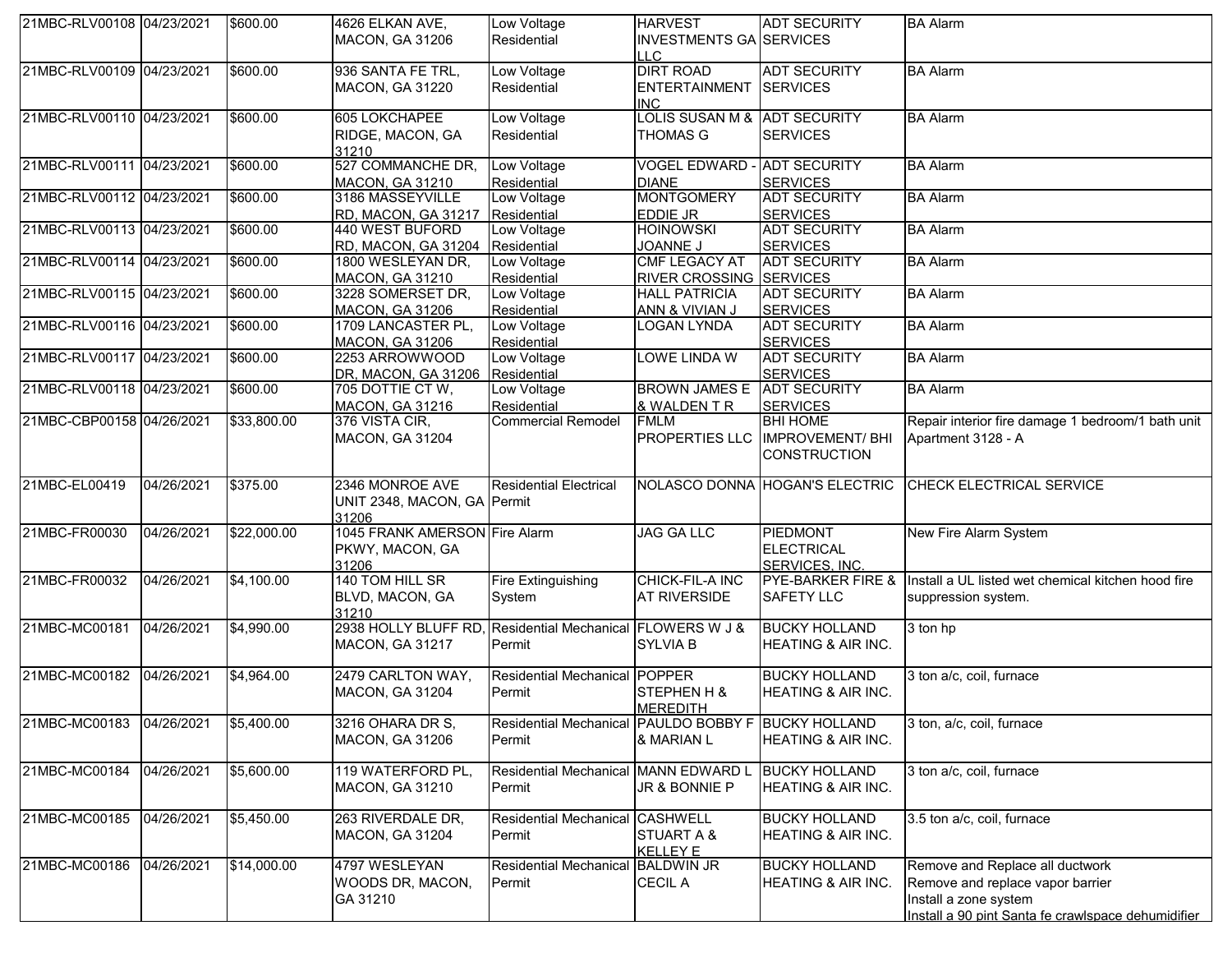| 21MBC-RLV00108 04/23/2021 |            | \$600.00    | 4626 ELKAN AVE,                                           | Low Voltage                                         | <b>HARVEST</b>                     | <b>ADT SECURITY</b>             | <b>BA Alarm</b>                                    |
|---------------------------|------------|-------------|-----------------------------------------------------------|-----------------------------------------------------|------------------------------------|---------------------------------|----------------------------------------------------|
|                           |            |             | <b>MACON, GA 31206</b>                                    | Residential                                         | <b>INVESTMENTS GA SERVICES</b>     |                                 |                                                    |
|                           |            |             |                                                           |                                                     | <b>LLC</b>                         |                                 |                                                    |
| 21MBC-RLV00109 04/23/2021 |            | \$600.00    | 936 SANTA FE TRL,                                         | Low Voltage                                         | <b>DIRT ROAD</b>                   | <b>ADT SECURITY</b>             | <b>BA Alarm</b>                                    |
|                           |            |             | <b>MACON, GA 31220</b>                                    | Residential                                         | <b>ENTERTAINMENT</b>               | <b>SERVICES</b>                 |                                                    |
|                           |            |             |                                                           |                                                     | <b>INC</b>                         |                                 |                                                    |
| 21MBC-RLV00110 04/23/2021 |            | \$600.00    | 605 LOKCHAPEE                                             | Low Voltage                                         | LOLIS SUSAN M & ADT SECURITY       |                                 | <b>BA Alarm</b>                                    |
|                           |            |             | RIDGE, MACON, GA                                          | Residential                                         | THOMAS G                           | <b>SERVICES</b>                 |                                                    |
|                           |            |             | 31210                                                     |                                                     |                                    |                                 |                                                    |
| 21MBC-RLV00111 04/23/2021 |            | \$600.00    | 527 COMMANCHE DR,                                         | Low Voltage                                         | <b>VOGEL EDWARD - ADT SECURITY</b> |                                 | <b>BA Alarm</b>                                    |
|                           |            |             | MACON, GA 31210                                           | Residential                                         | <b>DIANE</b>                       | <b>SERVICES</b>                 |                                                    |
| 21MBC-RLV00112 04/23/2021 |            | \$600.00    | 3186 MASSEYVILLE                                          | Low Voltage                                         | <b>MONTGOMERY</b>                  | <b>ADT SECURITY</b>             | <b>BA Alarm</b>                                    |
|                           |            |             | RD, MACON, GA 31217 Residential                           |                                                     | <b>EDDIE JR</b>                    | <b>SERVICES</b>                 |                                                    |
| 21MBC-RLV00113 04/23/2021 |            | \$600.00    | 440 WEST BUFORD                                           | Low Voltage                                         | <b>HOINOWSKI</b>                   | <b>ADT SECURITY</b>             | <b>BA Alarm</b>                                    |
|                           |            |             | RD, MACON, GA 31204 Residential                           |                                                     | <b>JOANNE J</b>                    | <b>SERVICES</b>                 |                                                    |
| 21MBC-RLV00114 04/23/2021 |            | \$600.00    | 1800 WESLEYAN DR,                                         | Low Voltage                                         | <b>CMF LEGACY AT</b>               | <b>ADT SECURITY</b>             | <b>BA Alarm</b>                                    |
|                           |            |             | MACON, GA 31210                                           | Residential                                         | <b>RIVER CROSSING SERVICES</b>     |                                 |                                                    |
| 21MBC-RLV00115 04/23/2021 |            | \$600.00    | 3228 SOMERSET DR,                                         | Low Voltage                                         | <b>HALL PATRICIA</b>               | <b>ADT SECURITY</b>             | <b>BA Alarm</b>                                    |
|                           |            |             | <b>MACON, GA 31206</b>                                    | Residential                                         | ANN & VIVIAN J                     | <b>SERVICES</b>                 |                                                    |
| 21MBC-RLV00116 04/23/2021 |            | \$600.00    | 1709 LANCASTER PL,                                        | Low Voltage                                         | <b>LOGAN LYNDA</b>                 | <b>ADT SECURITY</b>             | <b>BA Alarm</b>                                    |
|                           |            |             | MACON, GA 31206                                           | Residential                                         |                                    | <b>SERVICES</b>                 |                                                    |
| 21MBC-RLV00117 04/23/2021 |            | \$600.00    | 2253 ARROWWOOD                                            | Low Voltage                                         | <b>LOWE LINDA W</b>                | <b>ADT SECURITY</b>             | <b>BA Alarm</b>                                    |
|                           |            |             | DR, MACON, GA 31206 Residential                           |                                                     |                                    | <b>SERVICES</b>                 |                                                    |
| 21MBC-RLV00118 04/23/2021 |            | \$600.00    | 705 DOTTIE CT W,                                          | Low Voltage                                         | <b>BROWN JAMES E ADT SECURITY</b>  |                                 | <b>BA</b> Alarm                                    |
|                           |            |             | MACON, GA 31216                                           | Residential                                         | & WALDEN T R                       | <b>SERVICES</b>                 |                                                    |
| 21MBC-CBP00158 04/26/2021 |            | \$33,800.00 | 376 VISTA CIR,                                            | <b>Commercial Remodel</b>                           | <b>FMLM</b>                        | <b>BHI HOME</b>                 | Repair interior fire damage 1 bedroom/1 bath unit  |
|                           |            |             | <b>MACON, GA 31204</b>                                    |                                                     |                                    | PROPERTIES LLC IMPROVEMENT/ BHI | Apartment 3128 - A                                 |
|                           |            |             |                                                           |                                                     |                                    | <b>CONSTRUCTION</b>             |                                                    |
|                           |            |             |                                                           |                                                     |                                    |                                 |                                                    |
| 21MBC-EL00419             | 04/26/2021 | \$375.00    | 2346 MONROE AVE                                           | <b>Residential Electrical</b>                       |                                    | NOLASCO DONNA HOGAN'S ELECTRIC  | CHECK ELECTRICAL SERVICE                           |
|                           |            |             | UNIT 2348, MACON, GA Permit                               |                                                     |                                    |                                 |                                                    |
|                           |            |             | 31206                                                     |                                                     |                                    |                                 |                                                    |
| 21MBC-FR00030             | 04/26/2021 | \$22,000.00 | 1045 FRANK AMERSON Fire Alarm                             |                                                     | <b>JAG GA LLC</b>                  | PIEDMONT                        | New Fire Alarm System                              |
|                           |            |             | PKWY, MACON, GA                                           |                                                     |                                    | <b>ELECTRICAL</b>               |                                                    |
|                           |            |             | 31206                                                     |                                                     |                                    | SERVICES, INC.                  |                                                    |
| 21MBC-FR00032             | 04/26/2021 | \$4,100.00  | 140 TOM HILL SR                                           | Fire Extinguishing                                  | CHICK-FIL-A INC                    | <b>PYE-BARKER FIRE &amp;</b>    | Install a UL listed wet chemical kitchen hood fire |
|                           |            |             | BLVD, MACON, GA                                           | System                                              | <b>AT RIVERSIDE</b>                | <b>SAFETY LLC</b>               | suppression system.                                |
|                           |            |             | 31210                                                     |                                                     |                                    |                                 |                                                    |
| 21MBC-MC00181             | 04/26/2021 | \$4,990.00  | 2938 HOLLY BLUFF RD, Residential Mechanical FLOWERS W J & |                                                     |                                    | <b>BUCKY HOLLAND</b>            | 3 ton hp                                           |
|                           |            |             | <b>MACON, GA 31217</b>                                    | Permit                                              | <b>SYLVIA B</b>                    | <b>HEATING &amp; AIR INC.</b>   |                                                    |
|                           |            |             |                                                           |                                                     |                                    |                                 |                                                    |
| 21MBC-MC00182             | 04/26/2021 | \$4,964.00  | 2479 CARLTON WAY,                                         | <b>Residential Mechanical POPPER</b>                |                                    | <b>BUCKY HOLLAND</b>            | 3 ton a/c, coil, furnace                           |
|                           |            |             | MACON, GA 31204                                           | Permit                                              | STEPHEN H &                        | <b>HEATING &amp; AIR INC.</b>   |                                                    |
|                           |            |             |                                                           |                                                     | <b>MEREDITH</b>                    |                                 |                                                    |
| 21MBC-MC00183 04/26/2021  |            | \$5,400.00  | 3216 OHARA DR S,                                          | Residential Mechanical PAULDO BOBBY F BUCKY HOLLAND |                                    |                                 | 3 ton, a/c, coil, furnace                          |
|                           |            |             | MACON, GA 31206                                           | Permit                                              | & MARIAN L                         | <b>HEATING &amp; AIR INC.</b>   |                                                    |
|                           |            |             |                                                           |                                                     |                                    |                                 |                                                    |
| 21MBC-MC00184             | 04/26/2021 | \$5,600.00  | 119 WATERFORD PL,                                         | Residential Mechanical MANN EDWARD L                |                                    | <b>BUCKY HOLLAND</b>            | 3 ton a/c, coil, furnace                           |
|                           |            |             | MACON, GA 31210                                           | Permit                                              | JR & BONNIE P                      | <b>HEATING &amp; AIR INC.</b>   |                                                    |
|                           |            |             |                                                           |                                                     |                                    |                                 |                                                    |
| 21MBC-MC00185             | 04/26/2021 | \$5,450.00  | 263 RIVERDALE DR,                                         | Residential Mechanical CASHWELL                     |                                    | <b>BUCKY HOLLAND</b>            | 3.5 ton a/c, coil, furnace                         |
|                           |            |             | <b>MACON, GA 31204</b>                                    | Permit                                              | <b>STUART A &amp;</b>              | HEATING & AIR INC.              |                                                    |
|                           |            |             |                                                           |                                                     |                                    |                                 |                                                    |
| 21MBC-MC00186             | 04/26/2021 | \$14,000.00 | 4797 WESLEYAN                                             | Residential Mechanical BALDWIN JR                   | <b>KELLEY E</b>                    | <b>BUCKY HOLLAND</b>            | Remove and Replace all ductwork                    |
|                           |            |             |                                                           |                                                     |                                    |                                 |                                                    |
|                           |            |             | WOODS DR, MACON,                                          | Permit                                              | <b>CECIL A</b>                     | HEATING & AIR INC.              | Remove and replace vapor barrier                   |
|                           |            |             | GA 31210                                                  |                                                     |                                    |                                 | Install a zone system                              |
|                           |            |             |                                                           |                                                     |                                    |                                 | Install a 90 pint Santa fe crawlspace dehumidifier |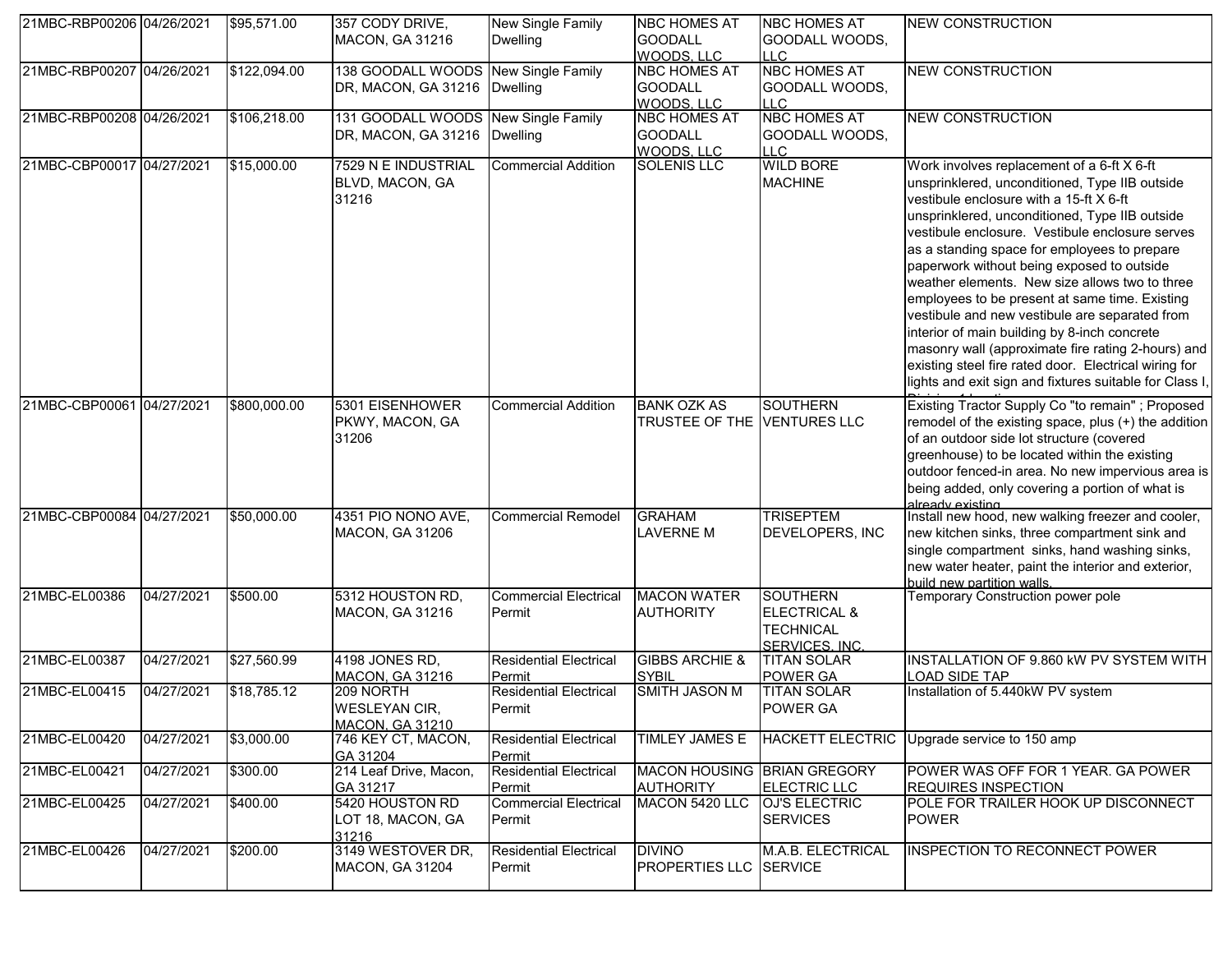| 21MBC-RBP00206 04/26/2021 |            | \$95,571.00  | 357 CODY DRIVE,<br>MACON, GA 31216                                    | New Single Family<br><b>Dwelling</b>    | <b>NBC HOMES AT</b><br><b>GOODALL</b><br>WOODS, LLC | <b>NBC HOMES AT</b><br>GOODALL WOODS,<br><b>LLC</b>                              | <b>NEW CONSTRUCTION</b>                                                                                                                                                                                                                                                                                                                                                                                                                                                                                                                                                                                                                                                                                                    |
|---------------------------|------------|--------------|-----------------------------------------------------------------------|-----------------------------------------|-----------------------------------------------------|----------------------------------------------------------------------------------|----------------------------------------------------------------------------------------------------------------------------------------------------------------------------------------------------------------------------------------------------------------------------------------------------------------------------------------------------------------------------------------------------------------------------------------------------------------------------------------------------------------------------------------------------------------------------------------------------------------------------------------------------------------------------------------------------------------------------|
| 21MBC-RBP00207 04/26/2021 |            | \$122,094.00 | 138 GOODALL WOODS New Single Family<br>DR, MACON, GA 31216   Dwelling |                                         | <b>NBC HOMES AT</b><br><b>GOODALL</b><br>WOODS. LLC | <b>NBC HOMES AT</b><br>GOODALL WOODS,<br><b>LLC</b>                              | <b>NEW CONSTRUCTION</b>                                                                                                                                                                                                                                                                                                                                                                                                                                                                                                                                                                                                                                                                                                    |
| 21MBC-RBP00208 04/26/2021 |            | \$106,218.00 | 131 GOODALL WOODS New Single Family<br>DR, MACON, GA 31216   Dwelling |                                         | <b>NBC HOMES AT</b><br><b>GOODALL</b><br>WOODS, LLC | NBC HOMES AT<br>GOODALL WOODS,<br><b>LLC</b>                                     | <b>NEW CONSTRUCTION</b>                                                                                                                                                                                                                                                                                                                                                                                                                                                                                                                                                                                                                                                                                                    |
| 21MBC-CBP00017 04/27/2021 |            | \$15,000.00  | 7529 N E INDUSTRIAL<br>BLVD, MACON, GA<br>31216                       | <b>Commercial Addition</b>              | <b>SOLENIS LLC</b>                                  | <b>WILD BORE</b><br><b>MACHINE</b>                                               | Work involves replacement of a 6-ft X 6-ft<br>unsprinklered, unconditioned, Type IIB outside<br>vestibule enclosure with a 15-ft X 6-ft<br>unsprinklered, unconditioned, Type IIB outside<br>vestibule enclosure. Vestibule enclosure serves<br>as a standing space for employees to prepare<br>paperwork without being exposed to outside<br>weather elements. New size allows two to three<br>employees to be present at same time. Existing<br>vestibule and new vestibule are separated from<br>interior of main building by 8-inch concrete<br>masonry wall (approximate fire rating 2-hours) and<br>existing steel fire rated door. Electrical wiring for<br>lights and exit sign and fixtures suitable for Class I, |
| 21MBC-CBP00061 04/27/2021 |            | \$800,000.00 | 5301 EISENHOWER<br>PKWY, MACON, GA<br>31206                           | <b>Commercial Addition</b>              | <b>BANK OZK AS</b><br>TRUSTEE OF THE VENTURES LLC   | <b>SOUTHERN</b>                                                                  | Existing Tractor Supply Co "to remain"; Proposed<br>remodel of the existing space, plus (+) the addition<br>of an outdoor side lot structure (covered<br>greenhouse) to be located within the existing<br>outdoor fenced-in area. No new impervious area is<br>being added, only covering a portion of what is<br>already existing                                                                                                                                                                                                                                                                                                                                                                                         |
| 21MBC-CBP00084 04/27/2021 |            | \$50,000.00  | 4351 PIO NONO AVE,<br><b>MACON, GA 31206</b>                          | <b>Commercial Remodel</b>               | <b>GRAHAM</b><br><b>LAVERNE M</b>                   | <b>TRISEPTEM</b><br>DEVELOPERS, INC                                              | Install new hood, new walking freezer and cooler,<br>new kitchen sinks, three compartment sink and<br>single compartment sinks, hand washing sinks,<br>new water heater, paint the interior and exterior,<br>build new partition walls                                                                                                                                                                                                                                                                                                                                                                                                                                                                                     |
| 21MBC-EL00386             | 04/27/2021 | \$500.00     | 5312 HOUSTON RD,<br>MACON, GA 31216                                   | <b>Commercial Electrical</b><br>Permit  | <b>MACON WATER</b><br><b>AUTHORITY</b>              | <b>SOUTHERN</b><br><b>ELECTRICAL &amp;</b><br><b>TECHNICAL</b><br>SERVICES. INC. | Temporary Construction power pole                                                                                                                                                                                                                                                                                                                                                                                                                                                                                                                                                                                                                                                                                          |
| 21MBC-EL00387             | 04/27/2021 | \$27,560.99  | 4198 JONES RD,<br>MACON, GA 31216                                     | <b>Residential Electrical</b><br>Permit | <b>GIBBS ARCHIE &amp;</b><br>SYBIL                  | <b>TITAN SOLAR</b><br><b>POWER GA</b>                                            | INSTALLATION OF 9.860 KW PV SYSTEM WITH<br><b>LOAD SIDE TAP</b>                                                                                                                                                                                                                                                                                                                                                                                                                                                                                                                                                                                                                                                            |
| 21MBC-EL00415             | 04/27/2021 | \$18,785.12  | 209 NORTH<br><b>WESLEYAN CIR,</b><br><b>MACON, GA 31210</b>           | <b>Residential Electrical</b><br>Permit | <b>SMITH JASON M</b>                                | <b>TITAN SOLAR</b><br><b>POWER GA</b>                                            | Installation of 5.440kW PV system                                                                                                                                                                                                                                                                                                                                                                                                                                                                                                                                                                                                                                                                                          |
| 21MBC-EL00420             | 04/27/2021 | \$3,000.00   | 746 KEY CT, MACON,<br>GA 31204                                        | <b>Residential Electrical</b><br>Permit | TIMLEY JAMES E                                      | <b>HACKETT ELECTRIC</b>                                                          | Upgrade service to 150 amp                                                                                                                                                                                                                                                                                                                                                                                                                                                                                                                                                                                                                                                                                                 |
| 21MBC-EL00421             | 04/27/2021 | \$300.00     | 214 Leaf Drive, Macon,<br>GA 31217                                    | <b>Residential Electrical</b><br>Permit | MACON HOUSING BRIAN GREGORY<br><b>AUTHORITY</b>     | <b>ELECTRIC LLC</b>                                                              | POWER WAS OFF FOR 1 YEAR. GA POWER<br><b>REQUIRES INSPECTION</b>                                                                                                                                                                                                                                                                                                                                                                                                                                                                                                                                                                                                                                                           |
| 21MBC-EL00425             | 04/27/2021 | \$400.00     | 5420 HOUSTON RD<br>LOT 18, MACON, GA<br>31216                         | <b>Commercial Electrical</b><br>Permit  | MACON 5420 LLC                                      | OJ'S ELECTRIC<br><b>SERVICES</b>                                                 | POLE FOR TRAILER HOOK UP DISCONNECT<br><b>POWER</b>                                                                                                                                                                                                                                                                                                                                                                                                                                                                                                                                                                                                                                                                        |
| 21MBC-EL00426             | 04/27/2021 | \$200.00     | 3149 WESTOVER DR,<br><b>MACON, GA 31204</b>                           | <b>Residential Electrical</b><br>Permit | <b>DIVINO</b><br><b>PROPERTIES LLC</b>              | M.A.B. ELECTRICAL<br><b>SERVICE</b>                                              | <b>INSPECTION TO RECONNECT POWER</b>                                                                                                                                                                                                                                                                                                                                                                                                                                                                                                                                                                                                                                                                                       |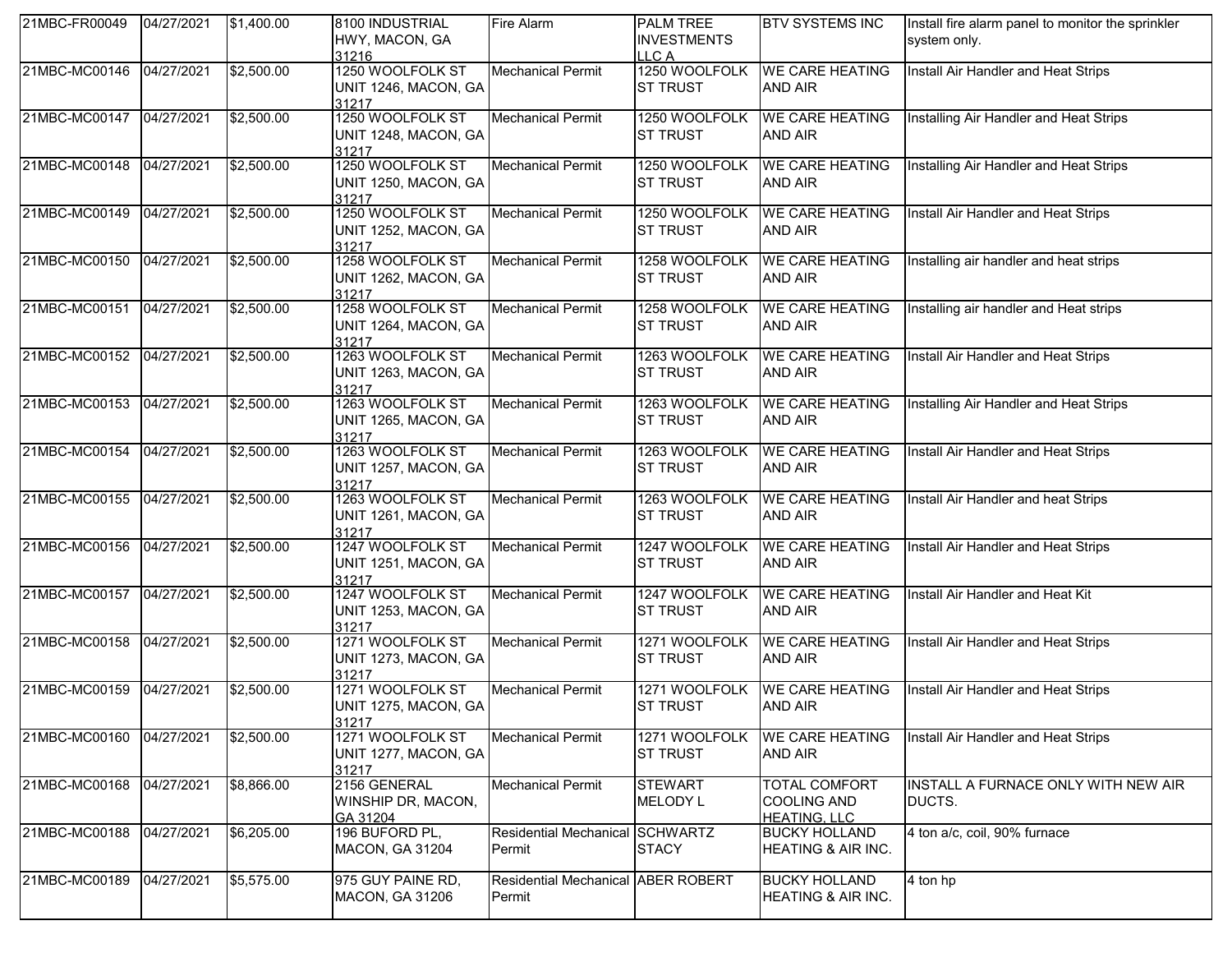| 21MBC-FR00049 | 04/27/2021 | \$1,400.00 | 8100 INDUSTRIAL<br>HWY, MACON, GA<br>31216        | <b>Fire Alarm</b>                            | <b>PALM TREE</b><br><b>INVESTMENTS</b><br>LLC A | <b>BTV SYSTEMS INC</b>                                            | Install fire alarm panel to monitor the sprinkler<br>system only. |
|---------------|------------|------------|---------------------------------------------------|----------------------------------------------|-------------------------------------------------|-------------------------------------------------------------------|-------------------------------------------------------------------|
| 21MBC-MC00146 | 04/27/2021 | \$2,500.00 | 1250 WOOLFOLK ST<br>UNIT 1246, MACON, GA<br>31217 | <b>Mechanical Permit</b>                     | 1250 WOOLFOLK<br><b>ST TRUST</b>                | <b>WE CARE HEATING</b><br><b>AND AIR</b>                          | Install Air Handler and Heat Strips                               |
| 21MBC-MC00147 | 04/27/2021 | \$2,500.00 | 1250 WOOLFOLK ST<br>UNIT 1248, MACON, GA<br>31217 | <b>Mechanical Permit</b>                     | 1250 WOOLFOLK<br><b>ST TRUST</b>                | <b>WE CARE HEATING</b><br><b>AND AIR</b>                          | Installing Air Handler and Heat Strips                            |
| 21MBC-MC00148 | 04/27/2021 | \$2,500.00 | 1250 WOOLFOLK ST<br>UNIT 1250, MACON, GA<br>31217 | <b>Mechanical Permit</b>                     | 1250 WOOLFOLK<br><b>ST TRUST</b>                | <b>WE CARE HEATING</b><br><b>AND AIR</b>                          | Installing Air Handler and Heat Strips                            |
| 21MBC-MC00149 | 04/27/2021 | \$2,500.00 | 1250 WOOLFOLK ST<br>UNIT 1252, MACON, GA<br>31217 | <b>Mechanical Permit</b>                     | 1250 WOOLFOLK<br><b>ST TRUST</b>                | <b>WE CARE HEATING</b><br><b>AND AIR</b>                          | Install Air Handler and Heat Strips                               |
| 21MBC-MC00150 | 04/27/2021 | \$2,500.00 | 1258 WOOLFOLK ST<br>UNIT 1262, MACON, GA<br>31217 | <b>Mechanical Permit</b>                     | 1258 WOOLFOLK<br><b>ST TRUST</b>                | <b>WE CARE HEATING</b><br><b>AND AIR</b>                          | Installing air handler and heat strips                            |
| 21MBC-MC00151 | 04/27/2021 | \$2,500.00 | 1258 WOOLFOLK ST<br>UNIT 1264, MACON, GA<br>31217 | <b>Mechanical Permit</b>                     | 1258 WOOLFOLK<br><b>ST TRUST</b>                | <b>WE CARE HEATING</b><br><b>AND AIR</b>                          | Installing air handler and Heat strips                            |
| 21MBC-MC00152 | 04/27/2021 | \$2,500.00 | 1263 WOOLFOLK ST<br>UNIT 1263, MACON, GA<br>31217 | <b>Mechanical Permit</b>                     | 1263 WOOLFOLK<br><b>ST TRUST</b>                | <b>WE CARE HEATING</b><br><b>AND AIR</b>                          | Install Air Handler and Heat Strips                               |
| 21MBC-MC00153 | 04/27/2021 | \$2,500.00 | 1263 WOOLFOLK ST<br>UNIT 1265, MACON, GA<br>31217 | <b>Mechanical Permit</b>                     | 1263 WOOLFOLK<br><b>ST TRUST</b>                | <b>WE CARE HEATING</b><br><b>AND AIR</b>                          | Installing Air Handler and Heat Strips                            |
| 21MBC-MC00154 | 04/27/2021 | \$2,500.00 | 1263 WOOLFOLK ST<br>UNIT 1257, MACON, GA<br>31217 | <b>Mechanical Permit</b>                     | 1263 WOOLFOLK<br><b>ST TRUST</b>                | <b>WE CARE HEATING</b><br><b>AND AIR</b>                          | Install Air Handler and Heat Strips                               |
| 21MBC-MC00155 | 04/27/2021 | \$2,500.00 | 1263 WOOLFOLK ST<br>UNIT 1261, MACON, GA<br>31217 | <b>Mechanical Permit</b>                     | 1263 WOOLFOLK<br><b>ST TRUST</b>                | <b>WE CARE HEATING</b><br><b>AND AIR</b>                          | Install Air Handler and heat Strips                               |
| 21MBC-MC00156 | 04/27/2021 | \$2,500.00 | 1247 WOOLFOLK ST<br>UNIT 1251, MACON, GA<br>31217 | <b>Mechanical Permit</b>                     | 1247 WOOLFOLK<br><b>ST TRUST</b>                | <b>WE CARE HEATING</b><br><b>AND AIR</b>                          | Install Air Handler and Heat Strips                               |
| 21MBC-MC00157 | 04/27/2021 | \$2,500.00 | 1247 WOOLFOLK ST<br>UNIT 1253, MACON, GA<br>31217 | <b>Mechanical Permit</b>                     | 1247 WOOLFOLK<br><b>ST TRUST</b>                | <b>WE CARE HEATING</b><br><b>AND AIR</b>                          | Install Air Handler and Heat Kit                                  |
| 21MBC-MC00158 | 04/27/2021 | \$2,500.00 | 1271 WOOLFOLK ST<br>UNIT 1273, MACON, GA<br>31217 | <b>Mechanical Permit</b>                     | 1271 WOOLFOLK<br><b>ST TRUST</b>                | <b>WE CARE HEATING</b><br><b>AND AIR</b>                          | Install Air Handler and Heat Strips                               |
| 21MBC-MC00159 | 04/27/2021 | \$2,500.00 | 1271 WOOLFOLK ST<br>UNIT 1275, MACON, GA<br>31217 | Mechanical Permit                            | 1271 WOOLFOLK<br><b>ST TRUST</b>                | <b>WE CARE HEATING</b><br><b>AND AIR</b>                          | Install Air Handler and Heat Strips                               |
| 21MBC-MC00160 | 04/27/2021 | \$2,500.00 | 1271 WOOLFOLK ST<br>UNIT 1277, MACON, GA<br>31217 | <b>Mechanical Permit</b>                     | 1271 WOOLFOLK<br><b>ST TRUST</b>                | <b>WE CARE HEATING</b><br><b>AND AIR</b>                          | Install Air Handler and Heat Strips                               |
| 21MBC-MC00168 | 04/27/2021 | \$8,866.00 | 2156 GENERAL<br>WINSHIP DR, MACON,<br>GA 31204    | <b>Mechanical Permit</b>                     | <b>STEWART</b><br><b>MELODY L</b>               | <b>TOTAL COMFORT</b><br><b>COOLING AND</b><br><b>HEATING, LLC</b> | INSTALL A FURNACE ONLY WITH NEW AIR<br>DUCTS.                     |
| 21MBC-MC00188 | 04/27/2021 | \$6,205.00 | 196 BUFORD PL,<br><b>MACON, GA 31204</b>          | Residential Mechanical SCHWARTZ<br>Permit    | <b>STACY</b>                                    | <b>BUCKY HOLLAND</b><br><b>HEATING &amp; AIR INC.</b>             | 4 ton a/c, coil, 90% furnace                                      |
| 21MBC-MC00189 | 04/27/2021 | \$5,575.00 | 975 GUY PAINE RD,<br>MACON, GA 31206              | Residential Mechanical ABER ROBERT<br>Permit |                                                 | <b>BUCKY HOLLAND</b><br>HEATING & AIR INC.                        | 4 ton hp                                                          |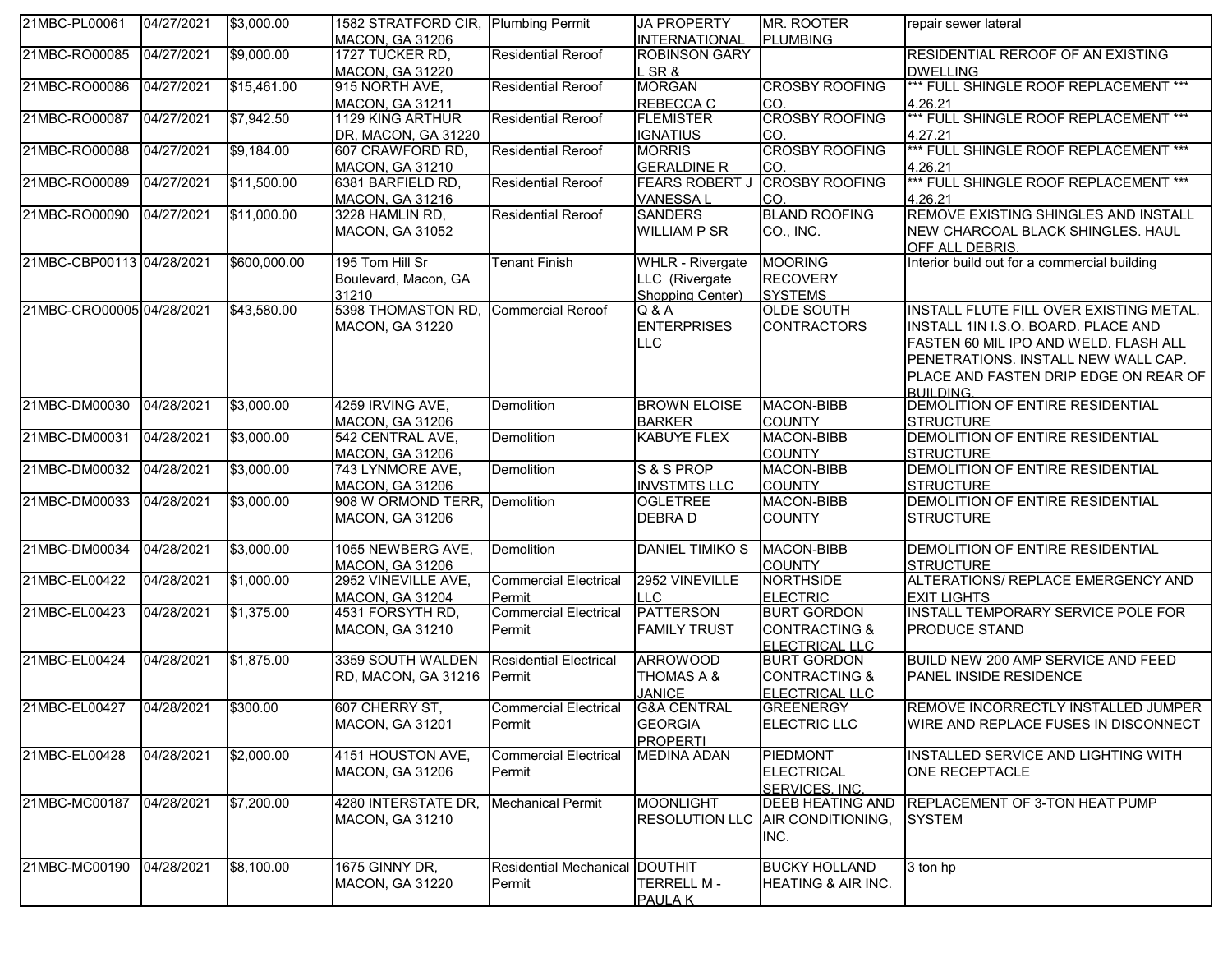| 21MBC-PL00061             | 04/27/2021 | \$3,000.00   | 1582 STRATFORD CIR, Plumbing Permit<br><b>MACON, GA 31206</b> |                                | <b>JA PROPERTY</b><br><b>INTERNATIONAL</b> | MR. ROOTER<br><b>PLUMBING</b> | repair sewer lateral                             |
|---------------------------|------------|--------------|---------------------------------------------------------------|--------------------------------|--------------------------------------------|-------------------------------|--------------------------------------------------|
| 21MBC-RO00085             | 04/27/2021 | \$9,000.00   | 1727 TUCKER RD,                                               | <b>Residential Reroof</b>      | <b>ROBINSON GARY</b>                       |                               | RESIDENTIAL REROOF OF AN EXISTING                |
|                           |            |              | <b>MACON, GA 31220</b>                                        |                                | L SR &                                     |                               | <b>DWELLING</b>                                  |
| 21MBC-RO00086             | 04/27/2021 | \$15,461.00  | 915 NORTH AVE,                                                | <b>Residential Reroof</b>      | <b>MORGAN</b>                              | <b>CROSBY ROOFING</b>         | *** FULL SHINGLE ROOF REPLACEMENT ***            |
|                           |            |              |                                                               |                                |                                            |                               |                                                  |
|                           |            |              | MACON, GA 31211                                               |                                | REBECCA C                                  | ICO.<br><b>CROSBY ROOFING</b> | 4.26.21<br>*** FULL SHINGLE ROOF REPLACEMENT *** |
| 21MBC-RO00087             | 04/27/2021 | \$7,942.50   | 1129 KING ARTHUR                                              | <b>Residential Reroof</b>      | <b>FLEMISTER</b>                           |                               |                                                  |
|                           |            |              | DR, MACON, GA 31220                                           |                                | <b>IGNATIUS</b>                            | ICO.                          | 4.27.21                                          |
| 21MBC-RO00088             | 04/27/2021 | \$9,184.00   | 607 CRAWFORD RD,                                              | <b>Residential Reroof</b>      | <b>MORRIS</b>                              | <b>CROSBY ROOFING</b>         | *** FULL SHINGLE ROOF REPLACEMENT ***            |
|                           |            |              | MACON, GA 31210                                               |                                | <b>GERALDINE R</b>                         | CO.                           | 4.26.21                                          |
| 21MBC-RO00089             | 04/27/2021 | \$11,500.00  | 6381 BARFIELD RD,                                             | <b>Residential Reroof</b>      | <b>FEARS ROBERT J</b>                      | <b>CROSBY ROOFING</b>         | *** FULL SHINGLE ROOF REPLACEMENT ***            |
|                           |            |              | <b>MACON, GA 31216</b>                                        |                                | <b>VANESSAL</b>                            | ICO.                          | 4.26.21                                          |
| 21MBC-RO00090             | 04/27/2021 | \$11,000.00  | 3228 HAMLIN RD,                                               | <b>Residential Reroof</b>      | <b>SANDERS</b>                             | <b>BLAND ROOFING</b>          | REMOVE EXISTING SHINGLES AND INSTALL             |
|                           |            |              | MACON, GA 31052                                               |                                | <b>WILLIAM P SR</b>                        | CO., INC.                     | NEW CHARCOAL BLACK SHINGLES. HAUL                |
|                           |            |              |                                                               |                                |                                            |                               | OFF ALL DEBRIS.                                  |
| 21MBC-CBP00113 04/28/2021 |            | \$600,000.00 | 195 Tom Hill Sr                                               | <b>Tenant Finish</b>           | <b>WHLR - Rivergate</b>                    | <b>MOORING</b>                | Interior build out for a commercial building     |
|                           |            |              | Boulevard, Macon, GA                                          |                                | LLC (Rivergate                             | <b>RECOVERY</b>               |                                                  |
|                           |            |              | 31210                                                         |                                | Shopping Center)                           | <b>SYSTEMS</b>                |                                                  |
| 21MBC-CRO00005 04/28/2021 |            | \$43,580.00  | 5398 THOMASTON RD,                                            | <b>Commercial Reroof</b>       | Q & A                                      | <b>OLDE SOUTH</b>             | INSTALL FLUTE FILL OVER EXISTING METAL.          |
|                           |            |              | MACON, GA 31220                                               |                                | <b>ENTERPRISES</b>                         | <b>CONTRACTORS</b>            | INSTALL 1IN I.S.O. BOARD. PLACE AND              |
|                           |            |              |                                                               |                                |                                            |                               |                                                  |
|                           |            |              |                                                               |                                | <b>LLC</b>                                 |                               | FASTEN 60 MIL IPO AND WELD. FLASH ALL            |
|                           |            |              |                                                               |                                |                                            |                               | PENETRATIONS. INSTALL NEW WALL CAP.              |
|                           |            |              |                                                               |                                |                                            |                               | PLACE AND FASTEN DRIP EDGE ON REAR OF            |
|                           |            |              |                                                               |                                |                                            |                               | <b>BUILDING</b>                                  |
| 21MBC-DM00030             | 04/28/2021 | \$3,000.00   | 4259 IRVING AVE,                                              | Demolition                     | <b>BROWN ELOISE</b>                        | MACON-BIBB                    | DEMOLITION OF ENTIRE RESIDENTIAL                 |
|                           |            |              | <b>MACON, GA 31206</b>                                        |                                | <b>BARKER</b>                              | <b>COUNTY</b>                 | <b>STRUCTURE</b>                                 |
| 21MBC-DM00031             | 04/28/2021 | \$3,000.00   | 542 CENTRAL AVE,                                              | Demolition                     | <b>KABUYE FLEX</b>                         | <b>MACON-BIBB</b>             | DEMOLITION OF ENTIRE RESIDENTIAL                 |
|                           |            |              | <b>MACON, GA 31206</b>                                        |                                |                                            | <b>COUNTY</b>                 | <b>STRUCTURE</b>                                 |
| 21MBC-DM00032             | 04/28/2021 | \$3,000.00   | 743 LYNMORE AVE,                                              | Demolition                     | S&SPROP                                    | MACON-BIBB                    | DEMOLITION OF ENTIRE RESIDENTIAL                 |
|                           |            |              | MACON, GA 31206                                               |                                | <b>INVSTMTS LLC</b>                        | <b>COUNTY</b>                 | <b>STRUCTURE</b>                                 |
| 21MBC-DM00033             | 04/28/2021 | \$3,000.00   | 908 W ORMOND TERR, Demolition                                 |                                | <b>OGLETREE</b>                            | MACON-BIBB                    | DEMOLITION OF ENTIRE RESIDENTIAL                 |
|                           |            |              | <b>MACON, GA 31206</b>                                        |                                | DEBRA D                                    | <b>COUNTY</b>                 | <b>STRUCTURE</b>                                 |
|                           |            |              |                                                               |                                |                                            |                               |                                                  |
| 21MBC-DM00034             | 04/28/2021 | \$3,000.00   | 1055 NEWBERG AVE,                                             | Demolition                     | DANIEL TIMIKO S                            | MACON-BIBB                    | DEMOLITION OF ENTIRE RESIDENTIAL                 |
|                           |            |              | <b>MACON, GA 31206</b>                                        |                                |                                            | <b>COUNTY</b>                 | <b>STRUCTURE</b>                                 |
| 21MBC-EL00422             | 04/28/2021 | \$1,000.00   | 2952 VINEVILLE AVE,                                           | <b>Commercial Electrical</b>   | 2952 VINEVILLE                             | <b>NORTHSIDE</b>              | ALTERATIONS/ REPLACE EMERGENCY AND               |
|                           |            |              | MACON, GA 31204                                               | Permit                         | <b>LLC</b>                                 | <b>ELECTRIC</b>               | <b>EXIT LIGHTS</b>                               |
| 21MBC-EL00423             | 04/28/2021 | \$1,375.00   | 4531 FORSYTH RD,                                              | <b>Commercial Electrical</b>   | <b>PATTERSON</b>                           | <b>BURT GORDON</b>            | INSTALL TEMPORARY SERVICE POLE FOR               |
|                           |            |              |                                                               |                                |                                            |                               |                                                  |
|                           |            |              | MACON, GA 31210                                               | Permit                         | <b>FAMILY TRUST</b>                        | <b>CONTRACTING &amp;</b>      | PRODUCE STAND                                    |
|                           |            |              |                                                               |                                |                                            | ELECTRICAL LLC                |                                                  |
| 21MBC-EL00424             | 04/28/2021 | \$1,875.00   | 3359 SOUTH WALDEN                                             | <b>Residential Electrical</b>  | <b>ARROWOOD</b>                            | <b>BURT GORDON</b>            | BUILD NEW 200 AMP SERVICE AND FEED               |
|                           |            |              | RD, MACON, GA 31216 Permit                                    |                                | <b>THOMAS A &amp;</b>                      | <b>CONTRACTING &amp;</b>      | PANEL INSIDE RESIDENCE                           |
|                           |            |              |                                                               |                                | <b>JANICE</b>                              | <b>ELECTRICAL LLC</b>         |                                                  |
| 21MBC-EL00427             | 04/28/2021 | \$300.00     | 607 CHERRY ST,                                                | <b>Commercial Electrical</b>   | <b>G&amp;A CENTRAL</b>                     | <b>GREENERGY</b>              | REMOVE INCORRECTLY INSTALLED JUMPER              |
|                           |            |              | <b>MACON, GA 31201</b>                                        | Permit                         | <b>GEORGIA</b>                             | <b>ELECTRIC LLC</b>           | WIRE AND REPLACE FUSES IN DISCONNECT             |
|                           |            |              |                                                               |                                | <b>PROPERTI</b>                            |                               |                                                  |
| 21MBC-EL00428             | 04/28/2021 | \$2,000.00   | 4151 HOUSTON AVE,                                             | <b>Commercial Electrical</b>   | <b>MEDINA ADAN</b>                         | PIEDMONT                      | INSTALLED SERVICE AND LIGHTING WITH              |
|                           |            |              | <b>MACON, GA 31206</b>                                        | Permit                         |                                            | <b>ELECTRICAL</b>             | ONE RECEPTACLE                                   |
|                           |            |              |                                                               |                                |                                            | SERVICES, INC.                |                                                  |
| 21MBC-MC00187             | 04/28/2021 | \$7,200.00   | 4280 INTERSTATE DR,                                           | <b>Mechanical Permit</b>       | <b>MOONLIGHT</b>                           | <b>DEEB HEATING AND</b>       | REPLACEMENT OF 3-TON HEAT PUMP                   |
|                           |            |              | MACON, GA 31210                                               |                                | <b>RESOLUTION LLC</b>                      | AIR CONDITIONING,             | <b>SYSTEM</b>                                    |
|                           |            |              |                                                               |                                |                                            |                               |                                                  |
|                           |            |              |                                                               |                                |                                            | INC.                          |                                                  |
|                           |            |              |                                                               |                                |                                            |                               |                                                  |
| 21MBC-MC00190             | 04/28/2021 | \$8,100.00   | 1675 GINNY DR,                                                | Residential Mechanical DOUTHIT |                                            | <b>BUCKY HOLLAND</b>          | 3 ton hp                                         |
|                           |            |              | MACON, GA 31220                                               | Permit                         | <b>TERRELL M-</b>                          | HEATING & AIR INC.            |                                                  |
|                           |            |              |                                                               |                                | PAULA K                                    |                               |                                                  |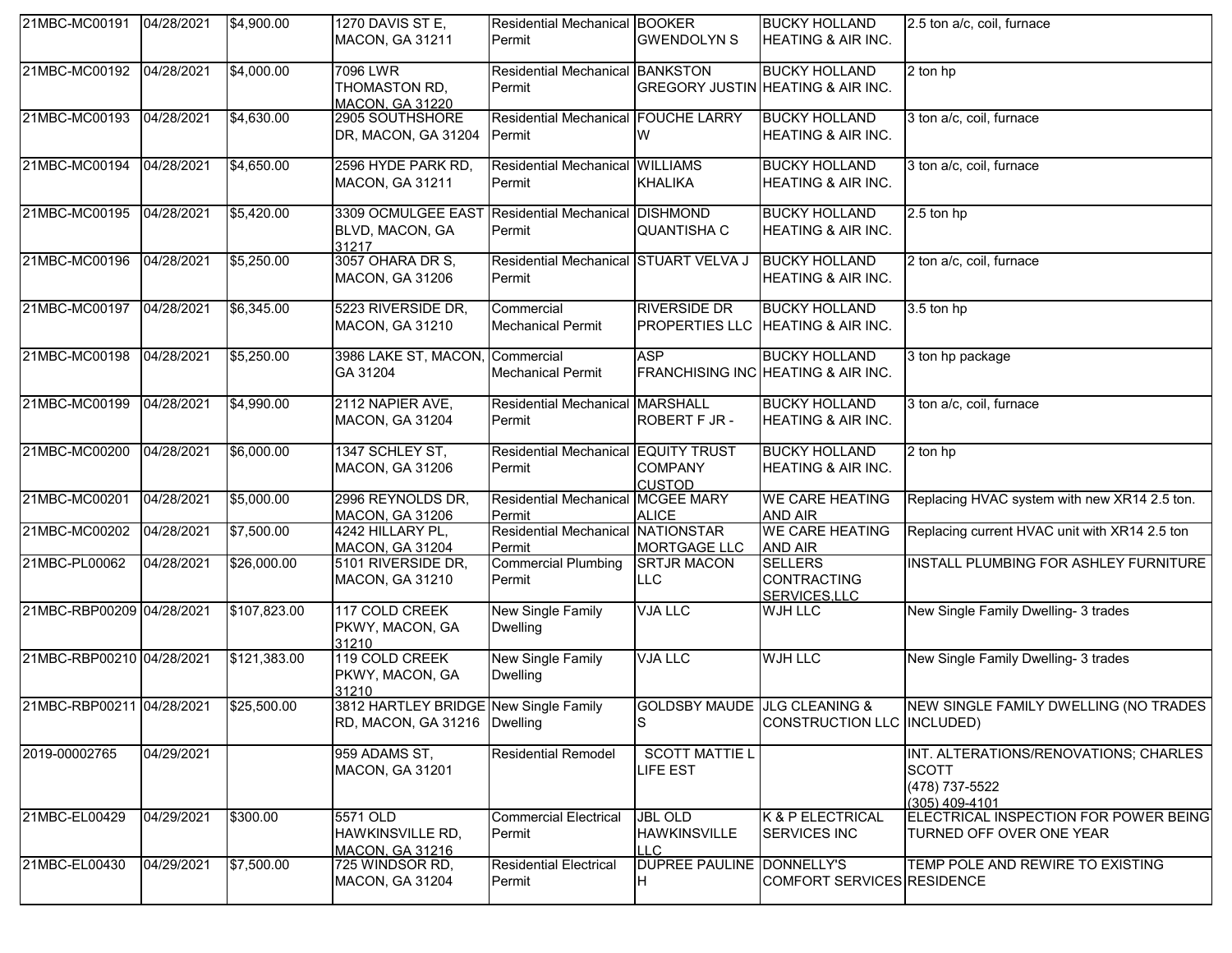| 21MBC-MC00191 04/28/2021  |            | \$4,900.00   | 1270 DAVIS ST E,<br><b>MACON, GA 31211</b>                                     | <b>Residential Mechanical BOOKER</b><br>Permit  | <b>GWENDOLYN S</b>                                  | <b>BUCKY HOLLAND</b><br><b>HEATING &amp; AIR INC.</b>      | 2.5 ton a/c, coil, furnace                                                                |
|---------------------------|------------|--------------|--------------------------------------------------------------------------------|-------------------------------------------------|-----------------------------------------------------|------------------------------------------------------------|-------------------------------------------------------------------------------------------|
| 21MBC-MC00192             | 04/28/2021 | \$4,000.00   | 7096 LWR<br>THOMASTON RD,<br><b>MACON, GA 31220</b>                            | Residential Mechanical BANKSTON<br>Permit       |                                                     | <b>BUCKY HOLLAND</b><br>GREGORY JUSTIN HEATING & AIR INC.  | 2 ton hp                                                                                  |
| 21MBC-MC00193             | 04/28/2021 | \$4,630.00   | 2905 SOUTHSHORE<br>DR, MACON, GA 31204                                         | Residential Mechanical FOUCHE LARRY<br>Permit   | W                                                   | <b>BUCKY HOLLAND</b><br>HEATING & AIR INC.                 | 3 ton a/c, coil, furnace                                                                  |
| 21MBC-MC00194             | 04/28/2021 | \$4,650.00   | 2596 HYDE PARK RD,<br>MACON, GA 31211                                          | Residential Mechanical WILLIAMS<br>Permit       | <b>KHALIKA</b>                                      | <b>BUCKY HOLLAND</b><br><b>HEATING &amp; AIR INC.</b>      | 3 ton a/c, coil, furnace                                                                  |
| 21MBC-MC00195             | 04/28/2021 | \$5,420.00   | 3309 OCMULGEE EAST Residential Mechanical DISHMOND<br>BLVD, MACON, GA<br>31217 | Permit                                          | <b>QUANTISHA C</b>                                  | <b>BUCKY HOLLAND</b><br><b>HEATING &amp; AIR INC.</b>      | 2.5 ton hp                                                                                |
| 21MBC-MC00196             | 04/28/2021 | \$5,250.00   | 3057 OHARA DR S,<br><b>MACON, GA 31206</b>                                     | Residential Mechanical STUART VELVA J<br>Permit |                                                     | <b>BUCKY HOLLAND</b><br>HEATING & AIR INC.                 | 2 ton a/c, coil, furnace                                                                  |
| 21MBC-MC00197             | 04/28/2021 | \$6,345.00   | 5223 RIVERSIDE DR,<br><b>MACON, GA 31210</b>                                   | Commercial<br><b>Mechanical Permit</b>          | <b>RIVERSIDE DR</b><br>PROPERTIES LLC               | <b>BUCKY HOLLAND</b><br><b>HEATING &amp; AIR INC.</b>      | 3.5 ton hp                                                                                |
| 21MBC-MC00198             | 04/28/2021 | \$5,250.00   | 3986 LAKE ST, MACON, Commercial<br>GA 31204                                    | <b>Mechanical Permit</b>                        | <b>ASP</b>                                          | <b>BUCKY HOLLAND</b><br>FRANCHISING INC HEATING & AIR INC. | 3 ton hp package                                                                          |
| 21MBC-MC00199             | 04/28/2021 | \$4,990.00   | 2112 NAPIER AVE,<br><b>MACON, GA 31204</b>                                     | Residential Mechanical MARSHALL<br>Permit       | ROBERT F JR -                                       | <b>BUCKY HOLLAND</b><br><b>HEATING &amp; AIR INC.</b>      | 3 ton a/c, coil, furnace                                                                  |
| 21MBC-MC00200             | 04/28/2021 | \$6,000.00   | 1347 SCHLEY ST,<br><b>MACON, GA 31206</b>                                      | Residential Mechanical EQUITY TRUST<br>Permit   | <b>COMPANY</b><br><b>CUSTOD</b>                     | <b>BUCKY HOLLAND</b><br>HEATING & AIR INC.                 | 2 ton hp                                                                                  |
| 21MBC-MC00201             | 04/28/2021 | \$5,000.00   | 2996 REYNOLDS DR,<br><b>MACON, GA 31206</b>                                    | Residential Mechanical MCGEE MARY<br>Permit     | <b>ALICE</b>                                        | <b>WE CARE HEATING</b><br>AND AIR                          | Replacing HVAC system with new XR14 2.5 ton.                                              |
| 21MBC-MC00202             | 04/28/2021 | \$7,500.00   | 4242 HILLARY PL,<br><b>MACON, GA 31204</b>                                     | Residential Mechanical NATIONSTAR<br>Permit     | MORTGAGE LLC                                        | <b>WE CARE HEATING</b><br>AND AIR                          | Replacing current HVAC unit with XR14 2.5 ton                                             |
| 21MBC-PL00062             | 04/28/2021 | \$26,000.00  | 5101 RIVERSIDE DR,<br><b>MACON, GA 31210</b>                                   | <b>Commercial Plumbing</b><br>Permit            | <b>SRTJR MACON</b><br>LLC                           | <b>SELLERS</b><br><b>CONTRACTING</b><br>SERVICES,LLC       | INSTALL PLUMBING FOR ASHLEY FURNITURE                                                     |
| 21MBC-RBP00209 04/28/2021 |            | \$107,823.00 | 117 COLD CREEK<br>PKWY, MACON, GA<br>31210                                     | New Single Family<br><b>Dwelling</b>            | <b>VJA LLC</b>                                      | <b>WJH LLC</b>                                             | New Single Family Dwelling- 3 trades                                                      |
| 21MBC-RBP00210 04/28/2021 |            | \$121,383.00 | 119 COLD CREEK<br>PKWY, MACON, GA<br>31210                                     | <b>New Single Family</b><br><b>Dwelling</b>     | <b>VJA LLC</b>                                      | <b>WJH LLC</b>                                             | New Single Family Dwelling- 3 trades                                                      |
| 21MBC-RBP00211 04/28/2021 |            | \$25,500.00  | 3812 HARTLEY BRIDGE New Single Family<br>RD, MACON, GA 31216   Dwelling        |                                                 | <b>GOLDSBY MAUDE JLG CLEANING &amp;</b><br>S        | CONSTRUCTION LLC INCLUDED)                                 | NEW SINGLE FAMILY DWELLING (NO TRADES                                                     |
| 2019-00002765             | 04/29/2021 |              | 959 ADAMS ST,<br>MACON, GA 31201                                               | <b>Residential Remodel</b>                      | <b>SCOTT MATTIE L</b><br>LIFE EST                   |                                                            | INT. ALTERATIONS/RENOVATIONS; CHARLES<br><b>SCOTT</b><br>(478) 737-5522<br>(305) 409-4101 |
| 21MBC-EL00429             | 04/29/2021 | \$300.00     | 5571 OLD<br>HAWKINSVILLE RD,<br><b>MACON, GA 31216</b>                         | <b>Commercial Electrical</b><br>Permit          | <b>JBL OLD</b><br><b>HAWKINSVILLE</b><br><b>LLC</b> | <b>K &amp; P ELECTRICAL</b><br><b>SERVICES INC</b>         | ELECTRICAL INSPECTION FOR POWER BEING<br>TURNED OFF OVER ONE YEAR                         |
| 21MBC-EL00430             | 04/29/2021 | \$7,500.00   | 725 WINDSOR RD,<br>MACON, GA 31204                                             | <b>Residential Electrical</b><br>Permit         | DUPREE PAULINE DONNELLY'S<br>H.                     | <b>COMFORT SERVICES RESIDENCE</b>                          | TEMP POLE AND REWIRE TO EXISTING                                                          |